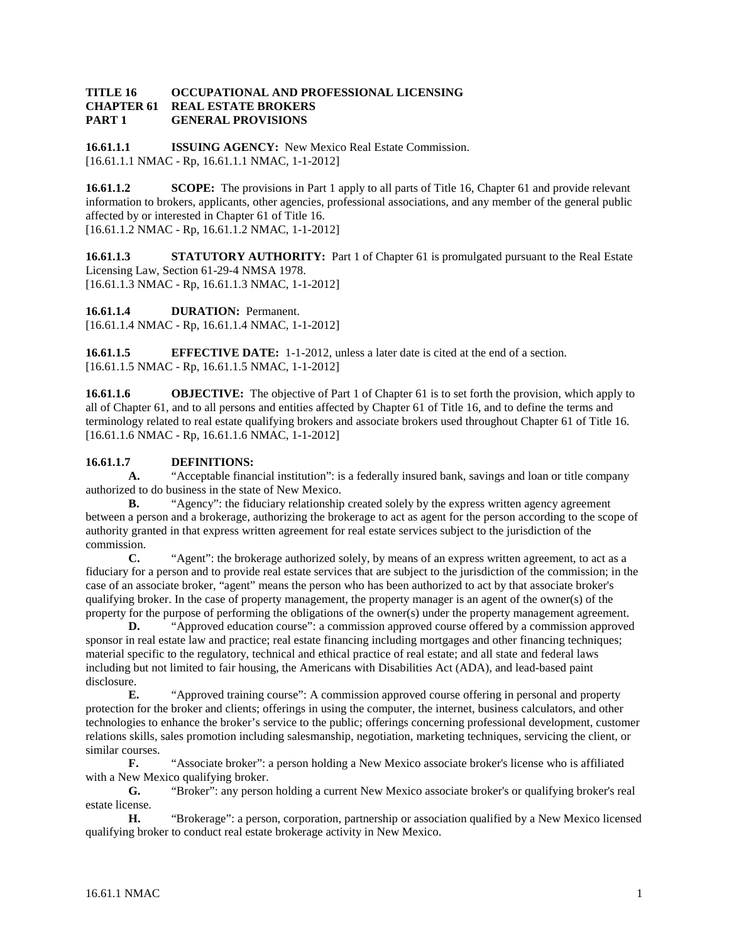#### **TITLE 16 OCCUPATIONAL AND PROFESSIONAL LICENSING REAL ESTATE BROKERS PART 1 GENERAL PROVISIONS**

**16.61.1.1 ISSUING AGENCY:** New Mexico Real Estate Commission. [16.61.1.1 NMAC - Rp, 16.61.1.1 NMAC, 1-1-2012]

**16.61.1.2 SCOPE:** The provisions in Part 1 apply to all parts of Title 16, Chapter 61 and provide relevant information to brokers, applicants, other agencies, professional associations, and any member of the general public affected by or interested in Chapter 61 of Title 16. [16.61.1.2 NMAC - Rp, 16.61.1.2 NMAC, 1-1-2012]

**16.61.1.3 STATUTORY AUTHORITY:** Part 1 of Chapter 61 is promulgated pursuant to the Real Estate Licensing Law, Section 61-29-4 NMSA 1978. [16.61.1.3 NMAC - Rp, 16.61.1.3 NMAC, 1-1-2012]

**16.61.1.4 DURATION:** Permanent. [16.61.1.4 NMAC - Rp, 16.61.1.4 NMAC, 1-1-2012]

**16.61.1.5 EFFECTIVE DATE:** 1-1-2012, unless a later date is cited at the end of a section. [16.61.1.5 NMAC - Rp, 16.61.1.5 NMAC, 1-1-2012]

**16.61.1.6 OBJECTIVE:** The objective of Part 1 of Chapter 61 is to set forth the provision, which apply to all of Chapter 61, and to all persons and entities affected by Chapter 61 of Title 16, and to define the terms and terminology related to real estate qualifying brokers and associate brokers used throughout Chapter 61 of Title 16. [16.61.1.6 NMAC - Rp, 16.61.1.6 NMAC, 1-1-2012]

## **16.61.1.7 DEFINITIONS:**

**A.** "Acceptable financial institution": is a federally insured bank, savings and loan or title company authorized to do business in the state of New Mexico.

**B.** "Agency": the fiduciary relationship created solely by the express written agency agreement between a person and a brokerage, authorizing the brokerage to act as agent for the person according to the scope of authority granted in that express written agreement for real estate services subject to the jurisdiction of the  $\frac{1}{C}$ 

**C.** "Agent": the brokerage authorized solely, by means of an express written agreement, to act as a fiduciary for a person and to provide real estate services that are subject to the jurisdiction of the commission; in the case of an associate broker, "agent" means the person who has been authorized to act by that associate broker's qualifying broker. In the case of property management, the property manager is an agent of the owner(s) of the property for the purpose of performing the obligations of the owner(s) under the property management agreement.

**D.** "Approved education course": a commission approved course offered by a commission approved sponsor in real estate law and practice; real estate financing including mortgages and other financing techniques; material specific to the regulatory, technical and ethical practice of real estate; and all state and federal laws including but not limited to fair housing, the Americans with Disabilities Act (ADA), and lead-based paint disclosure.

**E.** "Approved training course": A commission approved course offering in personal and property protection for the broker and clients; offerings in using the computer, the internet, business calculators, and other technologies to enhance the broker's service to the public; offerings concerning professional development, customer relations skills, sales promotion including salesmanship, negotiation, marketing techniques, servicing the client, or similar courses.

**F.** "Associate broker": a person holding a New Mexico associate broker's license who is affiliated with a New Mexico qualifying broker.

**G.** "Broker": any person holding a current New Mexico associate broker's or qualifying broker's real estate license.

**H.** "Brokerage": a person, corporation, partnership or association qualified by a New Mexico licensed qualifying broker to conduct real estate brokerage activity in New Mexico.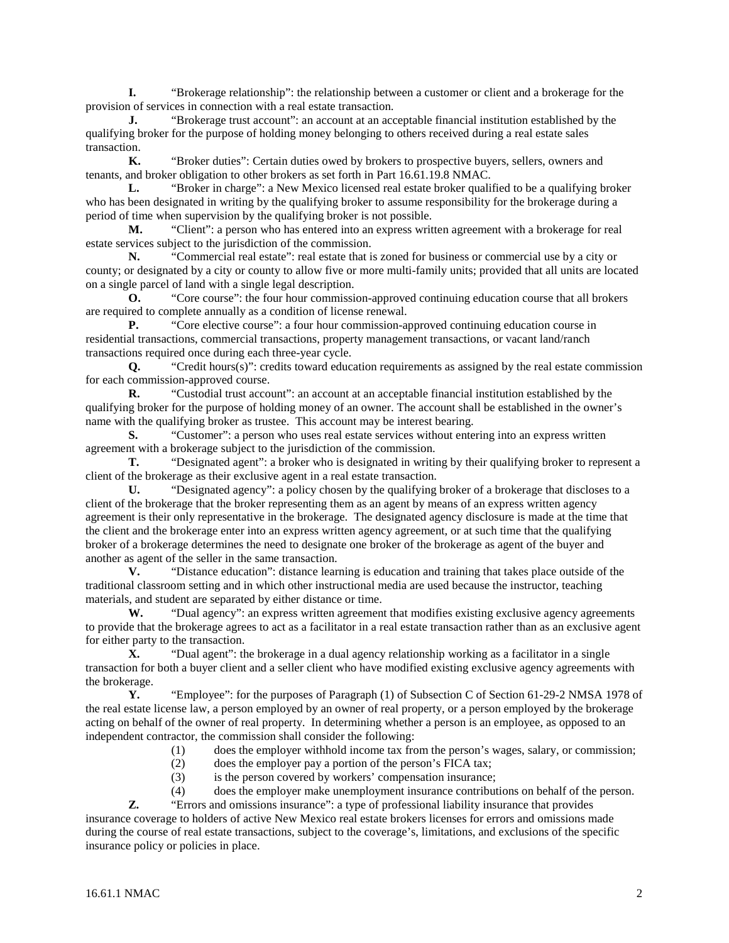**I.** "Brokerage relationship": the relationship between a customer or client and a brokerage for the provision of services in connection with a real estate transaction.

**J.** "Brokerage trust account": an account at an acceptable financial institution established by the qualifying broker for the purpose of holding money belonging to others received during a real estate sales transaction.

**K.** "Broker duties": Certain duties owed by brokers to prospective buyers, sellers, owners and tenants, and broker obligation to other brokers as set forth in Part 16.61.19.8 NMAC.

**L.** "Broker in charge": a New Mexico licensed real estate broker qualified to be a qualifying broker who has been designated in writing by the qualifying broker to assume responsibility for the brokerage during a period of time when supervision by the qualifying broker is not possible.

**M.** "Client": a person who has entered into an express written agreement with a brokerage for real estate services subject to the jurisdiction of the commission.

**N.** "Commercial real estate": real estate that is zoned for business or commercial use by a city or county; or designated by a city or county to allow five or more multi-family units; provided that all units are located on a single parcel of land with a single legal description.

**O.** "Core course": the four hour commission-approved continuing education course that all brokers are required to complete annually as a condition of license renewal.

**P.** "Core elective course": a four hour commission-approved continuing education course in residential transactions, commercial transactions, property management transactions, or vacant land/ranch transactions required once during each three-year cycle.

**Q.** "Credit hours(s)": credits toward education requirements as assigned by the real estate commission for each commission-approved course.

**R.** "Custodial trust account": an account at an acceptable financial institution established by the qualifying broker for the purpose of holding money of an owner. The account shall be established in the owner's name with the qualifying broker as trustee. This account may be interest bearing.

**S.** "Customer": a person who uses real estate services without entering into an express written agreement with a brokerage subject to the jurisdiction of the commission.

**T.** "Designated agent": a broker who is designated in writing by their qualifying broker to represent a client of the brokerage as their exclusive agent in a real estate transaction.

**U.** "Designated agency": a policy chosen by the qualifying broker of a brokerage that discloses to a client of the brokerage that the broker representing them as an agent by means of an express written agency agreement is their only representative in the brokerage. The designated agency disclosure is made at the time that the client and the brokerage enter into an express written agency agreement, or at such time that the qualifying broker of a brokerage determines the need to designate one broker of the brokerage as agent of the buyer and another as agent of the seller in the same transaction.

**V.** "Distance education": distance learning is education and training that takes place outside of the traditional classroom setting and in which other instructional media are used because the instructor, teaching materials, and student are separated by either distance or time.

W. "Dual agency": an express written agreement that modifies existing exclusive agency agreements to provide that the brokerage agrees to act as a facilitator in a real estate transaction rather than as an exclusive agent for either party to the transaction.

**X.** "Dual agent": the brokerage in a dual agency relationship working as a facilitator in a single transaction for both a buyer client and a seller client who have modified existing exclusive agency agreements with the brokerage.

**Y.** "Employee": for the purposes of Paragraph (1) of Subsection C of Section 61-29-2 NMSA 1978 of the real estate license law, a person employed by an owner of real property, or a person employed by the brokerage acting on behalf of the owner of real property. In determining whether a person is an employee, as opposed to an independent contractor, the commission shall consider the following:

(1) does the employer withhold income tax from the person's wages, salary, or commission;

- (2) does the employer pay a portion of the person's FICA tax;
- (3) is the person covered by workers' compensation insurance;

(4) does the employer make unemployment insurance contributions on behalf of the person.

**Z.** "Errors and omissions insurance": a type of professional liability insurance that provides insurance coverage to holders of active New Mexico real estate brokers licenses for errors and omissions made during the course of real estate transactions, subject to the coverage's, limitations, and exclusions of the specific insurance policy or policies in place.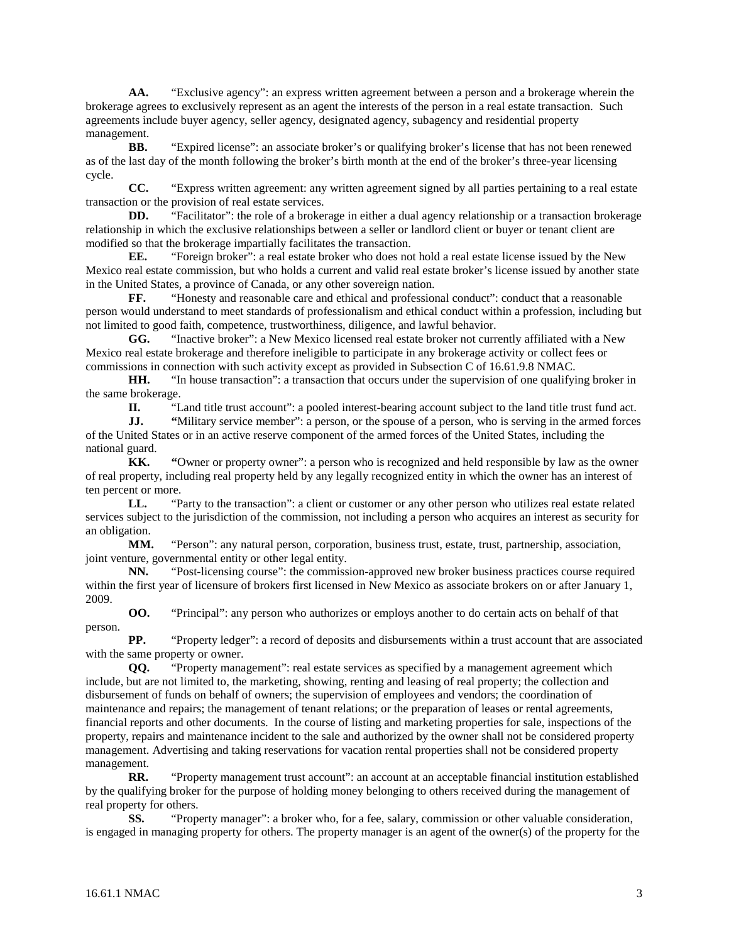**AA.** "Exclusive agency": an express written agreement between a person and a brokerage wherein the brokerage agrees to exclusively represent as an agent the interests of the person in a real estate transaction. Such agreements include buyer agency, seller agency, designated agency, subagency and residential property management.

**BB.** "Expired license": an associate broker's or qualifying broker's license that has not been renewed as of the last day of the month following the broker's birth month at the end of the broker's three-year licensing cycle.

**CC.** "Express written agreement: any written agreement signed by all parties pertaining to a real estate transaction or the provision of real estate services.

**DD.** "Facilitator": the role of a brokerage in either a dual agency relationship or a transaction brokerage relationship in which the exclusive relationships between a seller or landlord client or buyer or tenant client are modified so that the brokerage impartially facilitates the transaction.<br> **EE.** "Foreign broker": a real estate broker who does no

**EE.** "Foreign broker": a real estate broker who does not hold a real estate license issued by the New Mexico real estate commission, but who holds a current and valid real estate broker's license issued by another state in the United States, a province of Canada, or any other sovereign nation.

**FF.** "Honesty and reasonable care and ethical and professional conduct": conduct that a reasonable person would understand to meet standards of professionalism and ethical conduct within a profession, including but not limited to good faith, competence, trustworthiness, diligence, and lawful behavior.

**GG.** "Inactive broker": a New Mexico licensed real estate broker not currently affiliated with a New Mexico real estate brokerage and therefore ineligible to participate in any brokerage activity or collect fees or commissions in connection with such activity except as provided in Subsection C of 16.61.9.8 NMAC.

**HH.** "In house transaction": a transaction that occurs under the supervision of one qualifying broker in the same brokerage.

**II.** "Land title trust account": a pooled interest-bearing account subject to the land title trust fund act.

**JJ.** "Military service member": a person, or the spouse of a person, who is serving in the armed forces of the United States or in an active reserve component of the armed forces of the United States, including the national guard.

**KK. "**Owner or property owner": a person who is recognized and held responsible by law as the owner of real property, including real property held by any legally recognized entity in which the owner has an interest of ten percent or more.

**LL.** "Party to the transaction": a client or customer or any other person who utilizes real estate related services subject to the jurisdiction of the commission, not including a person who acquires an interest as security for an obligation.

**MM.** "Person": any natural person, corporation, business trust, estate, trust, partnership, association, joint venture, governmental entity or other legal entity.

**NN.** "Post-licensing course": the commission-approved new broker business practices course required within the first year of licensure of brokers first licensed in New Mexico as associate brokers on or after January 1, 2009.

**OO.** "Principal": any person who authorizes or employs another to do certain acts on behalf of that person.

**PP.** "Property ledger": a record of deposits and disbursements within a trust account that are associated with the same property or owner.

**QQ.** "Property management": real estate services as specified by a management agreement which include, but are not limited to, the marketing, showing, renting and leasing of real property; the collection and disbursement of funds on behalf of owners; the supervision of employees and vendors; the coordination of maintenance and repairs; the management of tenant relations; or the preparation of leases or rental agreements, financial reports and other documents. In the course of listing and marketing properties for sale, inspections of the property, repairs and maintenance incident to the sale and authorized by the owner shall not be considered property management. Advertising and taking reservations for vacation rental properties shall not be considered property management.

RR. "Property management trust account": an account at an acceptable financial institution established by the qualifying broker for the purpose of holding money belonging to others received during the management of real property for others.

**SS.** "Property manager": a broker who, for a fee, salary, commission or other valuable consideration, is engaged in managing property for others. The property manager is an agent of the owner(s) of the property for the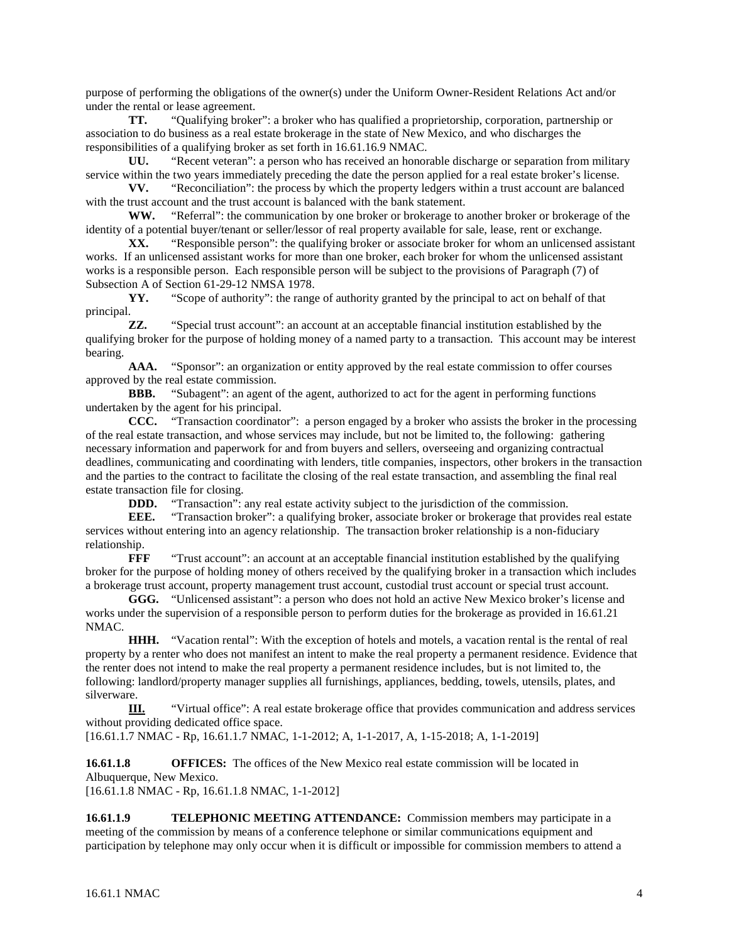purpose of performing the obligations of the owner(s) under the Uniform Owner-Resident Relations Act and/or under the rental or lease agreement.

**TT.** "Qualifying broker": a broker who has qualified a proprietorship, corporation, partnership or association to do business as a real estate brokerage in the state of New Mexico, and who discharges the responsibilities of a qualifying broker as set forth in 16.61.16.9 NMAC.

**UU.** "Recent veteran": a person who has received an honorable discharge or separation from military service within the two years immediately preceding the date the person applied for a real estate broker's license.<br> **VV.** "Reconciliation": the process by which the property ledgers within a trust account are balanced

**VV.** "Reconciliation": the process by which the property ledgers within a trust account are balanced with the trust account and the trust account is balanced with the bank statement.

**WW.** "Referral": the communication by one broker or brokerage to another broker or brokerage of the identity of a potential buyer/tenant or seller/lessor of real property available for sale, lease, rent or exchange.

XX. "Responsible person": the qualifying broker or associate broker for whom an unlicensed assistant works. If an unlicensed assistant works for more than one broker, each broker for whom the unlicensed assistant works is a responsible person. Each responsible person will be subject to the provisions of Paragraph (7) of Subsection A of Section 61-29-12 NMSA 1978.

**YY.** "Scope of authority": the range of authority granted by the principal to act on behalf of that principal.

**ZZ.** "Special trust account": an account at an acceptable financial institution established by the qualifying broker for the purpose of holding money of a named party to a transaction. This account may be interest bearing.

AAA. "Sponsor": an organization or entity approved by the real estate commission to offer courses approved by the real estate commission.<br>**BBB.** "Subagent": an agent of

"Subagent": an agent of the agent, authorized to act for the agent in performing functions undertaken by the agent for his principal.

**CCC.** "Transaction coordinator": a person engaged by a broker who assists the broker in the processing of the real estate transaction, and whose services may include, but not be limited to, the following: gathering necessary information and paperwork for and from buyers and sellers, overseeing and organizing contractual deadlines, communicating and coordinating with lenders, title companies, inspectors, other brokers in the transaction and the parties to the contract to facilitate the closing of the real estate transaction, and assembling the final real estate transaction file for closing.

**DDD.** "Transaction": any real estate activity subject to the jurisdiction of the commission.

**EEE.** "Transaction broker": a qualifying broker, associate broker or brokerage that provides real estate services without entering into an agency relationship. The transaction broker relationship is a non-fiduciary relationship.<br> **FFF** 

"Trust account": an account at an acceptable financial institution established by the qualifying broker for the purpose of holding money of others received by the qualifying broker in a transaction which includes a brokerage trust account, property management trust account, custodial trust account or special trust account.

**GGG.** "Unlicensed assistant": a person who does not hold an active New Mexico broker's license and works under the supervision of a responsible person to perform duties for the brokerage as provided in 16.61.21 NMAC.

**HHH.** "Vacation rental": With the exception of hotels and motels, a vacation rental is the rental of real property by a renter who does not manifest an intent to make the real property a permanent residence. Evidence that the renter does not intend to make the real property a permanent residence includes, but is not limited to, the following: landlord/property manager supplies all furnishings, appliances, bedding, towels, utensils, plates, and silverware.

**III.** "Virtual office": A real estate brokerage office that provides communication and address services without providing dedicated office space.

[16.61.1.7 NMAC - Rp, 16.61.1.7 NMAC, 1-1-2012; A, 1-1-2017, A, 1-15-2018; A, 1-1-2019]

**16.61.1.8 OFFICES:** The offices of the New Mexico real estate commission will be located in Albuquerque, New Mexico.

[16.61.1.8 NMAC - Rp, 16.61.1.8 NMAC, 1-1-2012]

**16.61.1.9 TELEPHONIC MEETING ATTENDANCE:** Commission members may participate in a meeting of the commission by means of a conference telephone or similar communications equipment and participation by telephone may only occur when it is difficult or impossible for commission members to attend a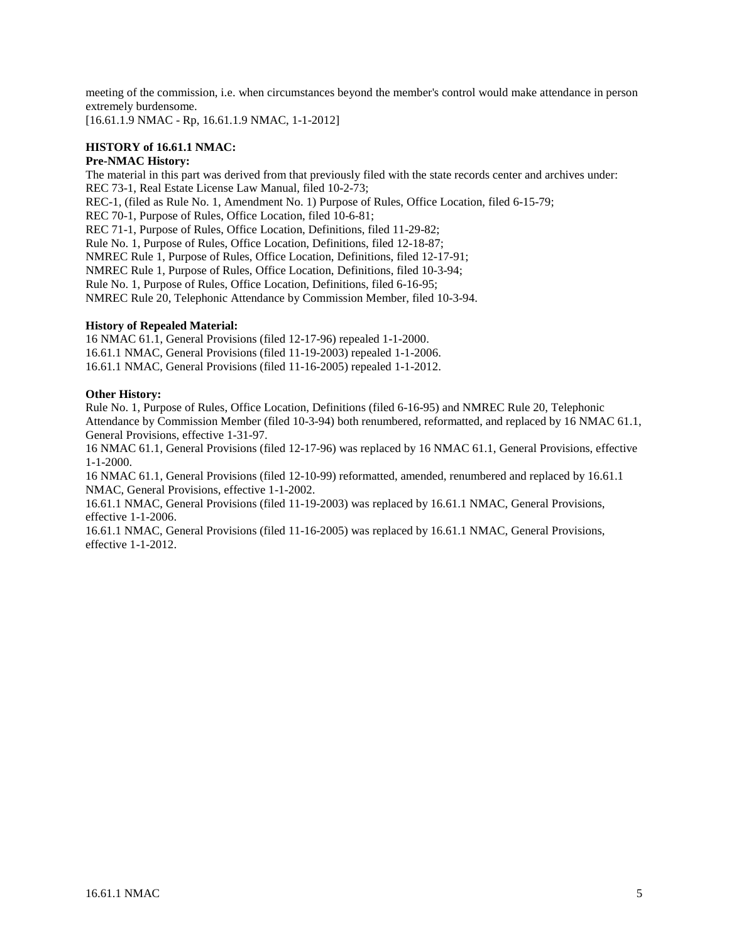meeting of the commission, i.e. when circumstances beyond the member's control would make attendance in person extremely burdensome.

[16.61.1.9 NMAC - Rp, 16.61.1.9 NMAC, 1-1-2012]

## **HISTORY of 16.61.1 NMAC:**

## **Pre-NMAC History:**

The material in this part was derived from that previously filed with the state records center and archives under: REC 73-1, Real Estate License Law Manual, filed 10-2-73; REC-1, (filed as Rule No. 1, Amendment No. 1) Purpose of Rules, Office Location, filed 6-15-79; REC 70-1, Purpose of Rules, Office Location, filed 10-6-81; REC 71-1, Purpose of Rules, Office Location, Definitions, filed 11-29-82; Rule No. 1, Purpose of Rules, Office Location, Definitions, filed 12-18-87; NMREC Rule 1, Purpose of Rules, Office Location, Definitions, filed 12-17-91; NMREC Rule 1, Purpose of Rules, Office Location, Definitions, filed 10-3-94; Rule No. 1, Purpose of Rules, Office Location, Definitions, filed 6-16-95; NMREC Rule 20, Telephonic Attendance by Commission Member, filed 10-3-94.

## **History of Repealed Material:**

16 NMAC 61.1, General Provisions (filed 12-17-96) repealed 1-1-2000. 16.61.1 NMAC, General Provisions (filed 11-19-2003) repealed 1-1-2006. 16.61.1 NMAC, General Provisions (filed 11-16-2005) repealed 1-1-2012.

## **Other History:**

Rule No. 1, Purpose of Rules, Office Location, Definitions (filed 6-16-95) and NMREC Rule 20, Telephonic Attendance by Commission Member (filed 10-3-94) both renumbered, reformatted, and replaced by 16 NMAC 61.1, General Provisions, effective 1-31-97.

16 NMAC 61.1, General Provisions (filed 12-17-96) was replaced by 16 NMAC 61.1, General Provisions, effective 1-1-2000.

16 NMAC 61.1, General Provisions (filed 12-10-99) reformatted, amended, renumbered and replaced by 16.61.1 NMAC, General Provisions, effective 1-1-2002.

16.61.1 NMAC, General Provisions (filed 11-19-2003) was replaced by 16.61.1 NMAC, General Provisions, effective 1-1-2006.

16.61.1 NMAC, General Provisions (filed 11-16-2005) was replaced by 16.61.1 NMAC, General Provisions, effective 1-1-2012.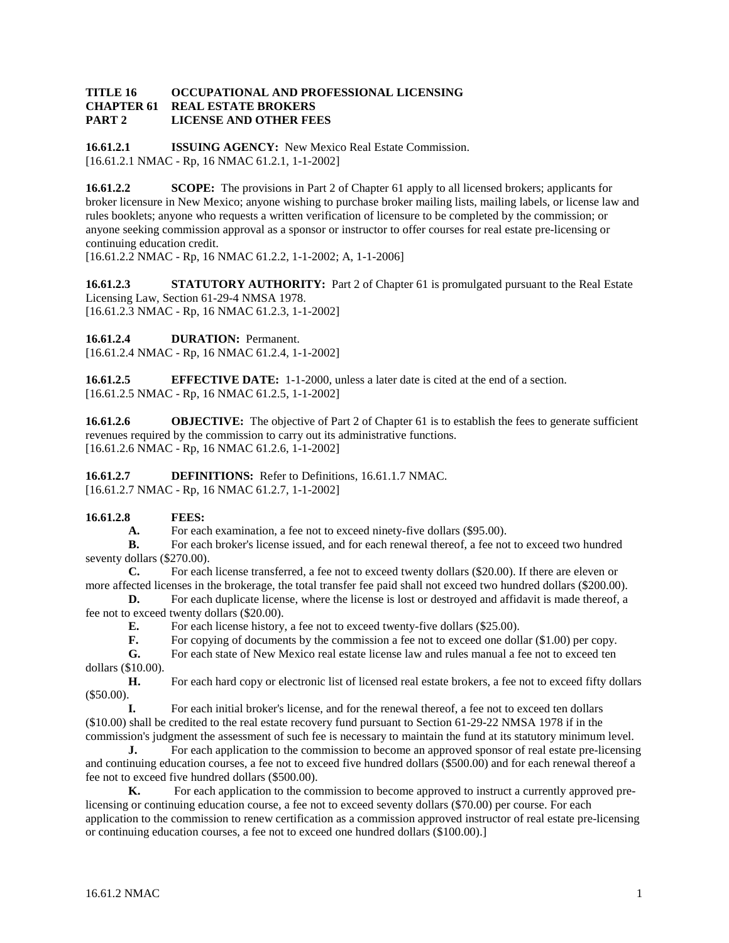#### **TITLE 16 OCCUPATIONAL AND PROFESSIONAL LICENSING REAL ESTATE BROKERS PART 2 LICENSE AND OTHER FEES**

**16.61.2.1 ISSUING AGENCY:** New Mexico Real Estate Commission. [16.61.2.1 NMAC - Rp, 16 NMAC 61.2.1, 1-1-2002]

**16.61.2.2 SCOPE:** The provisions in Part 2 of Chapter 61 apply to all licensed brokers; applicants for broker licensure in New Mexico; anyone wishing to purchase broker mailing lists, mailing labels, or license law and rules booklets; anyone who requests a written verification of licensure to be completed by the commission; or anyone seeking commission approval as a sponsor or instructor to offer courses for real estate pre-licensing or continuing education credit.

[16.61.2.2 NMAC - Rp, 16 NMAC 61.2.2, 1-1-2002; A, 1-1-2006]

**16.61.2.3 STATUTORY AUTHORITY:** Part 2 of Chapter 61 is promulgated pursuant to the Real Estate Licensing Law, Section 61-29-4 NMSA 1978. [16.61.2.3 NMAC - Rp, 16 NMAC 61.2.3, 1-1-2002]

**16.61.2.4 DURATION:** Permanent.

[16.61.2.4 NMAC - Rp, 16 NMAC 61.2.4, 1-1-2002]

**16.61.2.5 EFFECTIVE DATE:** 1-1-2000, unless a later date is cited at the end of a section. [16.61.2.5 NMAC - Rp, 16 NMAC 61.2.5, 1-1-2002]

**16.61.2.6 OBJECTIVE:** The objective of Part 2 of Chapter 61 is to establish the fees to generate sufficient revenues required by the commission to carry out its administrative functions. [16.61.2.6 NMAC - Rp, 16 NMAC 61.2.6, 1-1-2002]

**16.61.2.7 DEFINITIONS:** Refer to Definitions, 16.61.1.7 NMAC. [16.61.2.7 NMAC - Rp, 16 NMAC 61.2.7, 1-1-2002]

## **16.61.2.8 FEES:**

**A.** For each examination, a fee not to exceed ninety-five dollars (\$95.00).

**B.** For each broker's license issued, and for each renewal thereof, a fee not to exceed two hundred seventy dollars (\$270.00).

**C.** For each license transferred, a fee not to exceed twenty dollars (\$20.00). If there are eleven or more affected licenses in the brokerage, the total transfer fee paid shall not exceed two hundred dollars (\$200.00).

**D.** For each duplicate license, where the license is lost or destroyed and affidavit is made thereof, a fee not to exceed twenty dollars (\$20.00).

**E.** For each license history, a fee not to exceed twenty-five dollars (\$25.00).<br>**F.** For copying of documents by the commission a fee not to exceed one doll

For copying of documents by the commission a fee not to exceed one dollar (\$1.00) per copy.

**G.** For each state of New Mexico real estate license law and rules manual a fee not to exceed ten dollars (\$10.00).<br> $H$ .

**H.** For each hard copy or electronic list of licensed real estate brokers, a fee not to exceed fifty dollars (\$50.00).

**I.** For each initial broker's license, and for the renewal thereof, a fee not to exceed ten dollars (\$10.00) shall be credited to the real estate recovery fund pursuant to Section 61-29-22 NMSA 1978 if in the commission's judgment the assessment of such fee is necessary to maintain the fund at its statutory minimum level.

**J.** For each application to the commission to become an approved sponsor of real estate pre-licensing and continuing education courses, a fee not to exceed five hundred dollars (\$500.00) and for each renewal thereof a fee not to exceed five hundred dollars (\$500.00).

**K.** For each application to the commission to become approved to instruct a currently approved prelicensing or continuing education course, a fee not to exceed seventy dollars (\$70.00) per course. For each application to the commission to renew certification as a commission approved instructor of real estate pre-licensing or continuing education courses, a fee not to exceed one hundred dollars (\$100.00).]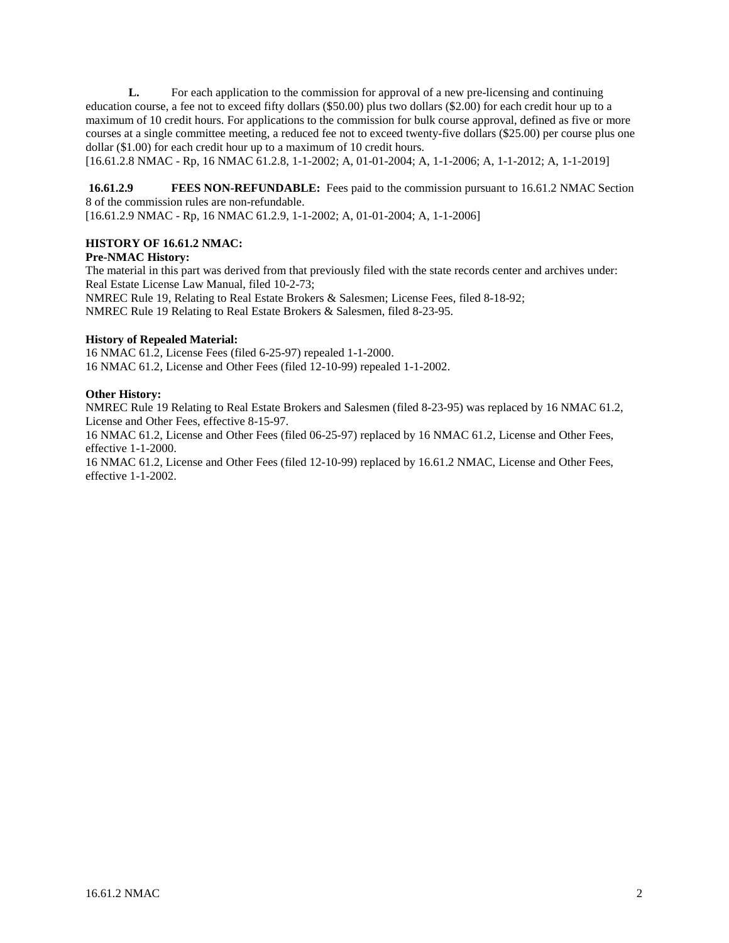**L.** For each application to the commission for approval of a new pre-licensing and continuing education course, a fee not to exceed fifty dollars (\$50.00) plus two dollars (\$2.00) for each credit hour up to a maximum of 10 credit hours. For applications to the commission for bulk course approval, defined as five or more courses at a single committee meeting, a reduced fee not to exceed twenty-five dollars (\$25.00) per course plus one dollar (\$1.00) for each credit hour up to a maximum of 10 credit hours.

[16.61.2.8 NMAC - Rp, 16 NMAC 61.2.8, 1-1-2002; A, 01-01-2004; A, 1-1-2006; A, 1-1-2012; A, 1-1-2019]

**16.61.2.9 FEES NON-REFUNDABLE:** Fees paid to the commission pursuant to 16.61.2 NMAC Section 8 of the commission rules are non-refundable.

[16.61.2.9 NMAC - Rp, 16 NMAC 61.2.9, 1-1-2002; A, 01-01-2004; A, 1-1-2006]

## **HISTORY OF 16.61.2 NMAC:**

## **Pre-NMAC History:**

The material in this part was derived from that previously filed with the state records center and archives under: Real Estate License Law Manual, filed 10-2-73; NMREC Rule 19, Relating to Real Estate Brokers & Salesmen; License Fees, filed 8-18-92; NMREC Rule 19 Relating to Real Estate Brokers & Salesmen, filed 8-23-95.

#### **History of Repealed Material:**

16 NMAC 61.2, License Fees (filed 6-25-97) repealed 1-1-2000. 16 NMAC 61.2, License and Other Fees (filed 12-10-99) repealed 1-1-2002.

#### **Other History:**

NMREC Rule 19 Relating to Real Estate Brokers and Salesmen (filed 8-23-95) was replaced by 16 NMAC 61.2, License and Other Fees, effective 8-15-97.

16 NMAC 61.2, License and Other Fees (filed 06-25-97) replaced by 16 NMAC 61.2, License and Other Fees, effective 1-1-2000.

16 NMAC 61.2, License and Other Fees (filed 12-10-99) replaced by 16.61.2 NMAC, License and Other Fees, effective 1-1-2002.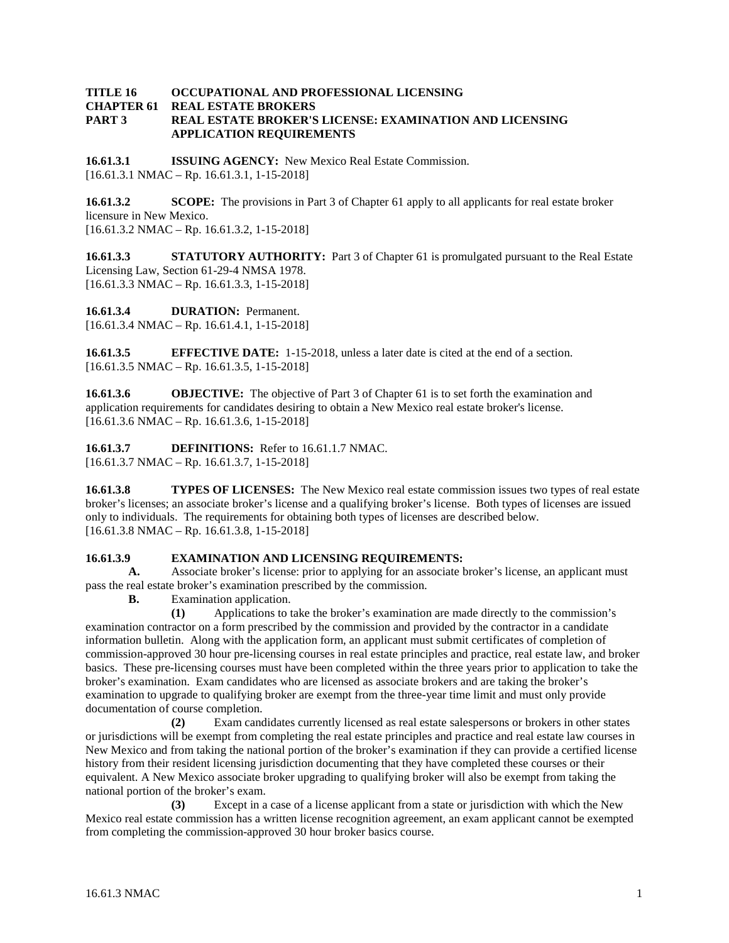#### **TITLE 16 OCCUPATIONAL AND PROFESSIONAL LICENSING REAL ESTATE BROKERS PART 3 REAL ESTATE BROKER'S LICENSE: EXAMINATION AND LICENSING APPLICATION REQUIREMENTS**

**16.61.3.1 ISSUING AGENCY:** New Mexico Real Estate Commission.  $[16.61.3.1 \text{ NMAC} - \text{Rp. } 16.61.3.1, 1-15-2018]$ 

**16.61.3.2 SCOPE:** The provisions in Part 3 of Chapter 61 apply to all applicants for real estate broker licensure in New Mexico. [16.61.3.2 NMAC – Rp. 16.61.3.2, 1-15-2018]

**16.61.3.3 STATUTORY AUTHORITY:** Part 3 of Chapter 61 is promulgated pursuant to the Real Estate Licensing Law, Section 61-29-4 NMSA 1978. [16.61.3.3 NMAC – Rp. 16.61.3.3, 1-15-2018]

**16.61.3.4 DURATION:** Permanent. [16.61.3.4 NMAC – Rp. 16.61.4.1, 1-15-2018]

**16.61.3.5 EFFECTIVE DATE:** 1-15-2018, unless a later date is cited at the end of a section.  $[16.61.3.5 NMAC - Rp. 16.61.3.5, 1-15-2018]$ 

**16.61.3.6 OBJECTIVE:** The objective of Part 3 of Chapter 61 is to set forth the examination and application requirements for candidates desiring to obtain a New Mexico real estate broker's license. [16.61.3.6 NMAC – Rp. 16.61.3.6, 1-15-2018]

**16.61.3.7 DEFINITIONS:** Refer to 16.61.1.7 NMAC. [16.61.3.7 NMAC – Rp. 16.61.3.7, 1-15-2018]

**16.61.3.8 TYPES OF LICENSES:** The New Mexico real estate commission issues two types of real estate broker's licenses; an associate broker's license and a qualifying broker's license. Both types of licenses are issued only to individuals. The requirements for obtaining both types of licenses are described below. [16.61.3.8 NMAC – Rp. 16.61.3.8, 1-15-2018]

## **16.61.3.9 EXAMINATION AND LICENSING REQUIREMENTS:**

**A.** Associate broker's license: prior to applying for an associate broker's license, an applicant must pass the real estate broker's examination prescribed by the commission.

**B.** Examination application.

**(1)** Applications to take the broker's examination are made directly to the commission's examination contractor on a form prescribed by the commission and provided by the contractor in a candidate information bulletin. Along with the application form, an applicant must submit certificates of completion of commission-approved 30 hour pre-licensing courses in real estate principles and practice, real estate law, and broker basics. These pre-licensing courses must have been completed within the three years prior to application to take the broker's examination. Exam candidates who are licensed as associate brokers and are taking the broker's examination to upgrade to qualifying broker are exempt from the three-year time limit and must only provide documentation of course completion.

**(2)** Exam candidates currently licensed as real estate salespersons or brokers in other states or jurisdictions will be exempt from completing the real estate principles and practice and real estate law courses in New Mexico and from taking the national portion of the broker's examination if they can provide a certified license history from their resident licensing jurisdiction documenting that they have completed these courses or their equivalent. A New Mexico associate broker upgrading to qualifying broker will also be exempt from taking the national portion of the broker's exam.

**(3)** Except in a case of a license applicant from a state or jurisdiction with which the New Mexico real estate commission has a written license recognition agreement, an exam applicant cannot be exempted from completing the commission-approved 30 hour broker basics course.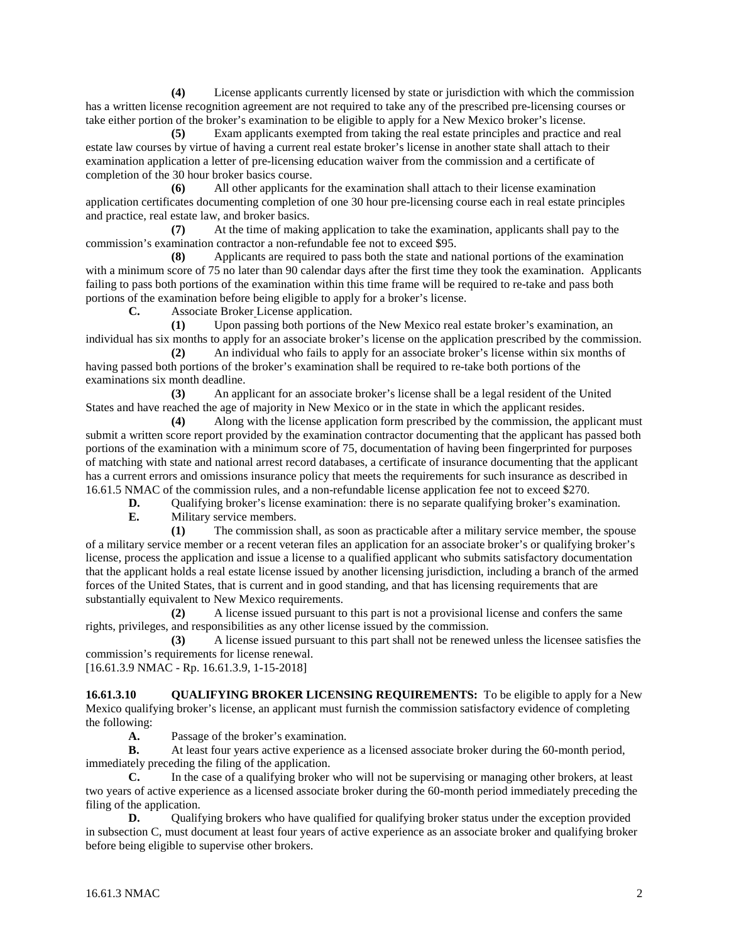**(4)** License applicants currently licensed by state or jurisdiction with which the commission has a written license recognition agreement are not required to take any of the prescribed pre-licensing courses or take either portion of the broker's examination to be eligible to apply for a New Mexico broker's license.

**(5)** Exam applicants exempted from taking the real estate principles and practice and real estate law courses by virtue of having a current real estate broker's license in another state shall attach to their examination application a letter of pre-licensing education waiver from the commission and a certificate of completion of the 30 hour broker basics course.

**(6)** All other applicants for the examination shall attach to their license examination application certificates documenting completion of one 30 hour pre-licensing course each in real estate principles and practice, real estate law, and broker basics.

**(7)** At the time of making application to take the examination, applicants shall pay to the commission's examination contractor a non-refundable fee not to exceed \$95.

**(8)** Applicants are required to pass both the state and national portions of the examination with a minimum score of 75 no later than 90 calendar days after the first time they took the examination. Applicants failing to pass both portions of the examination within this time frame will be required to re-take and pass both portions of the examination before being eligible to apply for a broker's license.

**C.** Associate Broker License application.

**(1)** Upon passing both portions of the New Mexico real estate broker's examination, an individual has six months to apply for an associate broker's license on the application prescribed by the commission.

**(2)** An individual who fails to apply for an associate broker's license within six months of having passed both portions of the broker's examination shall be required to re-take both portions of the examinations six month deadline.

**(3)** An applicant for an associate broker's license shall be a legal resident of the United States and have reached the age of majority in New Mexico or in the state in which the applicant resides.

**(4)** Along with the license application form prescribed by the commission, the applicant must submit a written score report provided by the examination contractor documenting that the applicant has passed both portions of the examination with a minimum score of 75, documentation of having been fingerprinted for purposes of matching with state and national arrest record databases, a certificate of insurance documenting that the applicant has a current errors and omissions insurance policy that meets the requirements for such insurance as described in 16.61.5 NMAC of the commission rules, and a non-refundable license application fee not to exceed \$270.

**D.** Qualifying broker's license examination: there is no separate qualifying broker's examination.<br> **F.** Military service members

**E.** Military service members.

**(1)** The commission shall, as soon as practicable after a military service member, the spouse of a military service member or a recent veteran files an application for an associate broker's or qualifying broker's license, process the application and issue a license to a qualified applicant who submits satisfactory documentation that the applicant holds a real estate license issued by another licensing jurisdiction, including a branch of the armed forces of the United States, that is current and in good standing, and that has licensing requirements that are substantially equivalent to New Mexico requirements.

**(2)** A license issued pursuant to this part is not a provisional license and confers the same rights, privileges, and responsibilities as any other license issued by the commission.

**(3)** A license issued pursuant to this part shall not be renewed unless the licensee satisfies the commission's requirements for license renewal.

[16.61.3.9 NMAC - Rp. 16.61.3.9, 1-15-2018]

**16.61.3.10 QUALIFYING BROKER LICENSING REQUIREMENTS:** To be eligible to apply for a New Mexico qualifying broker's license, an applicant must furnish the commission satisfactory evidence of completing the following:

**A.** Passage of the broker's examination.

**B.** At least four years active experience as a licensed associate broker during the 60**-**month period, immediately preceding the filing of the application.

**C.** In the case of a qualifying broker who will not be supervising or managing other brokers, at least two years of active experience as a licensed associate broker during the 60-month period immediately preceding the filing of the application.

**D.** Qualifying brokers who have qualified for qualifying broker status under the exception provided in subsection C, must document at least four years of active experience as an associate broker and qualifying broker before being eligible to supervise other brokers.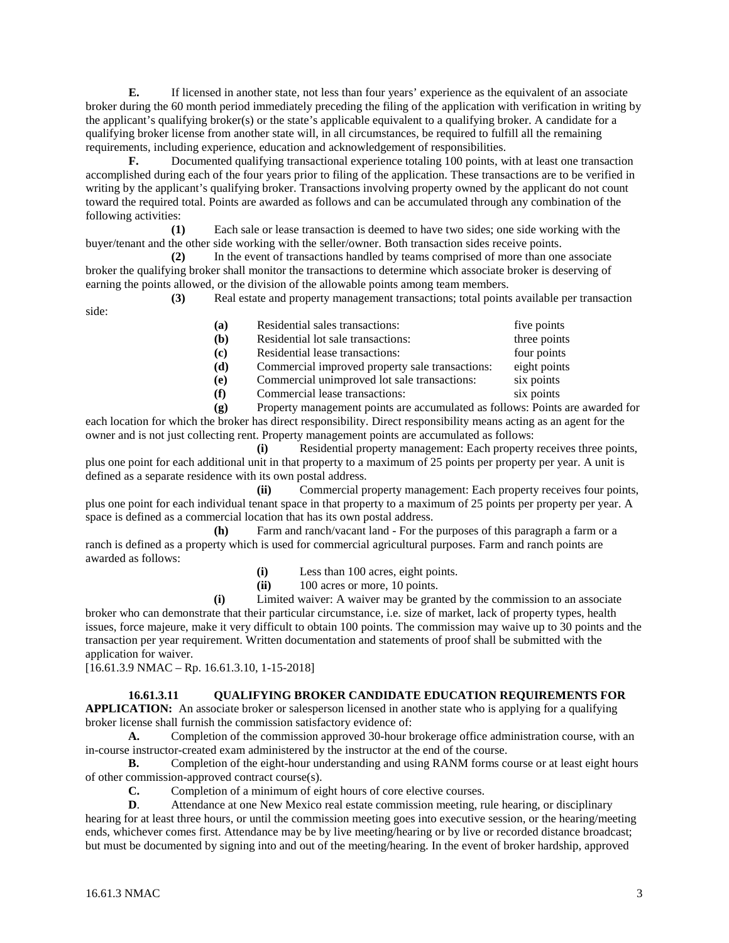**E.** If licensed in another state, not less than four years' experience as the equivalent of an associate broker during the 60 month period immediately preceding the filing of the application with verification in writing by the applicant's qualifying broker(s) or the state's applicable equivalent to a qualifying broker. A candidate for a qualifying broker license from another state will, in all circumstances, be required to fulfill all the remaining requirements, including experience, education and acknowledgement of responsibilities.

**F.** Documented qualifying transactional experience totaling 100 points, with at least one transaction accomplished during each of the four years prior to filing of the application. These transactions are to be verified in writing by the applicant's qualifying broker. Transactions involving property owned by the applicant do not count toward the required total. Points are awarded as follows and can be accumulated through any combination of the following activities:

**(1)** Each sale or lease transaction is deemed to have two sides; one side working with the buyer/tenant and the other side working with the seller/owner. Both transaction sides receive points.

**(2)** In the event of transactions handled by teams comprised of more than one associate broker the qualifying broker shall monitor the transactions to determine which associate broker is deserving of earning the points allowed, or the division of the allowable points among team members.

**(3)** Real estate and property management transactions; total points available per transaction side:

| (a) | Residential sales transactions:                 | five points  |
|-----|-------------------------------------------------|--------------|
| (b) | Residential lot sale transactions:              | three points |
| (c) | Residential lease transactions:                 | four points  |
| (d) | Commercial improved property sale transactions: | eight points |
| (e) | Commercial unimproved lot sale transactions:    | six points   |
| (f) | Commercial lease transactions:                  | six points   |
|     |                                                 |              |

**(g)** Property management points are accumulated as follows: Points are awarded for each location for which the broker has direct responsibility. Direct responsibility means acting as an agent for the owner and is not just collecting rent. Property management points are accumulated as follows:

**(i)** Residential property management: Each property receives three points, plus one point for each additional unit in that property to a maximum of 25 points per property per year. A unit is defined as a separate residence with its own postal address.

**(ii)** Commercial property management: Each property receives four points, plus one point for each individual tenant space in that property to a maximum of 25 points per property per year. A space is defined as a commercial location that has its own postal address.

**(h)** Farm and ranch/vacant land - For the purposes of this paragraph a farm or a ranch is defined as a property which is used for commercial agricultural purposes. Farm and ranch points are awarded as follows:

- **(i)** Less than 100 acres, eight points.
- **(ii)** 100 acres or more, 10 points.

**(i)** Limited waiver: A waiver may be granted by the commission to an associate broker who can demonstrate that their particular circumstance, i.e. size of market, lack of property types, health issues, force majeure, make it very difficult to obtain 100 points. The commission may waive up to 30 points and the transaction per year requirement. Written documentation and statements of proof shall be submitted with the application for waiver.

 $[16.61.3.9 \text{ NMAC} - \text{Rp. } 16.61.3.10, 1-15-2018]$ 

## **16.61.3.11 QUALIFYING BROKER CANDIDATE EDUCATION REQUIREMENTS FOR**

**APPLICATION:** An associate broker or salesperson licensed in another state who is applying for a qualifying broker license shall furnish the commission satisfactory evidence of:

**A.** Completion of the commission approved 30-hour brokerage office administration course, with an in-course instructor-created exam administered by the instructor at the end of the course.

- **B.** Completion of the eight-hour understanding and using RANM forms course or at least eight hours of other commission-approved contract course(s).
	- **C.** Completion of a minimum of eight hours of core elective courses.

**D.** Attendance at one New Mexico real estate commission meeting, rule hearing, or disciplinary hearing for at least three hours, or until the commission meeting goes into executive session, or the hearing/meeting ends, whichever comes first. Attendance may be by live meeting/hearing or by live or recorded distance broadcast; but must be documented by signing into and out of the meeting/hearing. In the event of broker hardship, approved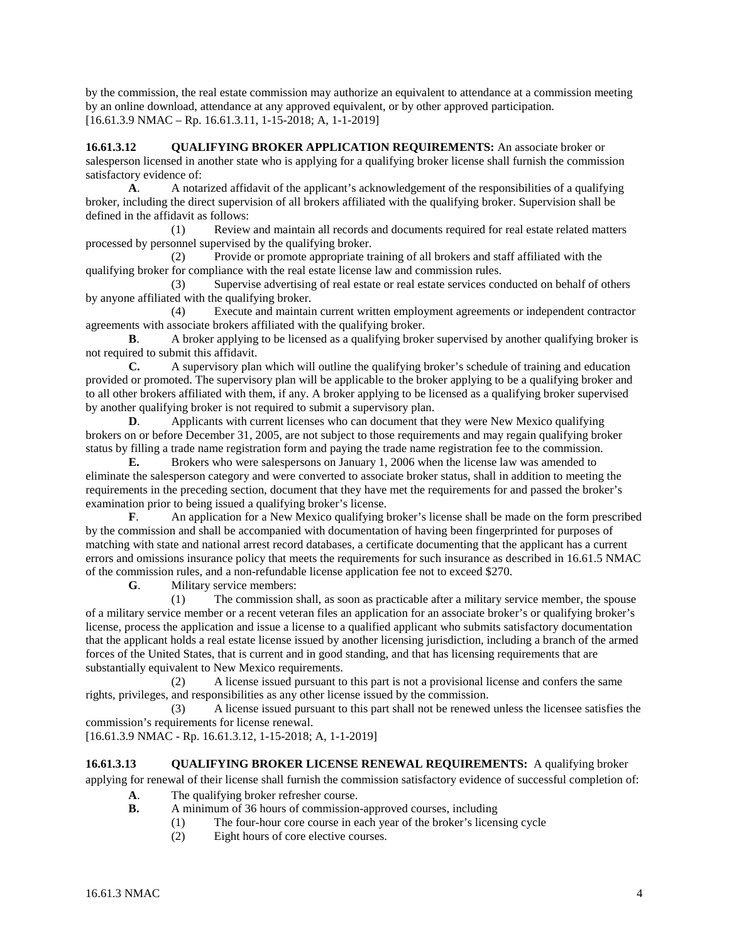by the commission, the real estate commission may authorize an equivalent to attendance at a commission meeting by an online download, attendance at any approved equivalent, or by other approved participation. [16.61.3.9 NMAC – Rp. 16.61.3.11, 1-15-2018; A, 1-1-2019]

**16.61.3.12 QUALIFYING BROKER APPLICATION REQUIREMENTS:** An associate broker or salesperson licensed in another state who is applying for a qualifying broker license shall furnish the commission satisfactory evidence of:

**A**. A notarized affidavit of the applicant's acknowledgement of the responsibilities of a qualifying broker, including the direct supervision of all brokers affiliated with the qualifying broker. Supervision shall be defined in the affidavit as follows:

(1) Review and maintain all records and documents required for real estate related matters processed by personnel supervised by the qualifying broker.

(2) Provide or promote appropriate training of all brokers and staff affiliated with the qualifying broker for compliance with the real estate license law and commission rules.

(3) Supervise advertising of real estate or real estate services conducted on behalf of others by anyone affiliated with the qualifying broker.

(4) Execute and maintain current written employment agreements or independent contractor agreements with associate brokers affiliated with the qualifying broker.

**B**. A broker applying to be licensed as a qualifying broker supervised by another qualifying broker is not required to submit this affidavit.

**C.** A supervisory plan which will outline the qualifying broker's schedule of training and education provided or promoted. The supervisory plan will be applicable to the broker applying to be a qualifying broker and to all other brokers affiliated with them, if any. A broker applying to be licensed as a qualifying broker supervised by another qualifying broker is not required to submit a supervisory plan.

**D.** Applicants with current licenses who can document that they were New Mexico qualifying brokers on or before December 31, 2005, are not subject to those requirements and may regain qualifying broker status by filling a trade name registration form and paying the trade name registration fee to the commission.

**E.** Brokers who were salespersons on January 1, 2006 when the license law was amended to eliminate the salesperson category and were converted to associate broker status, shall in addition to meeting the requirements in the preceding section, document that they have met the requirements for and passed the broker's examination prior to being issued a qualifying broker's license.

**F**. An application for a New Mexico qualifying broker's license shall be made on the form prescribed by the commission and shall be accompanied with documentation of having been fingerprinted for purposes of matching with state and national arrest record databases, a certificate documenting that the applicant has a current errors and omissions insurance policy that meets the requirements for such insurance as described in 16.61.5 NMAC of the commission rules, and a non-refundable license application fee not to exceed \$270.

**G**. Military service members:

(1) The commission shall, as soon as practicable after a military service member, the spouse of a military service member or a recent veteran files an application for an associate broker's or qualifying broker's license, process the application and issue a license to a qualified applicant who submits satisfactory documentation that the applicant holds a real estate license issued by another licensing jurisdiction, including a branch of the armed forces of the United States, that is current and in good standing, and that has licensing requirements that are substantially equivalent to New Mexico requirements.

(2) A license issued pursuant to this part is not a provisional license and confers the same rights, privileges, and responsibilities as any other license issued by the commission.

(3) A license issued pursuant to this part shall not be renewed unless the licensee satisfies the commission's requirements for license renewal.

[16.61.3.9 NMAC - Rp. 16.61.3.12, 1-15-2018; A, 1-1-2019]

## **16.61.3.13 QUALIFYING BROKER LICENSE RENEWAL REQUIREMENTS:** A qualifying broker

applying for renewal of their license shall furnish the commission satisfactory evidence of successful completion of:

- **A**. The qualifying broker refresher course.
- **B.** A minimum of 36 hours of commission-approved courses, including
	- (1) The four-hour core course in each year of the broker's licensing cycle
	- (2) Eight hours of core elective courses.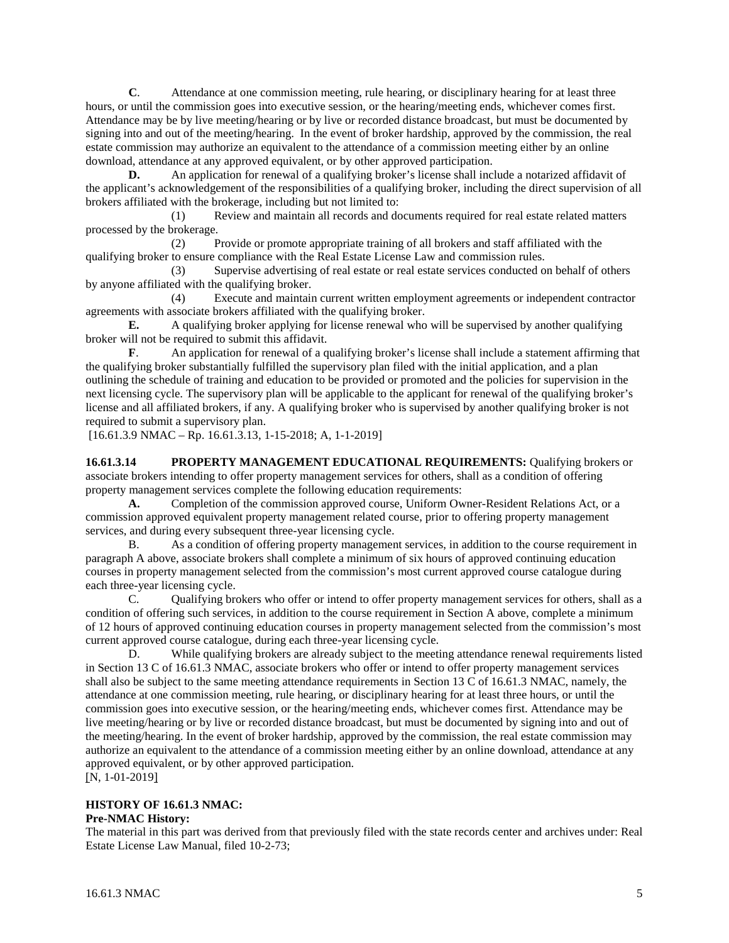**C**. Attendance at one commission meeting, rule hearing, or disciplinary hearing for at least three hours, or until the commission goes into executive session, or the hearing/meeting ends, whichever comes first. Attendance may be by live meeting/hearing or by live or recorded distance broadcast, but must be documented by signing into and out of the meeting/hearing. In the event of broker hardship, approved by the commission, the real estate commission may authorize an equivalent to the attendance of a commission meeting either by an online download, attendance at any approved equivalent, or by other approved participation.

**D.** An application for renewal of a qualifying broker's license shall include a notarized affidavit of the applicant's acknowledgement of the responsibilities of a qualifying broker, including the direct supervision of all brokers affiliated with the brokerage, including but not limited to:

(1) Review and maintain all records and documents required for real estate related matters processed by the brokerage.

(2) Provide or promote appropriate training of all brokers and staff affiliated with the qualifying broker to ensure compliance with the Real Estate License Law and commission rules.

(3) Supervise advertising of real estate or real estate services conducted on behalf of others by anyone affiliated with the qualifying broker.

(4) Execute and maintain current written employment agreements or independent contractor agreements with associate brokers affiliated with the qualifying broker.

**E.** A qualifying broker applying for license renewal who will be supervised by another qualifying broker will not be required to submit this affidavit.

**F**. An application for renewal of a qualifying broker's license shall include a statement affirming that the qualifying broker substantially fulfilled the supervisory plan filed with the initial application, and a plan outlining the schedule of training and education to be provided or promoted and the policies for supervision in the next licensing cycle. The supervisory plan will be applicable to the applicant for renewal of the qualifying broker's license and all affiliated brokers, if any. A qualifying broker who is supervised by another qualifying broker is not required to submit a supervisory plan.

[16.61.3.9 NMAC – Rp. 16.61.3.13, 1-15-2018; A, 1-1-2019]

**16.61.3.14 PROPERTY MANAGEMENT EDUCATIONAL REQUIREMENTS:** Qualifying brokers or associate brokers intending to offer property management services for others, shall as a condition of offering property management services complete the following education requirements:

**A.** Completion of the commission approved course, Uniform Owner-Resident Relations Act, or a commission approved equivalent property management related course, prior to offering property management services, and during every subsequent three-year licensing cycle.

B. As a condition of offering property management services, in addition to the course requirement in paragraph A above, associate brokers shall complete a minimum of six hours of approved continuing education courses in property management selected from the commission's most current approved course catalogue during each three-year licensing cycle.

C. Qualifying brokers who offer or intend to offer property management services for others, shall as a condition of offering such services, in addition to the course requirement in Section A above, complete a minimum of 12 hours of approved continuing education courses in property management selected from the commission's most current approved course catalogue, during each three-year licensing cycle.

D. While qualifying brokers are already subject to the meeting attendance renewal requirements listed in Section 13 C of 16.61.3 NMAC, associate brokers who offer or intend to offer property management services shall also be subject to the same meeting attendance requirements in Section 13 C of 16.61.3 NMAC, namely, the attendance at one commission meeting, rule hearing, or disciplinary hearing for at least three hours, or until the commission goes into executive session, or the hearing/meeting ends, whichever comes first. Attendance may be live meeting/hearing or by live or recorded distance broadcast, but must be documented by signing into and out of the meeting/hearing. In the event of broker hardship, approved by the commission, the real estate commission may authorize an equivalent to the attendance of a commission meeting either by an online download, attendance at any approved equivalent, or by other approved participation. [N, 1-01-2019]

#### **HISTORY OF 16.61.3 NMAC: Pre-NMAC History:**

The material in this part was derived from that previously filed with the state records center and archives under: Real Estate License Law Manual, filed 10-2-73;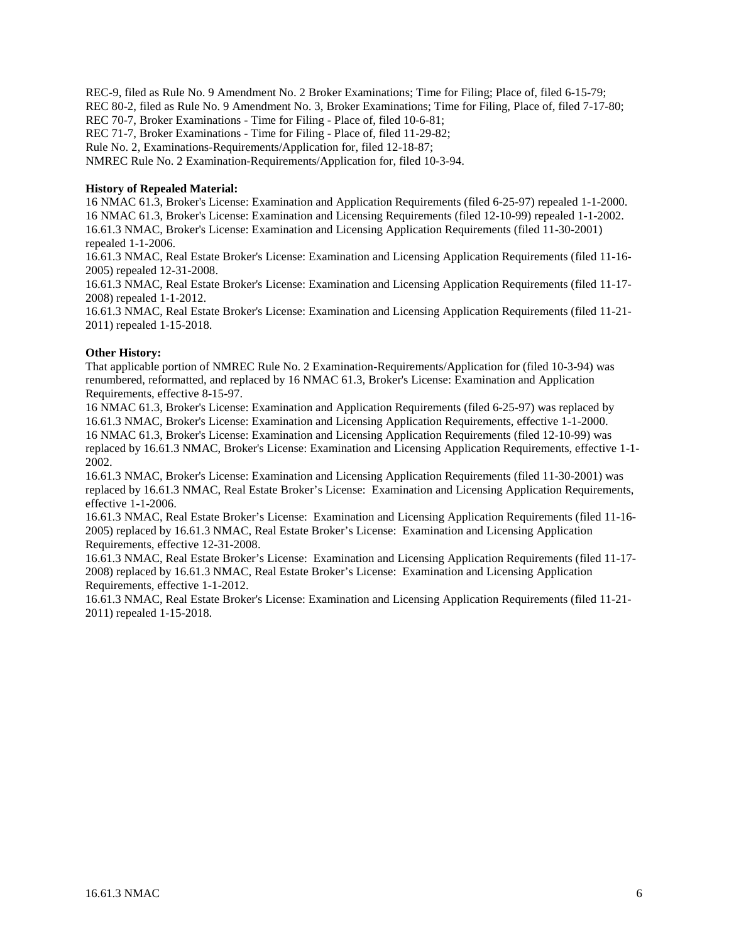REC-9, filed as Rule No. 9 Amendment No. 2 Broker Examinations; Time for Filing; Place of, filed 6-15-79; REC 80-2, filed as Rule No. 9 Amendment No. 3, Broker Examinations; Time for Filing, Place of, filed 7-17-80; REC 70-7, Broker Examinations - Time for Filing - Place of, filed 10-6-81; REC 71-7, Broker Examinations - Time for Filing - Place of, filed 11-29-82; Rule No. 2, Examinations-Requirements/Application for, filed 12-18-87; NMREC Rule No. 2 Examination-Requirements/Application for, filed 10-3-94.

#### **History of Repealed Material:**

16 NMAC 61.3, Broker's License: Examination and Application Requirements (filed 6-25-97) repealed 1-1-2000. 16 NMAC 61.3, Broker's License: Examination and Licensing Requirements (filed 12-10-99) repealed 1-1-2002. 16.61.3 NMAC, Broker's License: Examination and Licensing Application Requirements (filed 11-30-2001) repealed 1-1-2006.

16.61.3 NMAC, Real Estate Broker's License: Examination and Licensing Application Requirements (filed 11-16- 2005) repealed 12-31-2008.

16.61.3 NMAC, Real Estate Broker's License: Examination and Licensing Application Requirements (filed 11-17- 2008) repealed 1-1-2012.

16.61.3 NMAC, Real Estate Broker's License: Examination and Licensing Application Requirements (filed 11-21- 2011) repealed 1-15-2018.

#### **Other History:**

That applicable portion of NMREC Rule No. 2 Examination-Requirements/Application for (filed 10-3-94) was renumbered, reformatted, and replaced by 16 NMAC 61.3, Broker's License: Examination and Application Requirements, effective 8-15-97.

16 NMAC 61.3, Broker's License: Examination and Application Requirements (filed 6-25-97) was replaced by 16.61.3 NMAC, Broker's License: Examination and Licensing Application Requirements, effective 1-1-2000. 16 NMAC 61.3, Broker's License: Examination and Licensing Application Requirements (filed 12-10-99) was replaced by 16.61.3 NMAC, Broker's License: Examination and Licensing Application Requirements, effective 1-1- 2002.

16.61.3 NMAC, Broker's License: Examination and Licensing Application Requirements (filed 11-30-2001) was replaced by 16.61.3 NMAC, Real Estate Broker's License: Examination and Licensing Application Requirements, effective 1-1-2006.

16.61.3 NMAC, Real Estate Broker's License: Examination and Licensing Application Requirements (filed 11-16- 2005) replaced by 16.61.3 NMAC, Real Estate Broker's License: Examination and Licensing Application Requirements, effective 12-31-2008.

16.61.3 NMAC, Real Estate Broker's License: Examination and Licensing Application Requirements (filed 11-17- 2008) replaced by 16.61.3 NMAC, Real Estate Broker's License: Examination and Licensing Application Requirements, effective 1-1-2012.

16.61.3 NMAC, Real Estate Broker's License: Examination and Licensing Application Requirements (filed 11-21- 2011) repealed 1-15-2018.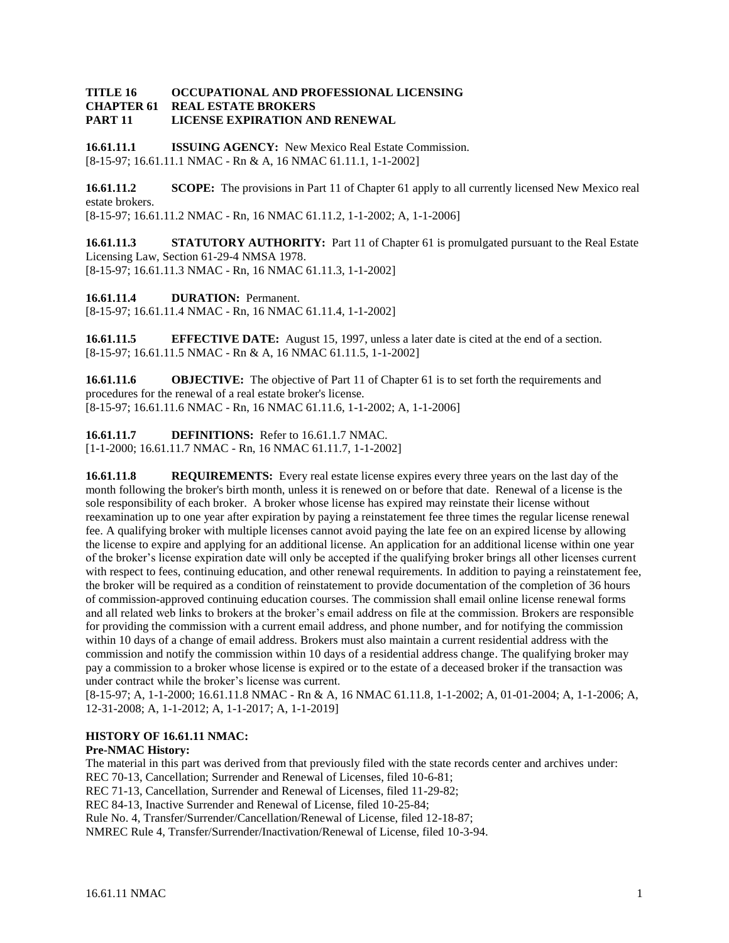## **TITLE 16 OCCUPATIONAL AND PROFESSIONAL LICENSING CHAPTER 61 REAL ESTATE BROKERS PART 11 LICENSE EXPIRATION AND RENEWAL**

**16.61.11.1 ISSUING AGENCY:** New Mexico Real Estate Commission. [8-15-97; 16.61.11.1 NMAC - Rn & A, 16 NMAC 61.11.1, 1-1-2002]

**16.61.11.2 SCOPE:** The provisions in Part 11 of Chapter 61 apply to all currently licensed New Mexico real estate brokers. [8-15-97; 16.61.11.2 NMAC - Rn, 16 NMAC 61.11.2, 1-1-2002; A, 1-1-2006]

**16.61.11.3 STATUTORY AUTHORITY:** Part 11 of Chapter 61 is promulgated pursuant to the Real Estate Licensing Law, Section 61-29-4 NMSA 1978. [8-15-97; 16.61.11.3 NMAC - Rn, 16 NMAC 61.11.3, 1-1-2002]

**16.61.11.4 DURATION:** Permanent. [8-15-97; 16.61.11.4 NMAC - Rn, 16 NMAC 61.11.4, 1-1-2002]

**16.61.11.5 EFFECTIVE DATE:** August 15, 1997, unless a later date is cited at the end of a section. [8-15-97; 16.61.11.5 NMAC - Rn & A, 16 NMAC 61.11.5, 1-1-2002]

**16.61.11.6 OBJECTIVE:** The objective of Part 11 of Chapter 61 is to set forth the requirements and procedures for the renewal of a real estate broker's license. [8-15-97; 16.61.11.6 NMAC - Rn, 16 NMAC 61.11.6, 1-1-2002; A, 1-1-2006]

**16.61.11.7 DEFINITIONS:** Refer to 16.61.1.7 NMAC.

[1-1-2000; 16.61.11.7 NMAC - Rn, 16 NMAC 61.11.7, 1-1-2002]

**16.61.11.8 REQUIREMENTS:** Every real estate license expires every three years on the last day of the month following the broker's birth month, unless it is renewed on or before that date. Renewal of a license is the sole responsibility of each broker. A broker whose license has expired may reinstate their license without reexamination up to one year after expiration by paying a reinstatement fee three times the regular license renewal fee. A qualifying broker with multiple licenses cannot avoid paying the late fee on an expired license by allowing the license to expire and applying for an additional license. An application for an additional license within one year of the broker's license expiration date will only be accepted if the qualifying broker brings all other licenses current with respect to fees, continuing education, and other renewal requirements. In addition to paying a reinstatement fee, the broker will be required as a condition of reinstatement to provide documentation of the completion of 36 hours of commission-approved continuing education courses. The commission shall email online license renewal forms and all related web links to brokers at the broker's email address on file at the commission. Brokers are responsible for providing the commission with a current email address, and phone number, and for notifying the commission within 10 days of a change of email address. Brokers must also maintain a current residential address with the commission and notify the commission within 10 days of a residential address change. The qualifying broker may pay a commission to a broker whose license is expired or to the estate of a deceased broker if the transaction was under contract while the broker's license was current.

[8-15-97; A, 1-1-2000; 16.61.11.8 NMAC - Rn & A, 16 NMAC 61.11.8, 1-1-2002; A, 01-01-2004; A, 1-1-2006; A, 12-31-2008; A, 1-1-2012; A, 1-1-2017; A, 1-1-2019]

## **HISTORY OF 16.61.11 NMAC:**

## **Pre-NMAC History:**

The material in this part was derived from that previously filed with the state records center and archives under: REC 70-13, Cancellation; Surrender and Renewal of Licenses, filed 10-6-81;

REC 71-13, Cancellation, Surrender and Renewal of Licenses, filed 11-29-82;

REC 84-13, Inactive Surrender and Renewal of License, filed 10-25-84;

Rule No. 4, Transfer/Surrender/Cancellation/Renewal of License, filed 12-18-87;

NMREC Rule 4, Transfer/Surrender/Inactivation/Renewal of License, filed 10-3-94.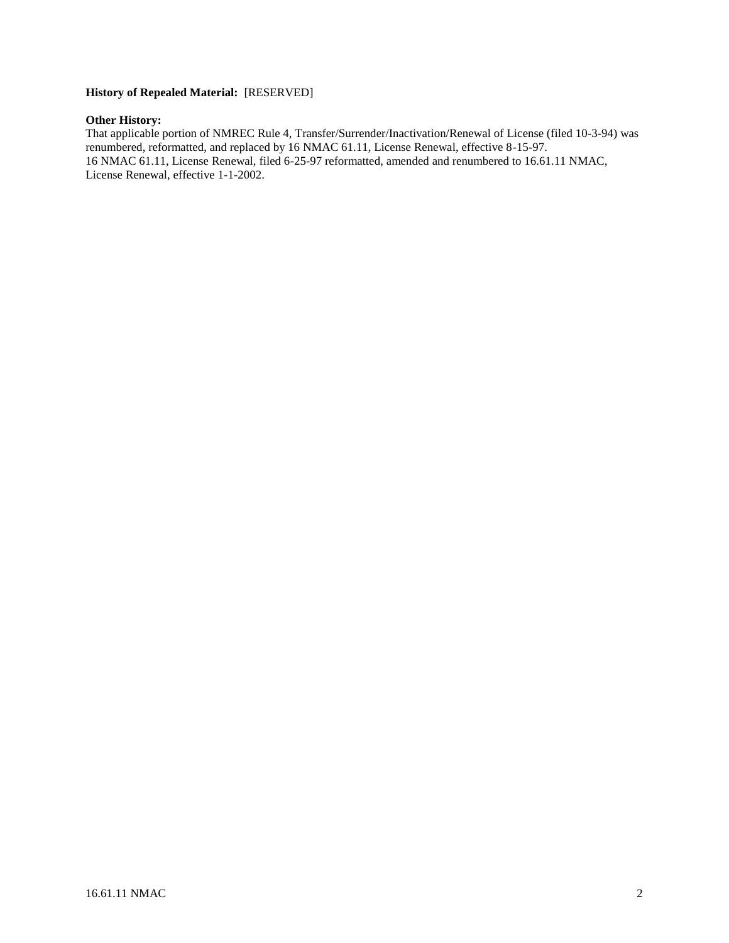## **History of Repealed Material:** [RESERVED]

## **Other History:**

That applicable portion of NMREC Rule 4, Transfer/Surrender/Inactivation/Renewal of License (filed 10-3-94) was renumbered, reformatted, and replaced by 16 NMAC 61.11, License Renewal, effective 8-15-97. 16 NMAC 61.11, License Renewal, filed 6-25-97 reformatted, amended and renumbered to 16.61.11 NMAC, License Renewal, effective 1-1-2002.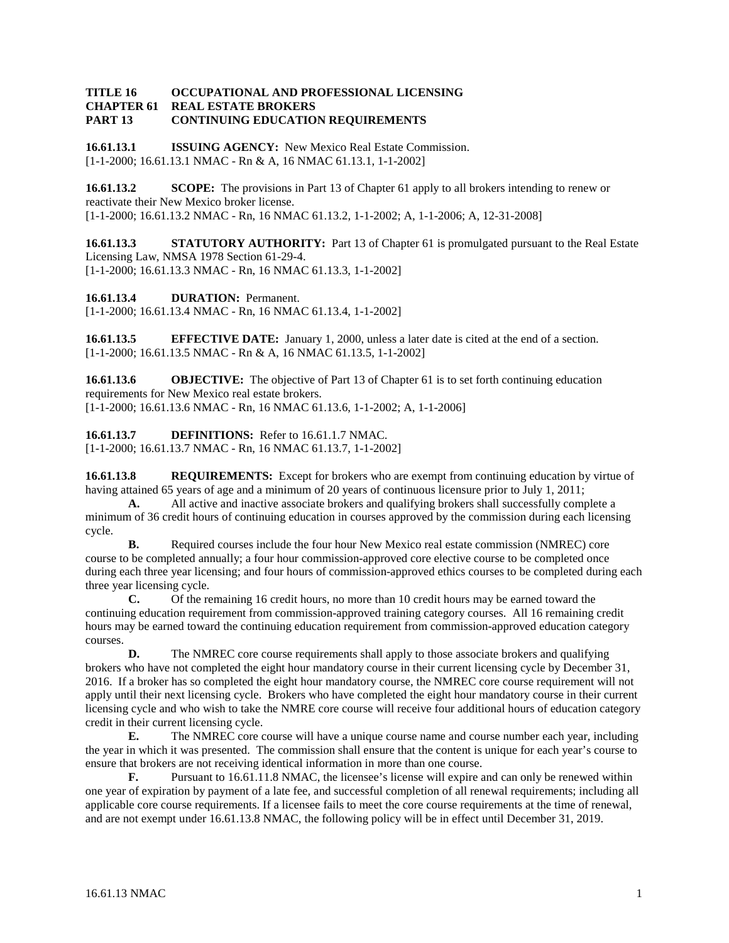## **TITLE 16 OCCUPATIONAL AND PROFESSIONAL LICENSING REAL ESTATE BROKERS PART 13 CONTINUING EDUCATION REQUIREMENTS**

**16.61.13.1 ISSUING AGENCY:** New Mexico Real Estate Commission. [1-1-2000; 16.61.13.1 NMAC - Rn & A, 16 NMAC 61.13.1, 1-1-2002]

**16.61.13.2 SCOPE:** The provisions in Part 13 of Chapter 61 apply to all brokers intending to renew or reactivate their New Mexico broker license. [1-1-2000; 16.61.13.2 NMAC - Rn, 16 NMAC 61.13.2, 1-1-2002; A, 1-1-2006; A, 12-31-2008]

**16.61.13.3 STATUTORY AUTHORITY:** Part 13 of Chapter 61 is promulgated pursuant to the Real Estate Licensing Law, NMSA 1978 Section 61-29-4. [1-1-2000; 16.61.13.3 NMAC - Rn, 16 NMAC 61.13.3, 1-1-2002]

**16.61.13.4 DURATION:** Permanent.

[1-1-2000; 16.61.13.4 NMAC - Rn, 16 NMAC 61.13.4, 1-1-2002]

**16.61.13.5 EFFECTIVE DATE:** January 1, 2000, unless a later date is cited at the end of a section. [1-1-2000; 16.61.13.5 NMAC - Rn & A, 16 NMAC 61.13.5, 1-1-2002]

**16.61.13.6 OBJECTIVE:** The objective of Part 13 of Chapter 61 is to set forth continuing education requirements for New Mexico real estate brokers. [1-1-2000; 16.61.13.6 NMAC - Rn, 16 NMAC 61.13.6, 1-1-2002; A, 1-1-2006]

**16.61.13.7 DEFINITIONS:** Refer to 16.61.1.7 NMAC. [1-1-2000; 16.61.13.7 NMAC - Rn, 16 NMAC 61.13.7, 1-1-2002]

**16.61.13.8 REQUIREMENTS:** Except for brokers who are exempt from continuing education by virtue of having attained 65 years of age and a minimum of 20 years of continuous licensure prior to July 1, 2011;

**A.** All active and inactive associate brokers and qualifying brokers shall successfully complete a minimum of 36 credit hours of continuing education in courses approved by the commission during each licensing cycle.

**B.** Required courses include the four hour New Mexico real estate commission (NMREC) core course to be completed annually; a four hour commission-approved core elective course to be completed once during each three year licensing; and four hours of commission-approved ethics courses to be completed during each three year licensing cycle.

**C.** Of the remaining 16 credit hours, no more than 10 credit hours may be earned toward the continuing education requirement from commission-approved training category courses. All 16 remaining credit hours may be earned toward the continuing education requirement from commission-approved education category courses.

**D.** The NMREC core course requirements shall apply to those associate brokers and qualifying brokers who have not completed the eight hour mandatory course in their current licensing cycle by December 31, 2016. If a broker has so completed the eight hour mandatory course, the NMREC core course requirement will not apply until their next licensing cycle. Brokers who have completed the eight hour mandatory course in their current licensing cycle and who wish to take the NMRE core course will receive four additional hours of education category credit in their current licensing cycle.

**E.** The NMREC core course will have a unique course name and course number each year, including the year in which it was presented. The commission shall ensure that the content is unique for each year's course to ensure that brokers are not receiving identical information in more than one course.

**F.** Pursuant to 16.61.11.8 NMAC, the licensee's license will expire and can only be renewed within one year of expiration by payment of a late fee, and successful completion of all renewal requirements; including all applicable core course requirements. If a licensee fails to meet the core course requirements at the time of renewal, and are not exempt under 16.61.13.8 NMAC, the following policy will be in effect until December 31, 2019.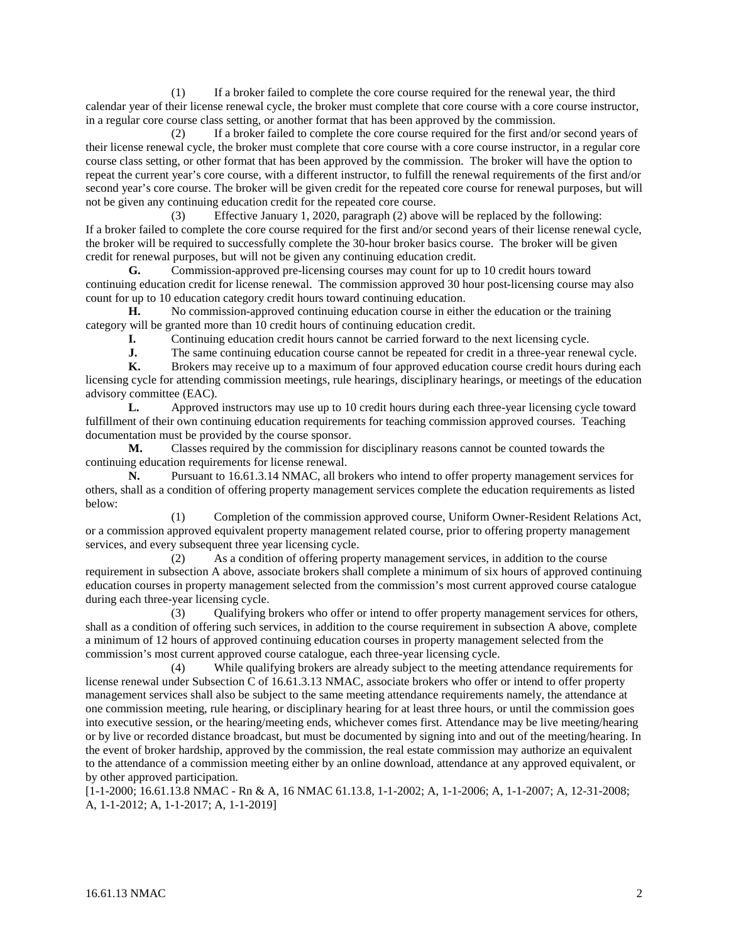(1) If a broker failed to complete the core course required for the renewal year, the third calendar year of their license renewal cycle, the broker must complete that core course with a core course instructor, in a regular core course class setting, or another format that has been approved by the commission.

(2) If a broker failed to complete the core course required for the first and/or second years of their license renewal cycle, the broker must complete that core course with a core course instructor, in a regular core course class setting, or other format that has been approved by the commission. The broker will have the option to repeat the current year's core course, with a different instructor, to fulfill the renewal requirements of the first and/or second year's core course. The broker will be given credit for the repeated core course for renewal purposes, but will not be given any continuing education credit for the repeated core course.

(3) Effective January 1, 2020, paragraph (2) above will be replaced by the following: If a broker failed to complete the core course required for the first and/or second years of their license renewal cycle, the broker will be required to successfully complete the 30-hour broker basics course. The broker will be given credit for renewal purposes, but will not be given any continuing education credit.

**G.** Commission-approved pre-licensing courses may count for up to 10 credit hours toward continuing education credit for license renewal. The commission approved 30 hour post-licensing course may also count for up to 10 education category credit hours toward continuing education.

**H.** No commission-approved continuing education course in either the education or the training category will be granted more than 10 credit hours of continuing education credit.

**I.** Continuing education credit hours cannot be carried forward to the next licensing cycle.<br> **I.** The same continuing education course cannot be repeated for credit in a three-year reney

**J.** The same continuing education course cannot be repeated for credit in a three-year renewal cycle.<br> **K.** Brokers may receive up to a maximum of four approved education course credit hours during each

**K.** Brokers may receive up to a maximum of four approved education course credit hours during each licensing cycle for attending commission meetings, rule hearings, disciplinary hearings, or meetings of the education advisory committee (EAC).

**L.** Approved instructors may use up to 10 credit hours during each three-year licensing cycle toward fulfillment of their own continuing education requirements for teaching commission approved courses. Teaching documentation must be provided by the course sponsor.

**M.** Classes required by the commission for disciplinary reasons cannot be counted towards the continuing education requirements for license renewal.

**N.** Pursuant to 16.61.3.14 NMAC, all brokers who intend to offer property management services for others, shall as a condition of offering property management services complete the education requirements as listed below:

(1) Completion of the commission approved course, Uniform Owner-Resident Relations Act, or a commission approved equivalent property management related course, prior to offering property management services, and every subsequent three year licensing cycle.

(2) As a condition of offering property management services, in addition to the course requirement in subsection A above, associate brokers shall complete a minimum of six hours of approved continuing education courses in property management selected from the commission's most current approved course catalogue during each three-year licensing cycle.

(3) Qualifying brokers who offer or intend to offer property management services for others, shall as a condition of offering such services, in addition to the course requirement in subsection A above, complete a minimum of 12 hours of approved continuing education courses in property management selected from the commission's most current approved course catalogue, each three-year licensing cycle.

(4) While qualifying brokers are already subject to the meeting attendance requirements for license renewal under Subsection C of 16.61.3.13 NMAC, associate brokers who offer or intend to offer property management services shall also be subject to the same meeting attendance requirements namely, the attendance at one commission meeting, rule hearing, or disciplinary hearing for at least three hours, or until the commission goes into executive session, or the hearing/meeting ends, whichever comes first. Attendance may be live meeting/hearing or by live or recorded distance broadcast, but must be documented by signing into and out of the meeting/hearing. In the event of broker hardship, approved by the commission, the real estate commission may authorize an equivalent to the attendance of a commission meeting either by an online download, attendance at any approved equivalent, or by other approved participation.

[1-1-2000; 16.61.13.8 NMAC - Rn & A, 16 NMAC 61.13.8, 1-1-2002; A, 1-1-2006; A, 1-1-2007; A, 12-31-2008; A, 1-1-2012; A, 1-1-2017; A, 1-1-2019]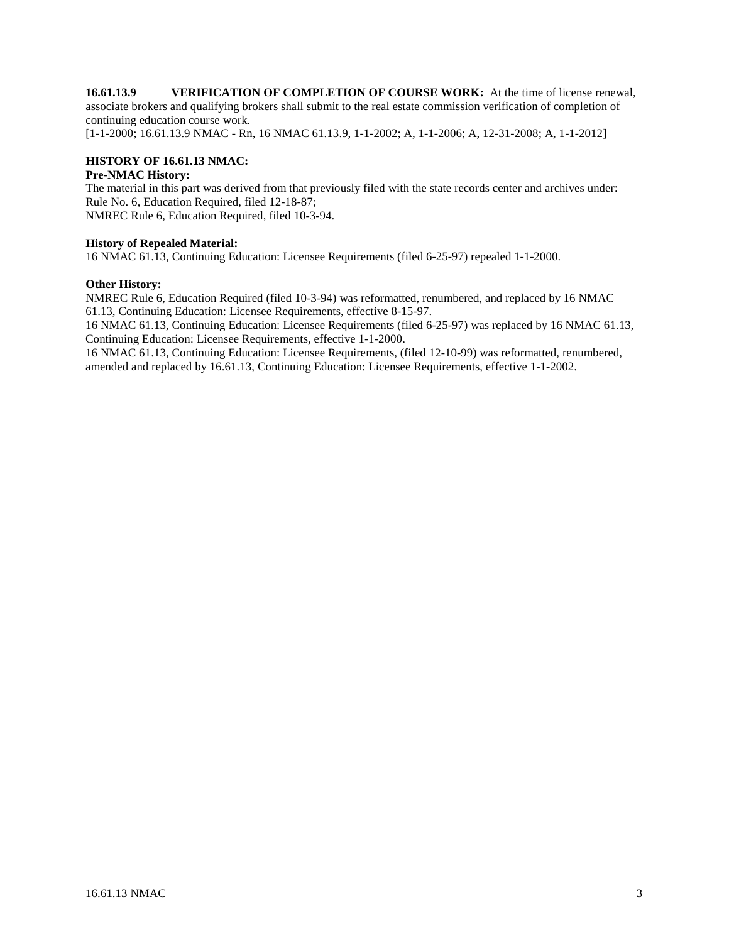**16.61.13.9 VERIFICATION OF COMPLETION OF COURSE WORK:** At the time of license renewal, associate brokers and qualifying brokers shall submit to the real estate commission verification of completion of continuing education course work.

[1-1-2000; 16.61.13.9 NMAC - Rn, 16 NMAC 61.13.9, 1-1-2002; A, 1-1-2006; A, 12-31-2008; A, 1-1-2012]

## **HISTORY OF 16.61.13 NMAC:**

## **Pre-NMAC History:**

The material in this part was derived from that previously filed with the state records center and archives under: Rule No. 6, Education Required, filed 12-18-87; NMREC Rule 6, Education Required, filed 10-3-94.

#### **History of Repealed Material:**

16 NMAC 61.13, Continuing Education: Licensee Requirements (filed 6-25-97) repealed 1-1-2000.

#### **Other History:**

NMREC Rule 6, Education Required (filed 10-3-94) was reformatted, renumbered, and replaced by 16 NMAC 61.13, Continuing Education: Licensee Requirements, effective 8-15-97.

16 NMAC 61.13, Continuing Education: Licensee Requirements (filed 6-25-97) was replaced by 16 NMAC 61.13, Continuing Education: Licensee Requirements, effective 1-1-2000.

16 NMAC 61.13, Continuing Education: Licensee Requirements, (filed 12-10-99) was reformatted, renumbered, amended and replaced by 16.61.13, Continuing Education: Licensee Requirements, effective 1-1-2002.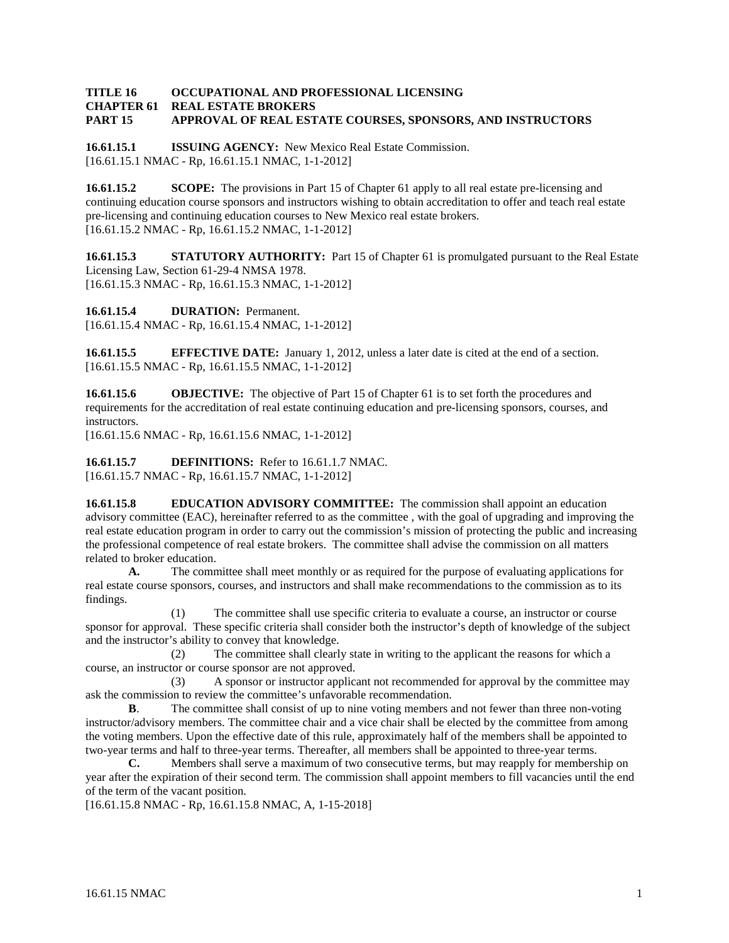## **TITLE 16 OCCUPATIONAL AND PROFESSIONAL LICENSING REAL ESTATE BROKERS PART 15 APPROVAL OF REAL ESTATE COURSES, SPONSORS, AND INSTRUCTORS**

**16.61.15.1 ISSUING AGENCY:** New Mexico Real Estate Commission. [16.61.15.1 NMAC - Rp, 16.61.15.1 NMAC, 1-1-2012]

**16.61.15.2 SCOPE:** The provisions in Part 15 of Chapter 61 apply to all real estate pre-licensing and continuing education course sponsors and instructors wishing to obtain accreditation to offer and teach real estate pre-licensing and continuing education courses to New Mexico real estate brokers. [16.61.15.2 NMAC - Rp, 16.61.15.2 NMAC, 1-1-2012]

**16.61.15.3 STATUTORY AUTHORITY:** Part 15 of Chapter 61 is promulgated pursuant to the Real Estate Licensing Law, Section 61-29-4 NMSA 1978. [16.61.15.3 NMAC - Rp, 16.61.15.3 NMAC, 1-1-2012]

**16.61.15.4 DURATION:** Permanent. [16.61.15.4 NMAC - Rp, 16.61.15.4 NMAC, 1-1-2012]

**16.61.15.5 EFFECTIVE DATE:** January 1, 2012, unless a later date is cited at the end of a section. [16.61.15.5 NMAC - Rp, 16.61.15.5 NMAC, 1-1-2012]

**16.61.15.6 OBJECTIVE:** The objective of Part 15 of Chapter 61 is to set forth the procedures and requirements for the accreditation of real estate continuing education and pre-licensing sponsors, courses, and instructors.

[16.61.15.6 NMAC - Rp, 16.61.15.6 NMAC, 1-1-2012]

**16.61.15.7 DEFINITIONS:** Refer to 16.61.1.7 NMAC. [16.61.15.7 NMAC - Rp, 16.61.15.7 NMAC, 1-1-2012]

**16.61.15.8 EDUCATION ADVISORY COMMITTEE:** The commission shall appoint an education advisory committee (EAC), hereinafter referred to as the committee , with the goal of upgrading and improving the real estate education program in order to carry out the commission's mission of protecting the public and increasing the professional competence of real estate brokers. The committee shall advise the commission on all matters related to broker education.

**A.** The committee shall meet monthly or as required for the purpose of evaluating applications for real estate course sponsors, courses, and instructors and shall make recommendations to the commission as to its findings.

(1) The committee shall use specific criteria to evaluate a course, an instructor or course sponsor for approval. These specific criteria shall consider both the instructor's depth of knowledge of the subject and the instructor's ability to convey that knowledge.

(2) The committee shall clearly state in writing to the applicant the reasons for which a course, an instructor or course sponsor are not approved.

(3) A sponsor or instructor applicant not recommended for approval by the committee may ask the commission to review the committee's unfavorable recommendation.

**B.** The committee shall consist of up to nine voting members and not fewer than three non-voting instructor/advisory members. The committee chair and a vice chair shall be elected by the committee from among the voting members. Upon the effective date of this rule, approximately half of the members shall be appointed to two-year terms and half to three-year terms. Thereafter, all members shall be appointed to three-year terms.

**C.** Members shall serve a maximum of two consecutive terms, but may reapply for membership on year after the expiration of their second term. The commission shall appoint members to fill vacancies until the end of the term of the vacant position.

[16.61.15.8 NMAC - Rp, 16.61.15.8 NMAC, A, 1-15-2018]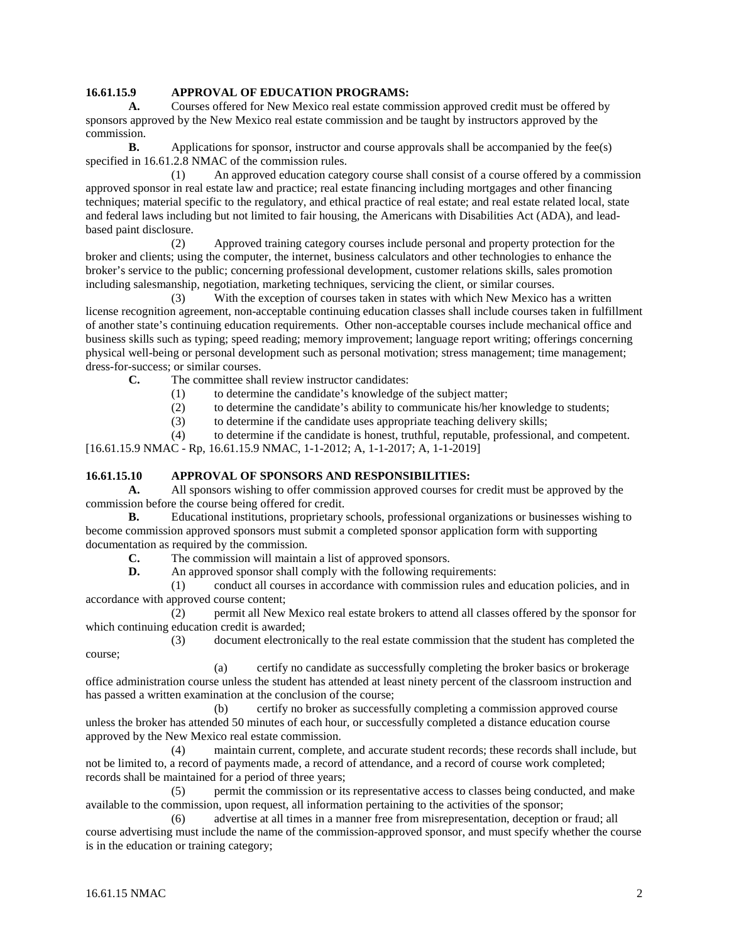## **16.61.15.9 APPROVAL OF EDUCATION PROGRAMS:**

**A.** Courses offered for New Mexico real estate commission approved credit must be offered by sponsors approved by the New Mexico real estate commission and be taught by instructors approved by the commission.

**B.** Applications for sponsor, instructor and course approvals shall be accompanied by the fee(s) specified in 16.61.2.8 NMAC of the commission rules.

(1) An approved education category course shall consist of a course offered by a commission approved sponsor in real estate law and practice; real estate financing including mortgages and other financing techniques; material specific to the regulatory, and ethical practice of real estate; and real estate related local, state and federal laws including but not limited to fair housing, the Americans with Disabilities Act (ADA), and leadbased paint disclosure.

(2) Approved training category courses include personal and property protection for the broker and clients; using the computer, the internet, business calculators and other technologies to enhance the broker's service to the public; concerning professional development, customer relations skills, sales promotion including salesmanship, negotiation, marketing techniques, servicing the client, or similar courses.

(3) With the exception of courses taken in states with which New Mexico has a written license recognition agreement, non-acceptable continuing education classes shall include courses taken in fulfillment of another state's continuing education requirements. Other non-acceptable courses include mechanical office and business skills such as typing; speed reading; memory improvement; language report writing; offerings concerning physical well-being or personal development such as personal motivation; stress management; time management; dress-for-success; or similar courses.

**C.** The committee shall review instructor candidates:

(1) to determine the candidate's knowledge of the subject matter;

(2) to determine the candidate's ability to communicate his/her knowledge to students;

(3) to determine if the candidate uses appropriate teaching delivery skills;

(4) to determine if the candidate is honest, truthful, reputable, professional, and competent.

[16.61.15.9 NMAC - Rp, 16.61.15.9 NMAC, 1-1-2012; A, 1-1-2017; A, 1-1-2019]

## **16.61.15.10 APPROVAL OF SPONSORS AND RESPONSIBILITIES:**

**A.** All sponsors wishing to offer commission approved courses for credit must be approved by the commission before the course being offered for credit.

**B.** Educational institutions, proprietary schools, professional organizations or businesses wishing to become commission approved sponsors must submit a completed sponsor application form with supporting documentation as required by the commission.<br> **C.** The commission will maintain

The commission will maintain a list of approved sponsors.

**D.** An approved sponsor shall comply with the following requirements:

(1) conduct all courses in accordance with commission rules and education policies, and in accordance with approved course content;

(2) permit all New Mexico real estate brokers to attend all classes offered by the sponsor for which continuing education credit is awarded;

(3) document electronically to the real estate commission that the student has completed the course;

(a) certify no candidate as successfully completing the broker basics or brokerage office administration course unless the student has attended at least ninety percent of the classroom instruction and has passed a written examination at the conclusion of the course;

(b) certify no broker as successfully completing a commission approved course unless the broker has attended 50 minutes of each hour, or successfully completed a distance education course approved by the New Mexico real estate commission.

(4) maintain current, complete, and accurate student records; these records shall include, but not be limited to, a record of payments made, a record of attendance, and a record of course work completed; records shall be maintained for a period of three years;

(5) permit the commission or its representative access to classes being conducted, and make available to the commission, upon request, all information pertaining to the activities of the sponsor;

(6) advertise at all times in a manner free from misrepresentation, deception or fraud; all course advertising must include the name of the commission-approved sponsor, and must specify whether the course is in the education or training category;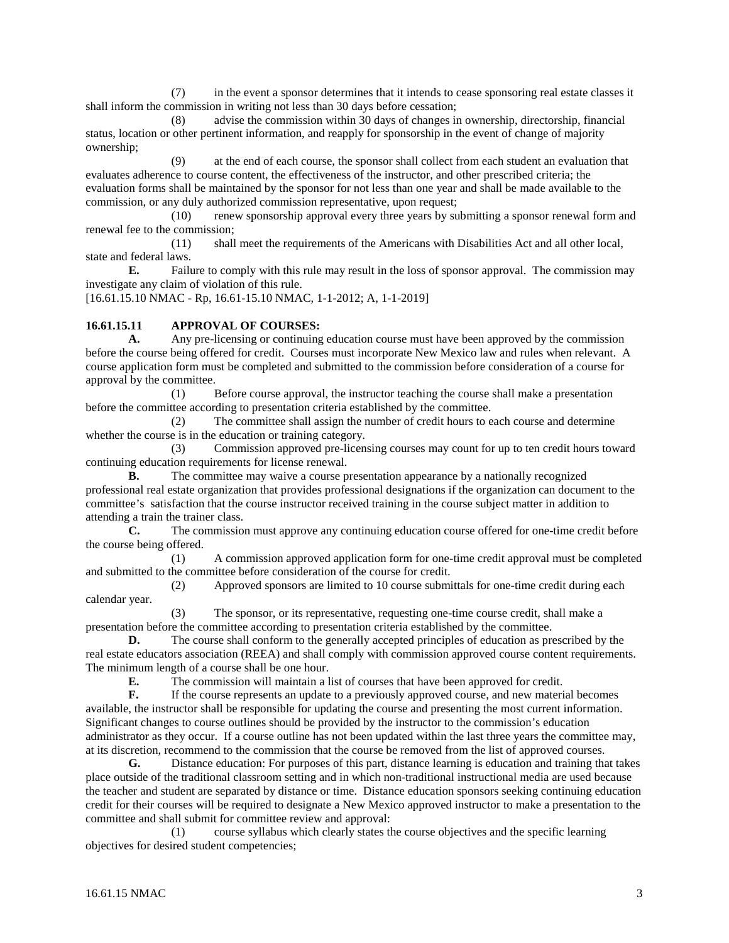(7) in the event a sponsor determines that it intends to cease sponsoring real estate classes it shall inform the commission in writing not less than 30 days before cessation;

(8) advise the commission within 30 days of changes in ownership, directorship, financial status, location or other pertinent information, and reapply for sponsorship in the event of change of majority ownership;

(9) at the end of each course, the sponsor shall collect from each student an evaluation that evaluates adherence to course content, the effectiveness of the instructor, and other prescribed criteria; the evaluation forms shall be maintained by the sponsor for not less than one year and shall be made available to the commission, or any duly authorized commission representative, upon request;

(10) renew sponsorship approval every three years by submitting a sponsor renewal form and renewal fee to the commission;

(11) shall meet the requirements of the Americans with Disabilities Act and all other local, state and federal laws.

**E.** Failure to comply with this rule may result in the loss of sponsor approval. The commission may investigate any claim of violation of this rule.

[16.61.15.10 NMAC - Rp, 16.61-15.10 NMAC, 1-1-2012; A, 1-1-2019]

#### **16.61.15.11 APPROVAL OF COURSES:**

**A.** Any pre-licensing or continuing education course must have been approved by the commission before the course being offered for credit. Courses must incorporate New Mexico law and rules when relevant. A course application form must be completed and submitted to the commission before consideration of a course for approval by the committee.

(1) Before course approval, the instructor teaching the course shall make a presentation before the committee according to presentation criteria established by the committee.

(2) The committee shall assign the number of credit hours to each course and determine whether the course is in the education or training category.

(3) Commission approved pre-licensing courses may count for up to ten credit hours toward continuing education requirements for license renewal.

**B.** The committee may waive a course presentation appearance by a nationally recognized professional real estate organization that provides professional designations if the organization can document to the committee's satisfaction that the course instructor received training in the course subject matter in addition to attending a train the trainer class.

**C.** The commission must approve any continuing education course offered for one-time credit before the course being offered.

(1) A commission approved application form for one-time credit approval must be completed and submitted to the committee before consideration of the course for credit.

(2) Approved sponsors are limited to 10 course submittals for one-time credit during each calendar year.

(3) The sponsor, or its representative, requesting one-time course credit, shall make a presentation before the committee according to presentation criteria established by the committee.

**D.** The course shall conform to the generally accepted principles of education as prescribed by the real estate educators association (REEA) and shall comply with commission approved course content requirements. The minimum length of a course shall be one hour.<br> **E.** The commission will maintain a l

The commission will maintain a list of courses that have been approved for credit.

**F.** If the course represents an update to a previously approved course, and new material becomes available, the instructor shall be responsible for updating the course and presenting the most current information. Significant changes to course outlines should be provided by the instructor to the commission's education administrator as they occur. If a course outline has not been updated within the last three years the committee may, at its discretion, recommend to the commission that the course be removed from the list of approved courses.

**G.** Distance education: For purposes of this part, distance learning is education and training that takes place outside of the traditional classroom setting and in which non-traditional instructional media are used because the teacher and student are separated by distance or time. Distance education sponsors seeking continuing education credit for their courses will be required to designate a New Mexico approved instructor to make a presentation to the committee and shall submit for committee review and approval:

(1) course syllabus which clearly states the course objectives and the specific learning objectives for desired student competencies;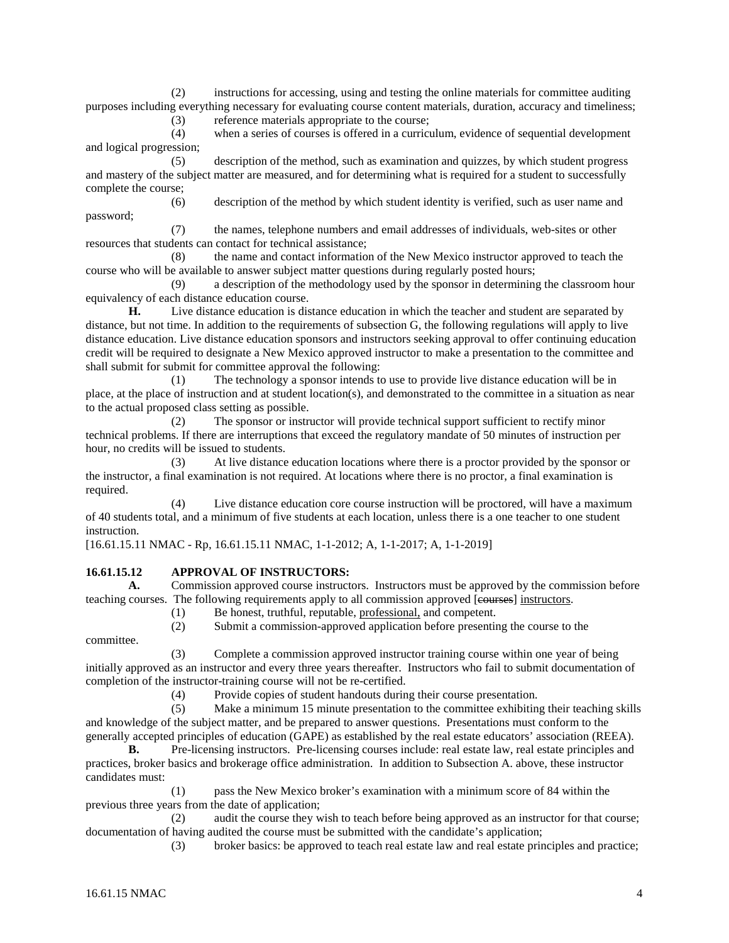(2) instructions for accessing, using and testing the online materials for committee auditing purposes including everything necessary for evaluating course content materials, duration, accuracy and timeliness;

(3) reference materials appropriate to the course;

(4) when a series of courses is offered in a curriculum, evidence of sequential development and logical progression;

(5) description of the method, such as examination and quizzes, by which student progress and mastery of the subject matter are measured, and for determining what is required for a student to successfully complete the course;

(6) description of the method by which student identity is verified, such as user name and password;

(7) the names, telephone numbers and email addresses of individuals, web-sites or other resources that students can contact for technical assistance;

(8) the name and contact information of the New Mexico instructor approved to teach the course who will be available to answer subject matter questions during regularly posted hours;

(9) a description of the methodology used by the sponsor in determining the classroom hour equivalency of each distance education course.

**H.** Live distance education is distance education in which the teacher and student are separated by distance, but not time. In addition to the requirements of subsection G, the following regulations will apply to live distance education. Live distance education sponsors and instructors seeking approval to offer continuing education credit will be required to designate a New Mexico approved instructor to make a presentation to the committee and shall submit for submit for committee approval the following:

(1) The technology a sponsor intends to use to provide live distance education will be in place, at the place of instruction and at student location(s), and demonstrated to the committee in a situation as near to the actual proposed class setting as possible.

(2) The sponsor or instructor will provide technical support sufficient to rectify minor technical problems. If there are interruptions that exceed the regulatory mandate of 50 minutes of instruction per hour, no credits will be issued to students.

(3) At live distance education locations where there is a proctor provided by the sponsor or the instructor, a final examination is not required. At locations where there is no proctor, a final examination is required.

(4) Live distance education core course instruction will be proctored, will have a maximum of 40 students total, and a minimum of five students at each location, unless there is a one teacher to one student instruction.

[16.61.15.11 NMAC - Rp, 16.61.15.11 NMAC, 1-1-2012; A, 1-1-2017; A, 1-1-2019]

## **16.61.15.12 APPROVAL OF INSTRUCTORS:**

**A.** Commission approved course instructors. Instructors must be approved by the commission before teaching courses. The following requirements apply to all commission approved [courses] instructors.

(1) Be honest, truthful, reputable, professional, and competent.

(2) Submit a commission-approved application before presenting the course to the

committee.

(3) Complete a commission approved instructor training course within one year of being initially approved as an instructor and every three years thereafter. Instructors who fail to submit documentation of completion of the instructor-training course will not be re-certified.

(4) Provide copies of student handouts during their course presentation.

(5) Make a minimum 15 minute presentation to the committee exhibiting their teaching skills and knowledge of the subject matter, and be prepared to answer questions. Presentations must conform to the generally accepted principles of education (GAPE) as established by the real estate educators' association (REEA).

**B.** Pre-licensing instructors. Pre-licensing courses include: real estate law, real estate principles and practices, broker basics and brokerage office administration. In addition to Subsection A. above, these instructor candidates must:

(1) pass the New Mexico broker's examination with a minimum score of 84 within the previous three years from the date of application;

(2) audit the course they wish to teach before being approved as an instructor for that course; documentation of having audited the course must be submitted with the candidate's application;

(3) broker basics: be approved to teach real estate law and real estate principles and practice;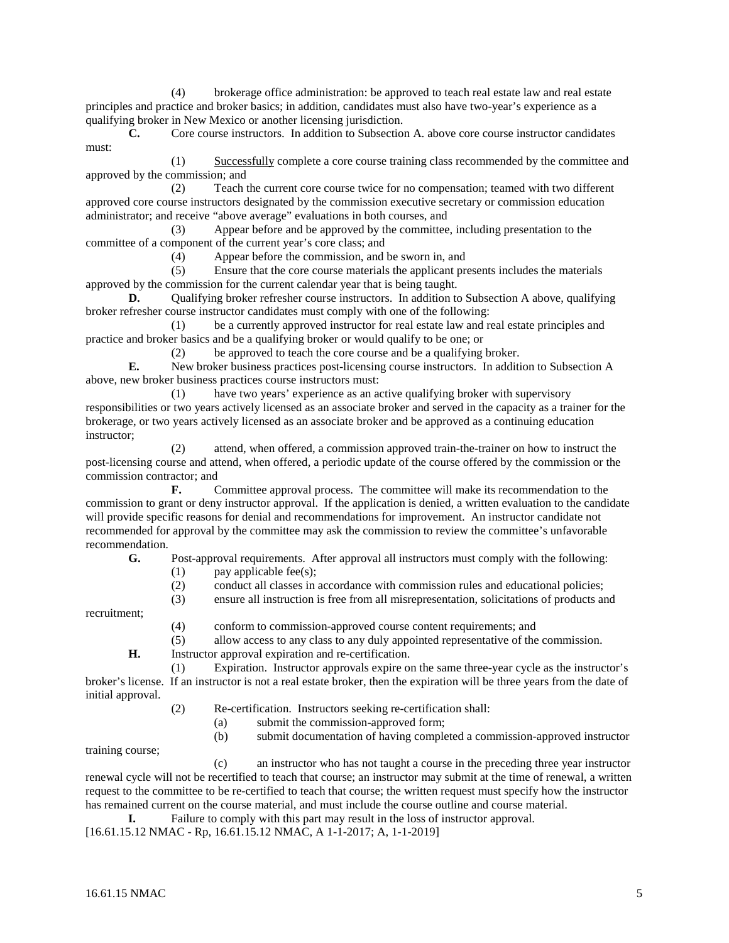(4) brokerage office administration: be approved to teach real estate law and real estate principles and practice and broker basics; in addition, candidates must also have two-year's experience as a qualifying broker in New Mexico or another licensing jurisdiction.

**C.** Core course instructors. In addition to Subsection A. above core course instructor candidates must:

(1) Successfully complete a core course training class recommended by the committee and approved by the commission; and

(2) Teach the current core course twice for no compensation; teamed with two different approved core course instructors designated by the commission executive secretary or commission education administrator; and receive "above average" evaluations in both courses, and

(3) Appear before and be approved by the committee, including presentation to the committee of a component of the current year's core class; and

(4) Appear before the commission, and be sworn in, and

(5) Ensure that the core course materials the applicant presents includes the materials approved by the commission for the current calendar year that is being taught.

**D.** Qualifying broker refresher course instructors. In addition to Subsection A above, qualifying broker refresher course instructor candidates must comply with one of the following:

(1) be a currently approved instructor for real estate law and real estate principles and practice and broker basics and be a qualifying broker or would qualify to be one; or

(2) be approved to teach the core course and be a qualifying broker.

**E.** New broker business practices post-licensing course instructors. In addition to Subsection A above, new broker business practices course instructors must:

(1) have two years' experience as an active qualifying broker with supervisory responsibilities or two years actively licensed as an associate broker and served in the capacity as a trainer for the brokerage, or two years actively licensed as an associate broker and be approved as a continuing education instructor;

attend, when offered, a commission approved train-the-trainer on how to instruct the post-licensing course and attend, when offered, a periodic update of the course offered by the commission or the commission contractor; and

**F.** Committee approval process. The committee will make its recommendation to the commission to grant or deny instructor approval. If the application is denied, a written evaluation to the candidate will provide specific reasons for denial and recommendations for improvement. An instructor candidate not recommended for approval by the committee may ask the commission to review the committee's unfavorable recommendation.<br> **G**.

Post-approval requirements. After approval all instructors must comply with the following:

- $(1)$  pay applicable fee(s);
- (2) conduct all classes in accordance with commission rules and educational policies;
- (3) ensure all instruction is free from all misrepresentation, solicitations of products and

recruitment;

- (4) conform to commission-approved course content requirements; and
- (5) allow access to any class to any duly appointed representative of the commission.

**H.** Instructor approval expiration and re-certification.

(1) Expiration. Instructor approvals expire on the same three-year cycle as the instructor's broker's license. If an instructor is not a real estate broker, then the expiration will be three years from the date of initial approval.

(2) Re-certification. Instructors seeking re-certification shall:

- (a) submit the commission-approved form;
- (b) submit documentation of having completed a commission-approved instructor

training course;

(c) an instructor who has not taught a course in the preceding three year instructor renewal cycle will not be recertified to teach that course; an instructor may submit at the time of renewal, a written request to the committee to be re-certified to teach that course; the written request must specify how the instructor has remained current on the course material, and must include the course outline and course material.

**I.** Failure to comply with this part may result in the loss of instructor approval.

[16.61.15.12 NMAC - Rp, 16.61.15.12 NMAC, A 1-1-2017; A, 1-1-2019]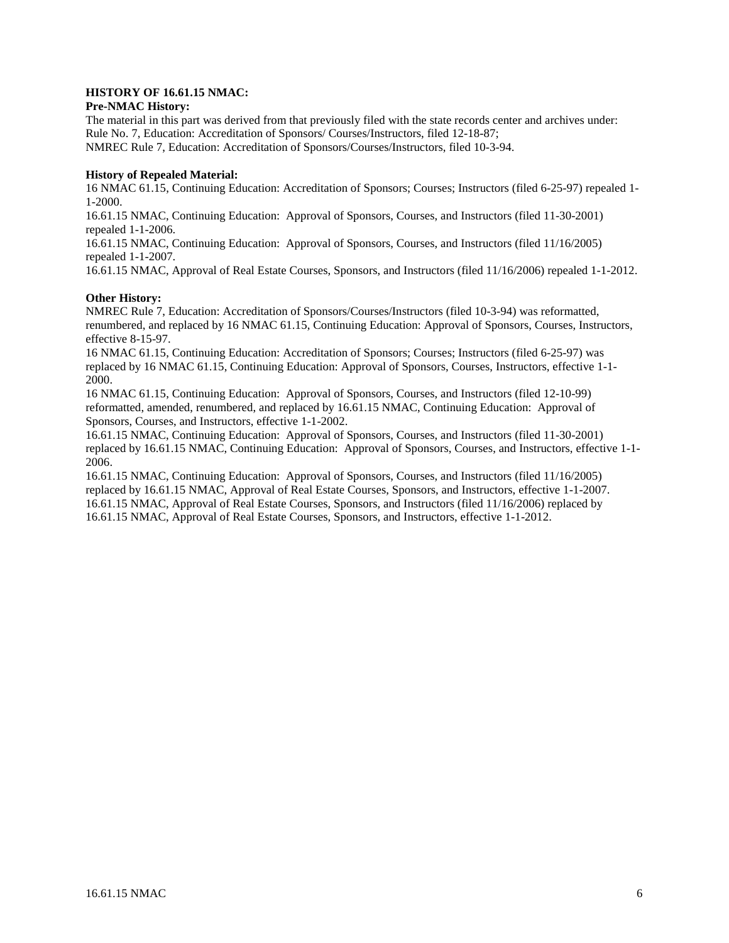## **HISTORY OF 16.61.15 NMAC:**

#### **Pre-NMAC History:**

The material in this part was derived from that previously filed with the state records center and archives under: Rule No. 7, Education: Accreditation of Sponsors/ Courses/Instructors, filed 12-18-87; NMREC Rule 7, Education: Accreditation of Sponsors/Courses/Instructors, filed 10-3-94.

#### **History of Repealed Material:**

16 NMAC 61.15, Continuing Education: Accreditation of Sponsors; Courses; Instructors (filed 6-25-97) repealed 1- 1-2000.

16.61.15 NMAC, Continuing Education: Approval of Sponsors, Courses, and Instructors (filed 11-30-2001) repealed 1-1-2006.

16.61.15 NMAC, Continuing Education: Approval of Sponsors, Courses, and Instructors (filed 11/16/2005) repealed 1-1-2007.

16.61.15 NMAC, Approval of Real Estate Courses, Sponsors, and Instructors (filed 11/16/2006) repealed 1-1-2012.

#### **Other History:**

NMREC Rule 7, Education: Accreditation of Sponsors/Courses/Instructors (filed 10-3-94) was reformatted, renumbered, and replaced by 16 NMAC 61.15, Continuing Education: Approval of Sponsors, Courses, Instructors, effective 8-15-97.

16 NMAC 61.15, Continuing Education: Accreditation of Sponsors; Courses; Instructors (filed 6-25-97) was replaced by 16 NMAC 61.15, Continuing Education: Approval of Sponsors, Courses, Instructors, effective 1-1- 2000.

16 NMAC 61.15, Continuing Education: Approval of Sponsors, Courses, and Instructors (filed 12-10-99) reformatted, amended, renumbered, and replaced by 16.61.15 NMAC, Continuing Education: Approval of Sponsors, Courses, and Instructors, effective 1-1-2002.

16.61.15 NMAC, Continuing Education: Approval of Sponsors, Courses, and Instructors (filed 11-30-2001) replaced by 16.61.15 NMAC, Continuing Education: Approval of Sponsors, Courses, and Instructors, effective 1-1- 2006.

16.61.15 NMAC, Continuing Education: Approval of Sponsors, Courses, and Instructors (filed 11/16/2005) replaced by 16.61.15 NMAC, Approval of Real Estate Courses, Sponsors, and Instructors, effective 1-1-2007. 16.61.15 NMAC, Approval of Real Estate Courses, Sponsors, and Instructors (filed 11/16/2006) replaced by 16.61.15 NMAC, Approval of Real Estate Courses, Sponsors, and Instructors, effective 1-1-2012.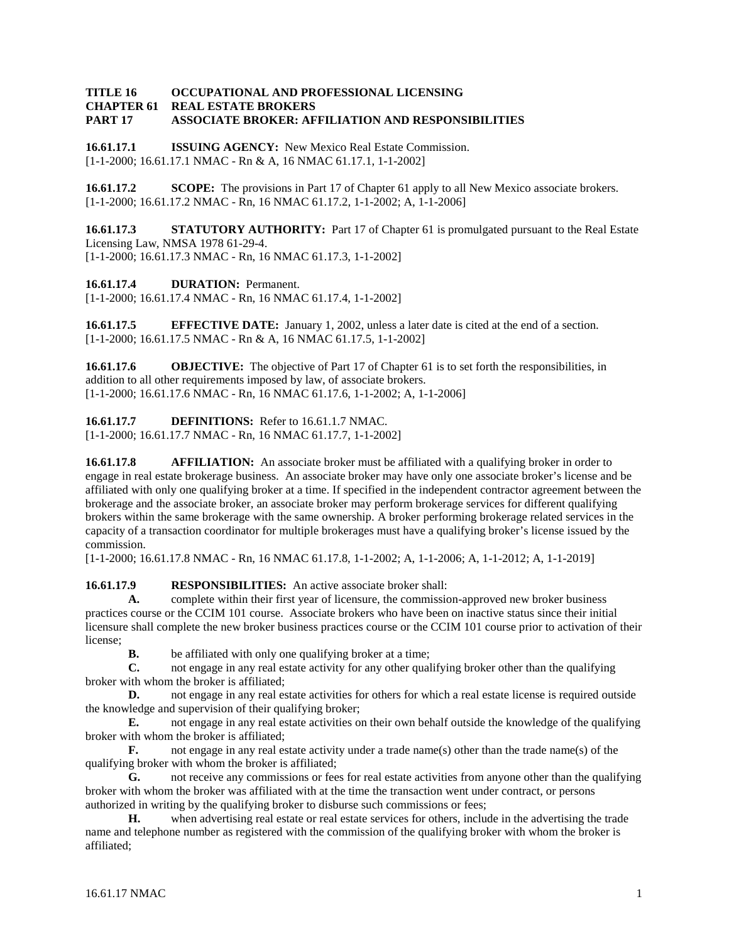#### **TITLE 16 OCCUPATIONAL AND PROFESSIONAL LICENSING REAL ESTATE BROKERS PART 17 ASSOCIATE BROKER: AFFILIATION AND RESPONSIBILITIES**

**16.61.17.1 ISSUING AGENCY:** New Mexico Real Estate Commission. [1-1-2000; 16.61.17.1 NMAC - Rn & A, 16 NMAC 61.17.1, 1-1-2002]

**16.61.17.2 SCOPE:** The provisions in Part 17 of Chapter 61 apply to all New Mexico associate brokers. [1-1-2000; 16.61.17.2 NMAC - Rn, 16 NMAC 61.17.2, 1-1-2002; A, 1-1-2006]

**16.61.17.3 STATUTORY AUTHORITY:** Part 17 of Chapter 61 is promulgated pursuant to the Real Estate Licensing Law, NMSA 1978 61-29-4.

[1-1-2000; 16.61.17.3 NMAC - Rn, 16 NMAC 61.17.3, 1-1-2002]

**16.61.17.4 DURATION:** Permanent.

[1-1-2000; 16.61.17.4 NMAC - Rn, 16 NMAC 61.17.4, 1-1-2002]

**16.61.17.5 EFFECTIVE DATE:** January 1, 2002, unless a later date is cited at the end of a section. [1-1-2000; 16.61.17.5 NMAC - Rn & A, 16 NMAC 61.17.5, 1-1-2002]

**16.61.17.6 OBJECTIVE:** The objective of Part 17 of Chapter 61 is to set forth the responsibilities, in addition to all other requirements imposed by law, of associate brokers. [1-1-2000; 16.61.17.6 NMAC - Rn, 16 NMAC 61.17.6, 1-1-2002; A, 1-1-2006]

**16.61.17.7 DEFINITIONS:** Refer to 16.61.1.7 NMAC.

[1-1-2000; 16.61.17.7 NMAC - Rn, 16 NMAC 61.17.7, 1-1-2002]

**16.61.17.8 AFFILIATION:** An associate broker must be affiliated with a qualifying broker in order to engage in real estate brokerage business. An associate broker may have only one associate broker's license and be affiliated with only one qualifying broker at a time. If specified in the independent contractor agreement between the brokerage and the associate broker, an associate broker may perform brokerage services for different qualifying brokers within the same brokerage with the same ownership. A broker performing brokerage related services in the capacity of a transaction coordinator for multiple brokerages must have a qualifying broker's license issued by the commission.

[1-1-2000; 16.61.17.8 NMAC - Rn, 16 NMAC 61.17.8, 1-1-2002; A, 1-1-2006; A, 1-1-2012; A, 1-1-2019]

**16.61.17.9 RESPONSIBILITIES:** An active associate broker shall:

**A.** complete within their first year of licensure, the commission-approved new broker business practices course or the CCIM 101 course. Associate brokers who have been on inactive status since their initial licensure shall complete the new broker business practices course or the CCIM 101 course prior to activation of their license;

**B.** be affiliated with only one qualifying broker at a time;<br>**C.** not engage in any real estate activity for any other qual

**C.** not engage in any real estate activity for any other qualifying broker other than the qualifying broker with whom the broker is affiliated;

**D.** not engage in any real estate activities for others for which a real estate license is required outside the knowledge and supervision of their qualifying broker;

**E.** not engage in any real estate activities on their own behalf outside the knowledge of the qualifying broker with whom the broker is affiliated;

**F.** not engage in any real estate activity under a trade name(s) other than the trade name(s) of the qualifying broker with whom the broker is affiliated;

**G.** not receive any commissions or fees for real estate activities from anyone other than the qualifying broker with whom the broker was affiliated with at the time the transaction went under contract, or persons authorized in writing by the qualifying broker to disburse such commissions or fees;

**H.** when advertising real estate or real estate services for others, include in the advertising the trade name and telephone number as registered with the commission of the qualifying broker with whom the broker is affiliated;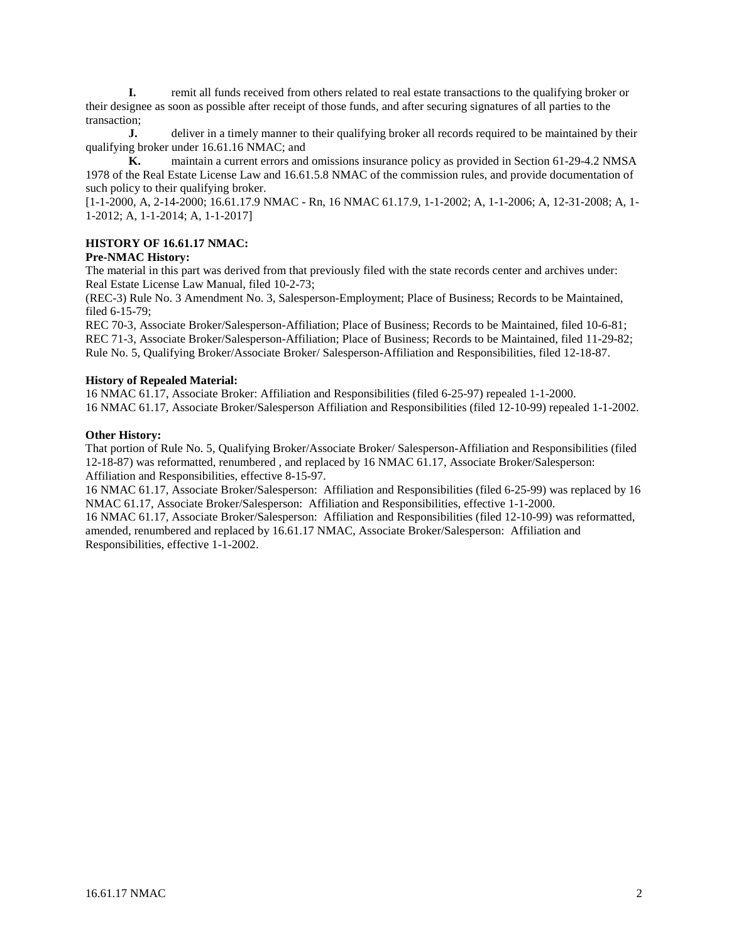**I.** remit all funds received from others related to real estate transactions to the qualifying broker or their designee as soon as possible after receipt of those funds, and after securing signatures of all parties to the transaction;

**J.** deliver in a timely manner to their qualifying broker all records required to be maintained by their qualifying broker under 16.61.16 NMAC; and

**K.** maintain a current errors and omissions insurance policy as provided in Section 61-29-4.2 NMSA 1978 of the Real Estate License Law and 16.61.5.8 NMAC of the commission rules, and provide documentation of such policy to their qualifying broker.

[1-1-2000, A, 2-14-2000; 16.61.17.9 NMAC - Rn, 16 NMAC 61.17.9, 1-1-2002; A, 1-1-2006; A, 12-31-2008; A, 1- 1-2012; A, 1-1-2014; A, 1-1-2017]

#### **HISTORY OF 16.61.17 NMAC:**

## **Pre-NMAC History:**

The material in this part was derived from that previously filed with the state records center and archives under: Real Estate License Law Manual, filed 10-2-73;

(REC-3) Rule No. 3 Amendment No. 3, Salesperson-Employment; Place of Business; Records to be Maintained, filed 6-15-79;

REC 70-3, Associate Broker/Salesperson-Affiliation; Place of Business; Records to be Maintained, filed 10-6-81; REC 71-3, Associate Broker/Salesperson-Affiliation; Place of Business; Records to be Maintained, filed 11-29-82; Rule No. 5, Qualifying Broker/Associate Broker/ Salesperson-Affiliation and Responsibilities, filed 12-18-87.

#### **History of Repealed Material:**

16 NMAC 61.17, Associate Broker: Affiliation and Responsibilities (filed 6-25-97) repealed 1-1-2000. 16 NMAC 61.17, Associate Broker/Salesperson Affiliation and Responsibilities (filed 12-10-99) repealed 1-1-2002.

#### **Other History:**

That portion of Rule No. 5, Qualifying Broker/Associate Broker/ Salesperson-Affiliation and Responsibilities (filed 12-18-87) was reformatted, renumbered , and replaced by 16 NMAC 61.17, Associate Broker/Salesperson: Affiliation and Responsibilities, effective 8-15-97.

16 NMAC 61.17, Associate Broker/Salesperson: Affiliation and Responsibilities (filed 6-25-99) was replaced by 16 NMAC 61.17, Associate Broker/Salesperson: Affiliation and Responsibilities, effective 1-1-2000.

16 NMAC 61.17, Associate Broker/Salesperson: Affiliation and Responsibilities (filed 12-10-99) was reformatted, amended, renumbered and replaced by 16.61.17 NMAC, Associate Broker/Salesperson: Affiliation and Responsibilities, effective 1-1-2002.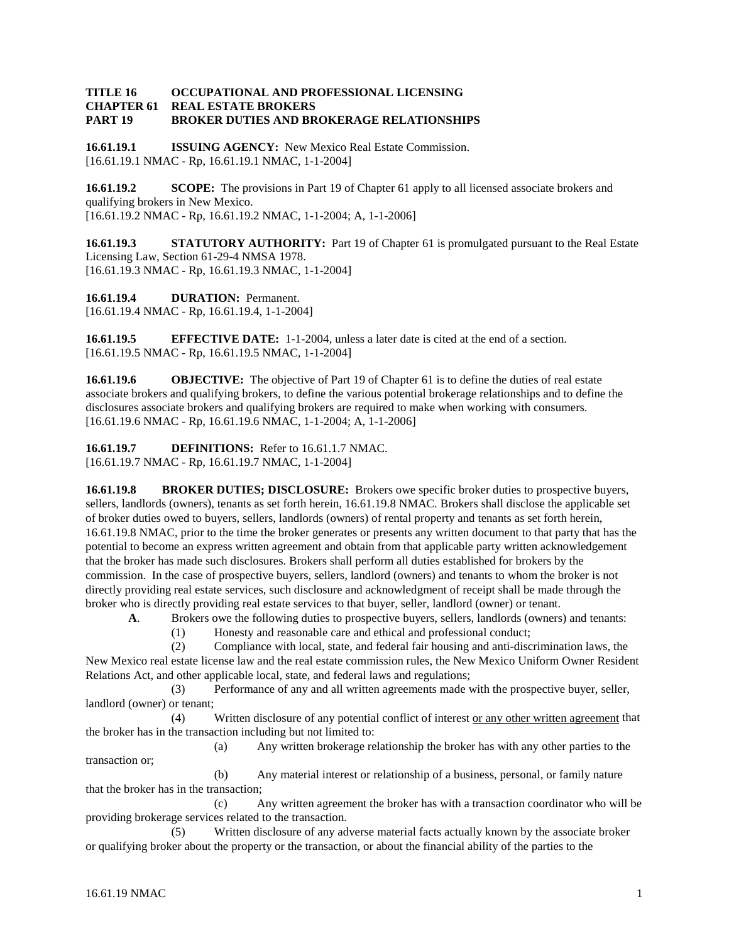#### **TITLE 16 OCCUPATIONAL AND PROFESSIONAL LICENSING REAL ESTATE BROKERS PART 19 BROKER DUTIES AND BROKERAGE RELATIONSHIPS**

**16.61.19.1 ISSUING AGENCY:** New Mexico Real Estate Commission. [16.61.19.1 NMAC - Rp, 16.61.19.1 NMAC, 1-1-2004]

**16.61.19.2 SCOPE:** The provisions in Part 19 of Chapter 61 apply to all licensed associate brokers and qualifying brokers in New Mexico. [16.61.19.2 NMAC - Rp, 16.61.19.2 NMAC, 1-1-2004; A, 1-1-2006]

**16.61.19.3 STATUTORY AUTHORITY:** Part 19 of Chapter 61 is promulgated pursuant to the Real Estate Licensing Law, Section 61-29-4 NMSA 1978. [16.61.19.3 NMAC - Rp, 16.61.19.3 NMAC, 1-1-2004]

**16.61.19.4 DURATION:** Permanent. [16.61.19.4 NMAC - Rp, 16.61.19.4, 1-1-2004]

**16.61.19.5 EFFECTIVE DATE:** 1-1-2004, unless a later date is cited at the end of a section. [16.61.19.5 NMAC - Rp, 16.61.19.5 NMAC, 1-1-2004]

**16.61.19.6 OBJECTIVE:** The objective of Part 19 of Chapter 61 is to define the duties of real estate associate brokers and qualifying brokers, to define the various potential brokerage relationships and to define the disclosures associate brokers and qualifying brokers are required to make when working with consumers. [16.61.19.6 NMAC - Rp, 16.61.19.6 NMAC, 1-1-2004; A, 1-1-2006]

**16.61.19.7 DEFINITIONS:** Refer to 16.61.1.7 NMAC. [16.61.19.7 NMAC - Rp, 16.61.19.7 NMAC, 1-1-2004]

**16.61.19.8 BROKER DUTIES; DISCLOSURE:** Brokers owe specific broker duties to prospective buyers, sellers, landlords (owners), tenants as set forth herein, 16.61.19.8 NMAC. Brokers shall disclose the applicable set of broker duties owed to buyers, sellers, landlords (owners) of rental property and tenants as set forth herein, 16.61.19.8 NMAC, prior to the time the broker generates or presents any written document to that party that has the potential to become an express written agreement and obtain from that applicable party written acknowledgement that the broker has made such disclosures. Brokers shall perform all duties established for brokers by the commission. In the case of prospective buyers, sellers, landlord (owners) and tenants to whom the broker is not directly providing real estate services, such disclosure and acknowledgment of receipt shall be made through the broker who is directly providing real estate services to that buyer, seller, landlord (owner) or tenant.

**A**. Brokers owe the following duties to prospective buyers, sellers, landlords (owners) and tenants:

(1) Honesty and reasonable care and ethical and professional conduct;

(2) Compliance with local, state, and federal fair housing and anti-discrimination laws, the New Mexico real estate license law and the real estate commission rules, the New Mexico Uniform Owner Resident Relations Act, and other applicable local, state, and federal laws and regulations;

(3) Performance of any and all written agreements made with the prospective buyer, seller, landlord (owner) or tenant;

(4) Written disclosure of any potential conflict of interest or any other written agreement that the broker has in the transaction including but not limited to:

(a) Any written brokerage relationship the broker has with any other parties to the transaction or;

(b) Any material interest or relationship of a business, personal, or family nature that the broker has in the transaction;

(c) Any written agreement the broker has with a transaction coordinator who will be providing brokerage services related to the transaction.

(5) Written disclosure of any adverse material facts actually known by the associate broker or qualifying broker about the property or the transaction, or about the financial ability of the parties to the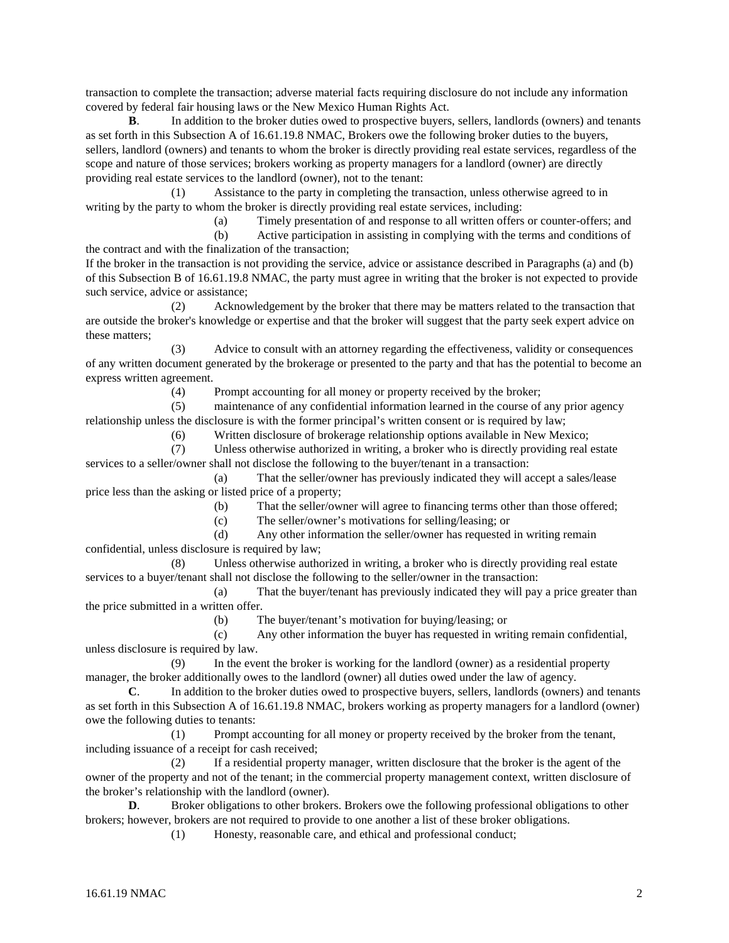transaction to complete the transaction; adverse material facts requiring disclosure do not include any information covered by federal fair housing laws or the New Mexico Human Rights Act.

**B**. In addition to the broker duties owed to prospective buyers, sellers, landlords (owners) and tenants as set forth in this Subsection A of 16.61.19.8 NMAC, Brokers owe the following broker duties to the buyers, sellers, landlord (owners) and tenants to whom the broker is directly providing real estate services, regardless of the scope and nature of those services; brokers working as property managers for a landlord (owner) are directly providing real estate services to the landlord (owner), not to the tenant:

(1) Assistance to the party in completing the transaction, unless otherwise agreed to in writing by the party to whom the broker is directly providing real estate services, including:

(a) Timely presentation of and response to all written offers or counter-offers; and

(b) Active participation in assisting in complying with the terms and conditions of the contract and with the finalization of the transaction;

If the broker in the transaction is not providing the service, advice or assistance described in Paragraphs (a) and (b) of this Subsection B of 16.61.19.8 NMAC, the party must agree in writing that the broker is not expected to provide such service, advice or assistance;

(2) Acknowledgement by the broker that there may be matters related to the transaction that are outside the broker's knowledge or expertise and that the broker will suggest that the party seek expert advice on these matters;

(3) Advice to consult with an attorney regarding the effectiveness, validity or consequences of any written document generated by the brokerage or presented to the party and that has the potential to become an express written agreement.

(4) Prompt accounting for all money or property received by the broker;

(5) maintenance of any confidential information learned in the course of any prior agency relationship unless the disclosure is with the former principal's written consent or is required by law;

(6) Written disclosure of brokerage relationship options available in New Mexico;

(7) Unless otherwise authorized in writing, a broker who is directly providing real estate services to a seller/owner shall not disclose the following to the buyer/tenant in a transaction:

(a) That the seller/owner has previously indicated they will accept a sales/lease price less than the asking or listed price of a property;

(b) That the seller/owner will agree to financing terms other than those offered;

(c) The seller/owner's motivations for selling/leasing; or

(d) Any other information the seller/owner has requested in writing remain confidential, unless disclosure is required by law;

(8) Unless otherwise authorized in writing, a broker who is directly providing real estate services to a buyer/tenant shall not disclose the following to the seller/owner in the transaction:

(a) That the buyer/tenant has previously indicated they will pay a price greater than the price submitted in a written offer.

(b) The buyer/tenant's motivation for buying/leasing; or

(c) Any other information the buyer has requested in writing remain confidential, unless disclosure is required by law.

(9) In the event the broker is working for the landlord (owner) as a residential property manager, the broker additionally owes to the landlord (owner) all duties owed under the law of agency.

**C**. In addition to the broker duties owed to prospective buyers, sellers, landlords (owners) and tenants as set forth in this Subsection A of 16.61.19.8 NMAC, brokers working as property managers for a landlord (owner) owe the following duties to tenants:

(1) Prompt accounting for all money or property received by the broker from the tenant, including issuance of a receipt for cash received;

(2) If a residential property manager, written disclosure that the broker is the agent of the owner of the property and not of the tenant; in the commercial property management context, written disclosure of the broker's relationship with the landlord (owner).

**D.** Broker obligations to other brokers. Brokers owe the following professional obligations to other brokers; however, brokers are not required to provide to one another a list of these broker obligations.

(1) Honesty, reasonable care, and ethical and professional conduct;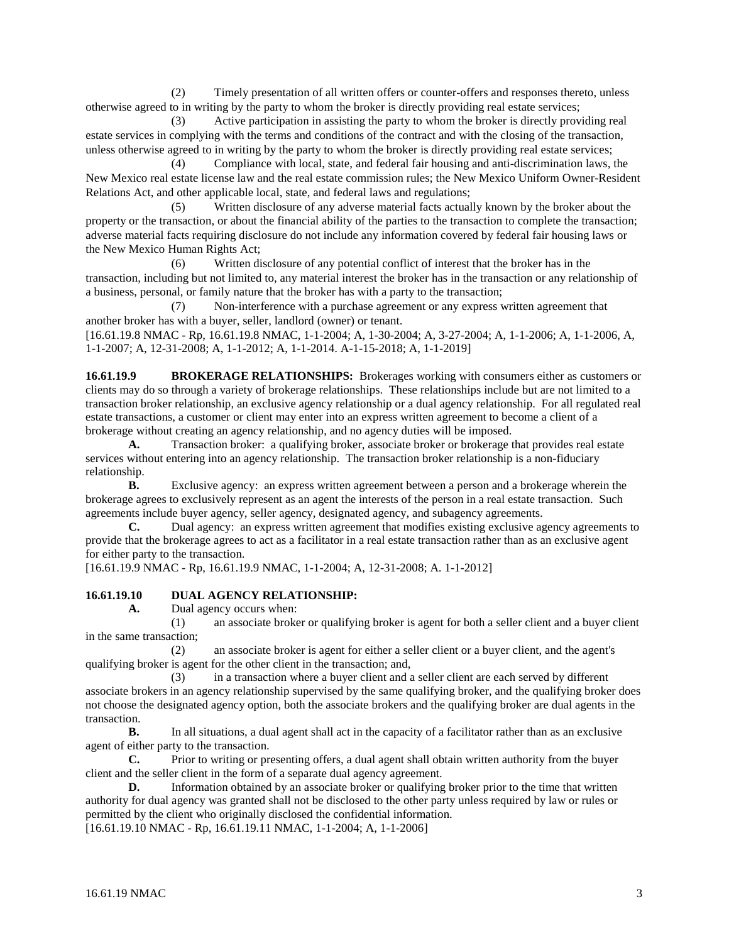(2) Timely presentation of all written offers or counter-offers and responses thereto, unless otherwise agreed to in writing by the party to whom the broker is directly providing real estate services;

(3) Active participation in assisting the party to whom the broker is directly providing real estate services in complying with the terms and conditions of the contract and with the closing of the transaction, unless otherwise agreed to in writing by the party to whom the broker is directly providing real estate services;

(4) Compliance with local, state, and federal fair housing and anti-discrimination laws, the New Mexico real estate license law and the real estate commission rules; the New Mexico Uniform Owner-Resident Relations Act, and other applicable local, state, and federal laws and regulations;

(5) Written disclosure of any adverse material facts actually known by the broker about the property or the transaction, or about the financial ability of the parties to the transaction to complete the transaction; adverse material facts requiring disclosure do not include any information covered by federal fair housing laws or the New Mexico Human Rights Act;

(6) Written disclosure of any potential conflict of interest that the broker has in the transaction, including but not limited to, any material interest the broker has in the transaction or any relationship of a business, personal, or family nature that the broker has with a party to the transaction;

(7) Non-interference with a purchase agreement or any express written agreement that another broker has with a buyer, seller, landlord (owner) or tenant.

[16.61.19.8 NMAC - Rp, 16.61.19.8 NMAC, 1-1-2004; A, 1-30-2004; A, 3-27-2004; A, 1-1-2006; A, 1-1-2006, A, 1-1-2007; A, 12-31-2008; A, 1-1-2012; A, 1-1-2014. A-1-15-2018; A, 1-1-2019]

**16.61.19.9 BROKERAGE RELATIONSHIPS:** Brokerages working with consumers either as customers or clients may do so through a variety of brokerage relationships. These relationships include but are not limited to a transaction broker relationship, an exclusive agency relationship or a dual agency relationship. For all regulated real estate transactions, a customer or client may enter into an express written agreement to become a client of a brokerage without creating an agency relationship, and no agency duties will be imposed.<br>A. Transaction broker: a qualifying broker, associate broker or brokerage t

**A.** Transaction broker: a qualifying broker, associate broker or brokerage that provides real estate services without entering into an agency relationship. The transaction broker relationship is a non-fiduciary relationship.

**B.** Exclusive agency: an express written agreement between a person and a brokerage wherein the brokerage agrees to exclusively represent as an agent the interests of the person in a real estate transaction. Such agreements include buyer agency, seller agency, designated agency, and subagency agreements.<br> **C.** Dual agency: an express written agreement that modifies existing exclusive agreement

**C.** Dual agency: an express written agreement that modifies existing exclusive agency agreements to provide that the brokerage agrees to act as a facilitator in a real estate transaction rather than as an exclusive agent for either party to the transaction.

[16.61.19.9 NMAC - Rp, 16.61.19.9 NMAC, 1-1-2004; A, 12-31-2008; A. 1-1-2012]

# **16.61.19.10 DUAL AGENCY RELATIONSHIP:**<br>A. Dual agency occurs when:

**A.** Dual agency occurs when:

(1) an associate broker or qualifying broker is agent for both a seller client and a buyer client in the same transaction;

(2) an associate broker is agent for either a seller client or a buyer client, and the agent's qualifying broker is agent for the other client in the transaction; and,

(3) in a transaction where a buyer client and a seller client are each served by different associate brokers in an agency relationship supervised by the same qualifying broker, and the qualifying broker does not choose the designated agency option, both the associate brokers and the qualifying broker are dual agents in the transaction.

**B.** In all situations, a dual agent shall act in the capacity of a facilitator rather than as an exclusive agent of either party to the transaction.

**C.** Prior to writing or presenting offers, a dual agent shall obtain written authority from the buyer client and the seller client in the form of a separate dual agency agreement.

**D.** Information obtained by an associate broker or qualifying broker prior to the time that written authority for dual agency was granted shall not be disclosed to the other party unless required by law or rules or permitted by the client who originally disclosed the confidential information.

[16.61.19.10 NMAC - Rp, 16.61.19.11 NMAC, 1-1-2004; A, 1-1-2006]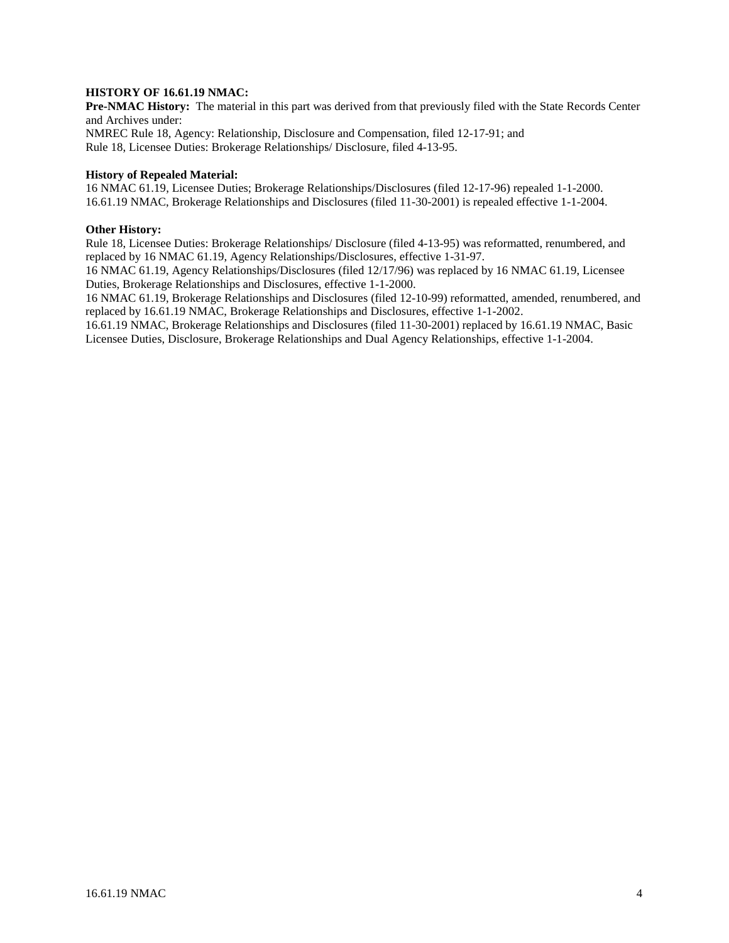#### **HISTORY OF 16.61.19 NMAC:**

**Pre-NMAC History:** The material in this part was derived from that previously filed with the State Records Center and Archives under: NMREC Rule 18, Agency: Relationship, Disclosure and Compensation, filed 12-17-91; and Rule 18, Licensee Duties: Brokerage Relationships/ Disclosure, filed 4-13-95.

#### **History of Repealed Material:**

16 NMAC 61.19, Licensee Duties; Brokerage Relationships/Disclosures (filed 12-17-96) repealed 1-1-2000. 16.61.19 NMAC, Brokerage Relationships and Disclosures (filed 11-30-2001) is repealed effective 1-1-2004.

#### **Other History:**

Rule 18, Licensee Duties: Brokerage Relationships/ Disclosure (filed 4-13-95) was reformatted, renumbered, and replaced by 16 NMAC 61.19, Agency Relationships/Disclosures, effective 1-31-97.

16 NMAC 61.19, Agency Relationships/Disclosures (filed 12/17/96) was replaced by 16 NMAC 61.19, Licensee Duties, Brokerage Relationships and Disclosures, effective 1-1-2000.

16 NMAC 61.19, Brokerage Relationships and Disclosures (filed 12-10-99) reformatted, amended, renumbered, and replaced by 16.61.19 NMAC, Brokerage Relationships and Disclosures, effective 1-1-2002.

16.61.19 NMAC, Brokerage Relationships and Disclosures (filed 11-30-2001) replaced by 16.61.19 NMAC, Basic Licensee Duties, Disclosure, Brokerage Relationships and Dual Agency Relationships, effective 1-1-2004.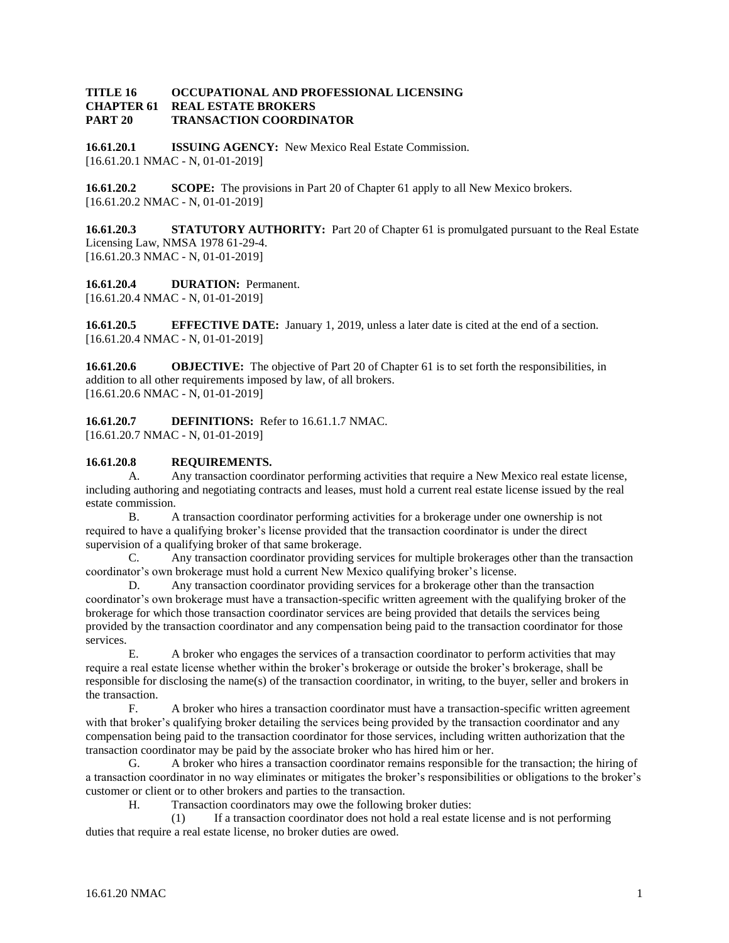#### **TITLE 16 OCCUPATIONAL AND PROFESSIONAL LICENSING CHAPTER 61 REAL ESTATE BROKERS PART 20 TRANSACTION COORDINATOR**

**16.61.20.1 ISSUING AGENCY:** New Mexico Real Estate Commission. [16.61.20.1 NMAC - N, 01-01-2019]

**16.61.20.2 SCOPE:** The provisions in Part 20 of Chapter 61 apply to all New Mexico brokers. [16.61.20.2 NMAC - N, 01-01-2019]

**16.61.20.3 STATUTORY AUTHORITY:** Part 20 of Chapter 61 is promulgated pursuant to the Real Estate Licensing Law, NMSA 1978 61-29-4. [16.61.20.3 NMAC - N, 01-01-2019]

**16.61.20.4 DURATION:** Permanent. [16.61.20.4 NMAC - N, 01-01-2019]

**16.61.20.5 EFFECTIVE DATE:** January 1, 2019, unless a later date is cited at the end of a section. [16.61.20.4 NMAC - N, 01-01-2019]

**16.61.20.6 OBJECTIVE:** The objective of Part 20 of Chapter 61 is to set forth the responsibilities, in addition to all other requirements imposed by law, of all brokers. [16.61.20.6 NMAC - N, 01-01-2019]

**16.61.20.7 DEFINITIONS:** Refer to 16.61.1.7 NMAC. [16.61.20.7 NMAC - N, 01-01-2019]

## **16.61.20.8 REQUIREMENTS.**

A. Any transaction coordinator performing activities that require a New Mexico real estate license, including authoring and negotiating contracts and leases, must hold a current real estate license issued by the real estate commission.

B. A transaction coordinator performing activities for a brokerage under one ownership is not required to have a qualifying broker's license provided that the transaction coordinator is under the direct supervision of a qualifying broker of that same brokerage.

C. Any transaction coordinator providing services for multiple brokerages other than the transaction coordinator's own brokerage must hold a current New Mexico qualifying broker's license.

D. Any transaction coordinator providing services for a brokerage other than the transaction coordinator's own brokerage must have a transaction-specific written agreement with the qualifying broker of the brokerage for which those transaction coordinator services are being provided that details the services being provided by the transaction coordinator and any compensation being paid to the transaction coordinator for those services.

E. A broker who engages the services of a transaction coordinator to perform activities that may require a real estate license whether within the broker's brokerage or outside the broker's brokerage, shall be responsible for disclosing the name(s) of the transaction coordinator, in writing, to the buyer, seller and brokers in the transaction.

F. A broker who hires a transaction coordinator must have a transaction-specific written agreement with that broker's qualifying broker detailing the services being provided by the transaction coordinator and any compensation being paid to the transaction coordinator for those services, including written authorization that the transaction coordinator may be paid by the associate broker who has hired him or her.

G. A broker who hires a transaction coordinator remains responsible for the transaction; the hiring of a transaction coordinator in no way eliminates or mitigates the broker's responsibilities or obligations to the broker's customer or client or to other brokers and parties to the transaction.

H. Transaction coordinators may owe the following broker duties:

(1) If a transaction coordinator does not hold a real estate license and is not performing duties that require a real estate license, no broker duties are owed.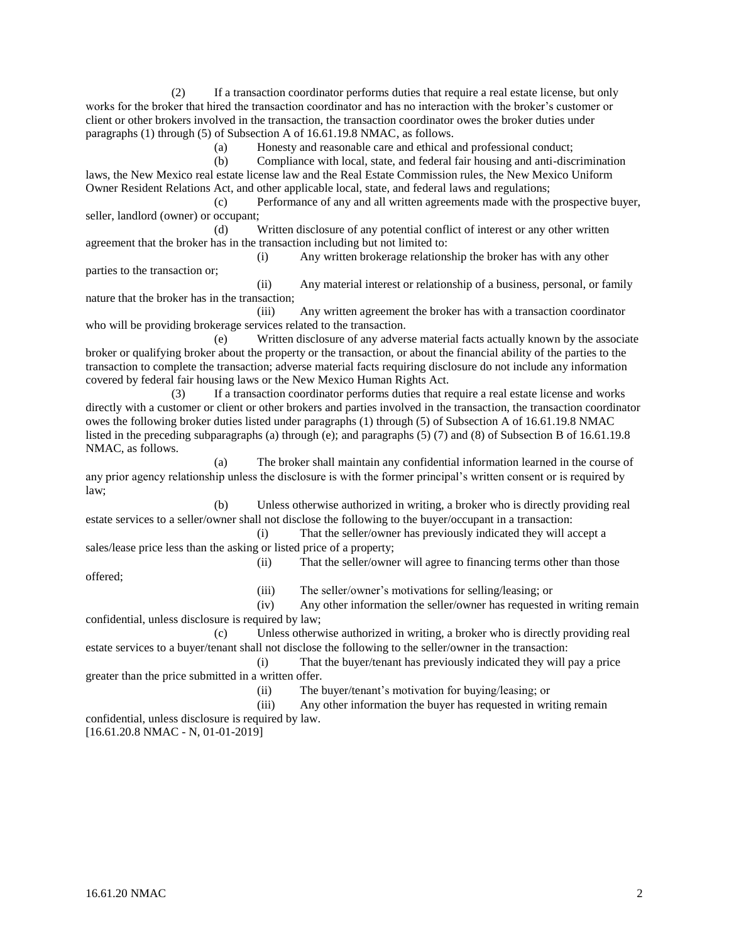(2) If a transaction coordinator performs duties that require a real estate license, but only works for the broker that hired the transaction coordinator and has no interaction with the broker's customer or client or other brokers involved in the transaction, the transaction coordinator owes the broker duties under paragraphs (1) through (5) of Subsection A of 16.61.19.8 NMAC, as follows.

(a) Honesty and reasonable care and ethical and professional conduct;

(b) Compliance with local, state, and federal fair housing and anti-discrimination laws, the New Mexico real estate license law and the Real Estate Commission rules, the New Mexico Uniform Owner Resident Relations Act, and other applicable local, state, and federal laws and regulations;

(c) Performance of any and all written agreements made with the prospective buyer, seller, landlord (owner) or occupant;

(d) Written disclosure of any potential conflict of interest or any other written agreement that the broker has in the transaction including but not limited to:

(i) Any written brokerage relationship the broker has with any other parties to the transaction or;

(ii) Any material interest or relationship of a business, personal, or family nature that the broker has in the transaction;

(iii) Any written agreement the broker has with a transaction coordinator who will be providing brokerage services related to the transaction.

(e) Written disclosure of any adverse material facts actually known by the associate broker or qualifying broker about the property or the transaction, or about the financial ability of the parties to the transaction to complete the transaction; adverse material facts requiring disclosure do not include any information covered by federal fair housing laws or the New Mexico Human Rights Act.

(3) If a transaction coordinator performs duties that require a real estate license and works directly with a customer or client or other brokers and parties involved in the transaction, the transaction coordinator owes the following broker duties listed under paragraphs (1) through (5) of Subsection A of 16.61.19.8 NMAC listed in the preceding subparagraphs (a) through (e); and paragraphs (5) (7) and (8) of Subsection B of 16.61.19.8 NMAC, as follows.

(a) The broker shall maintain any confidential information learned in the course of any prior agency relationship unless the disclosure is with the former principal's written consent or is required by law;

(b) Unless otherwise authorized in writing, a broker who is directly providing real estate services to a seller/owner shall not disclose the following to the buyer/occupant in a transaction:

(i) That the seller/owner has previously indicated they will accept a sales/lease price less than the asking or listed price of a property;

offered;

(iii) The seller/owner's motivations for selling/leasing; or

(ii) That the seller/owner will agree to financing terms other than those

(iv) Any other information the seller/owner has requested in writing remain confidential, unless disclosure is required by law;

(c) Unless otherwise authorized in writing, a broker who is directly providing real estate services to a buyer/tenant shall not disclose the following to the seller/owner in the transaction:

(i) That the buyer/tenant has previously indicated they will pay a price greater than the price submitted in a written offer.

(ii) The buyer/tenant's motivation for buying/leasing; or

(iii) Any other information the buyer has requested in writing remain confidential, unless disclosure is required by law.

[16.61.20.8 NMAC - N, 01-01-2019]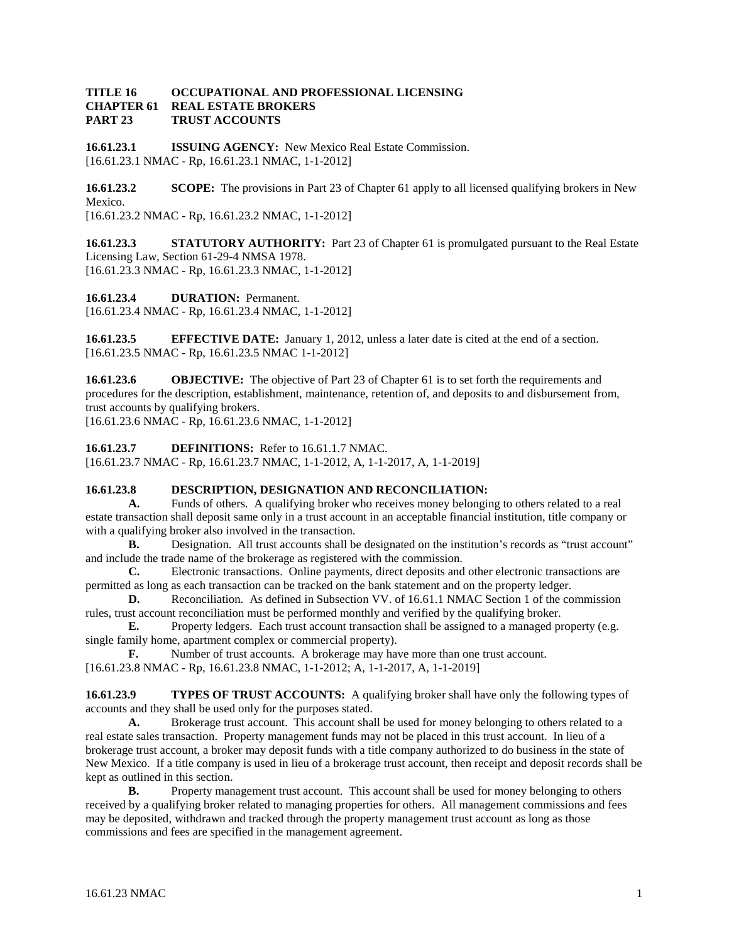#### **TITLE 16 OCCUPATIONAL AND PROFESSIONAL LICENSING REAL ESTATE BROKERS PART 23 TRUST ACCOUNTS**

**16.61.23.1 ISSUING AGENCY:** New Mexico Real Estate Commission. [16.61.23.1 NMAC - Rp, 16.61.23.1 NMAC, 1-1-2012]

**16.61.23.2 SCOPE:** The provisions in Part 23 of Chapter 61 apply to all licensed qualifying brokers in New Mexico. [16.61.23.2 NMAC - Rp, 16.61.23.2 NMAC, 1-1-2012]

**16.61.23.3 STATUTORY AUTHORITY:** Part 23 of Chapter 61 is promulgated pursuant to the Real Estate Licensing Law, Section 61-29-4 NMSA 1978. [16.61.23.3 NMAC - Rp, 16.61.23.3 NMAC, 1-1-2012]

**16.61.23.4 DURATION:** Permanent. [16.61.23.4 NMAC - Rp, 16.61.23.4 NMAC, 1-1-2012]

**16.61.23.5 EFFECTIVE DATE:** January 1, 2012, unless a later date is cited at the end of a section. [16.61.23.5 NMAC - Rp, 16.61.23.5 NMAC 1-1-2012]

**16.61.23.6 OBJECTIVE:** The objective of Part 23 of Chapter 61 is to set forth the requirements and procedures for the description, establishment, maintenance, retention of, and deposits to and disbursement from, trust accounts by qualifying brokers.

[16.61.23.6 NMAC - Rp, 16.61.23.6 NMAC, 1-1-2012]

**16.61.23.7 DEFINITIONS:** Refer to 16.61.1.7 NMAC. [16.61.23.7 NMAC - Rp, 16.61.23.7 NMAC, 1-1-2012, A, 1-1-2017, A, 1-1-2019]

## **16.61.23.8 DESCRIPTION, DESIGNATION AND RECONCILIATION:**

**A.** Funds of others. A qualifying broker who receives money belonging to others related to a real estate transaction shall deposit same only in a trust account in an acceptable financial institution, title company or with a qualifying broker also involved in the transaction.

**B.** Designation. All trust accounts shall be designated on the institution's records as "trust account" and include the trade name of the brokerage as registered with the commission.

**C.** Electronic transactions. Online payments, direct deposits and other electronic transactions are permitted as long as each transaction can be tracked on the bank statement and on the property ledger.

**D.** Reconciliation. As defined in Subsection VV. of 16.61.1 NMAC Section 1 of the commission rules, trust account reconciliation must be performed monthly and verified by the qualifying broker.

**E.** Property ledgers. Each trust account transaction shall be assigned to a managed property (e.g. single family home, apartment complex or commercial property).

**F.** Number of trust accounts. A brokerage may have more than one trust account. [16.61.23.8 NMAC - Rp, 16.61.23.8 NMAC, 1-1-2012; A, 1-1-2017, A, 1-1-2019]

**16.61.23.9 TYPES OF TRUST ACCOUNTS:** A qualifying broker shall have only the following types of accounts and they shall be used only for the purposes stated.

**A.** Brokerage trust account. This account shall be used for money belonging to others related to a real estate sales transaction. Property management funds may not be placed in this trust account. In lieu of a brokerage trust account, a broker may deposit funds with a title company authorized to do business in the state of New Mexico. If a title company is used in lieu of a brokerage trust account, then receipt and deposit records shall be kept as outlined in this section.

**B.** Property management trust account. This account shall be used for money belonging to others received by a qualifying broker related to managing properties for others. All management commissions and fees may be deposited, withdrawn and tracked through the property management trust account as long as those commissions and fees are specified in the management agreement.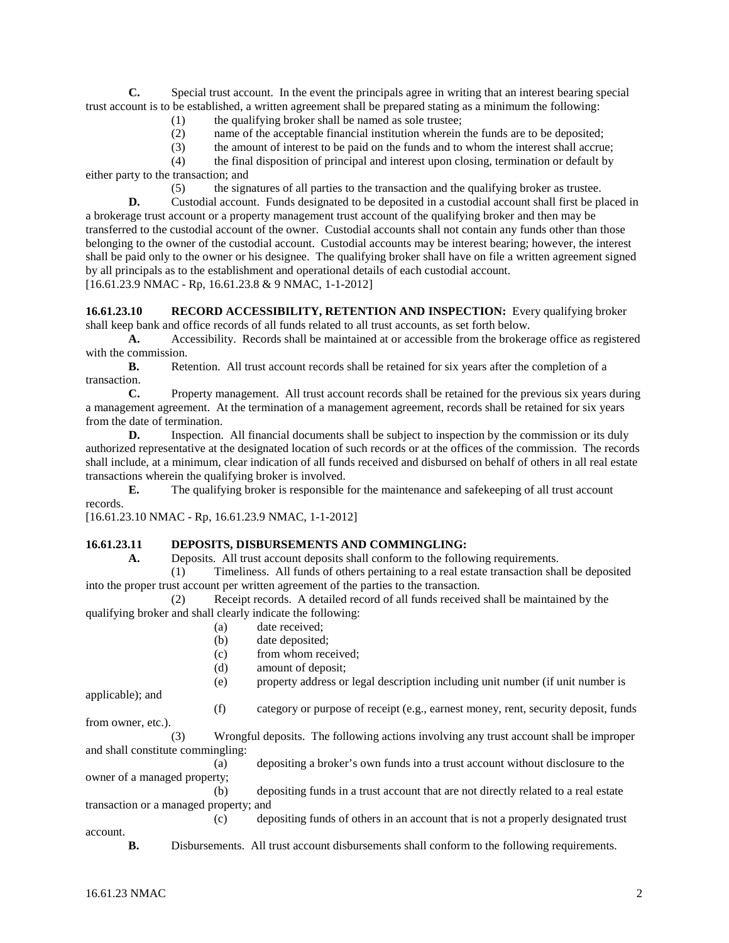**C.** Special trust account. In the event the principals agree in writing that an interest bearing special trust account is to be established, a written agreement shall be prepared stating as a minimum the following:

- (1) the qualifying broker shall be named as sole trustee;
- (2) name of the acceptable financial institution wherein the funds are to be deposited;
- (3) the amount of interest to be paid on the funds and to whom the interest shall accrue;

(4) the final disposition of principal and interest upon closing, termination or default by either party to the transaction; and

(5) the signatures of all parties to the transaction and the qualifying broker as trustee.

**D.** Custodial account. Funds designated to be deposited in a custodial account shall first be placed in a brokerage trust account or a property management trust account of the qualifying broker and then may be transferred to the custodial account of the owner. Custodial accounts shall not contain any funds other than those belonging to the owner of the custodial account. Custodial accounts may be interest bearing; however, the interest shall be paid only to the owner or his designee. The qualifying broker shall have on file a written agreement signed by all principals as to the establishment and operational details of each custodial account. [16.61.23.9 NMAC - Rp, 16.61.23.8 & 9 NMAC, 1-1-2012]

**16.61.23.10 RECORD ACCESSIBILITY, RETENTION AND INSPECTION:** Every qualifying broker shall keep bank and office records of all funds related to all trust accounts, as set forth below.

**A.** Accessibility. Records shall be maintained at or accessible from the brokerage office as registered with the commission.

**B.** Retention. All trust account records shall be retained for six years after the completion of a transaction.

**C.** Property management. All trust account records shall be retained for the previous six years during a management agreement. At the termination of a management agreement, records shall be retained for six years from the date of termination.

**D.** Inspection. All financial documents shall be subject to inspection by the commission or its duly authorized representative at the designated location of such records or at the offices of the commission. The records shall include, at a minimum, clear indication of all funds received and disbursed on behalf of others in all real estate transactions wherein the qualifying broker is involved.

**E.** The qualifying broker is responsible for the maintenance and safekeeping of all trust account records.

[16.61.23.10 NMAC - Rp, 16.61.23.9 NMAC, 1-1-2012]

## **16.61.23.11 <b>DEPOSITS, DISBURSEMENTS AND COMMINGLING:**<br>**16.61.23.11 Deposits** All trust account deposits shall conform to the follow

**A.** Deposits. All trust account deposits shall conform to the following requirements.

(1) Timeliness. All funds of others pertaining to a real estate transaction shall be deposited into the proper trust account per written agreement of the parties to the transaction.

(2) Receipt records. A detailed record of all funds received shall be maintained by the qualifying broker and shall clearly indicate the following:

- (a) date received;
- (b) date deposited;
- (c) from whom received;
- (d) amount of deposit;

(e) property address or legal description including unit number (if unit number is

applicable); and

(f) category or purpose of receipt (e.g., earnest money, rent, security deposit, funds

from owner, etc.). (3) Wrongful deposits. The following actions involving any trust account shall be improper and shall constitute commingling:

(a) depositing a broker's own funds into a trust account without disclosure to the owner of a managed property;

(b) depositing funds in a trust account that are not directly related to a real estate transaction or a managed property; and

(c) depositing funds of others in an account that is not a properly designated trust account.

**B.** Disbursements. All trust account disbursements shall conform to the following requirements.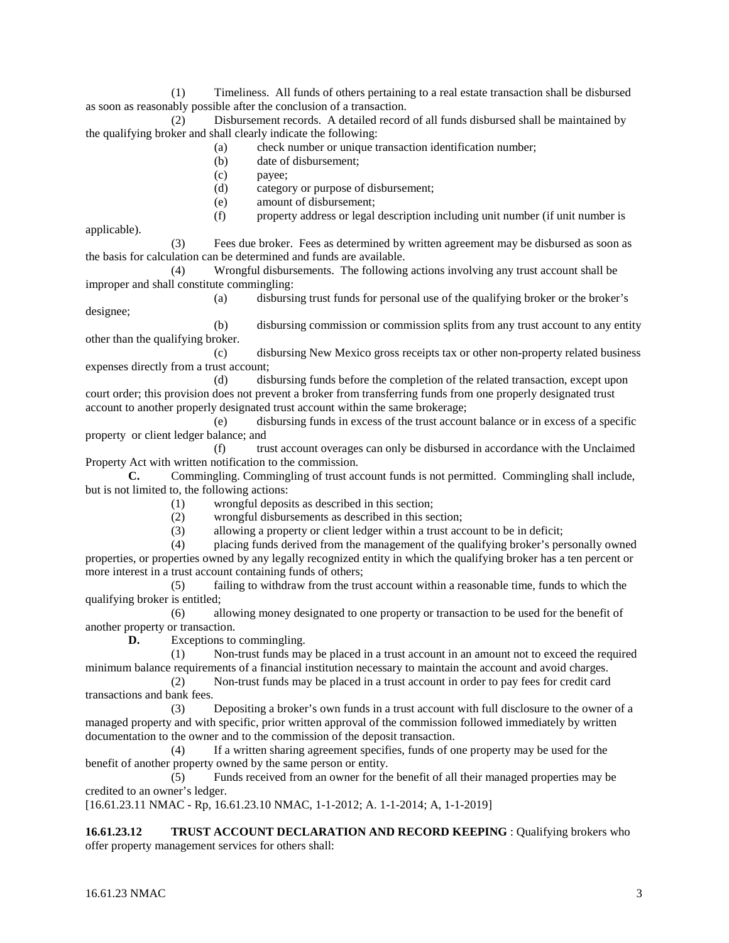(1) Timeliness. All funds of others pertaining to a real estate transaction shall be disbursed as soon as reasonably possible after the conclusion of a transaction.

(2) Disbursement records. A detailed record of all funds disbursed shall be maintained by the qualifying broker and shall clearly indicate the following:

- (a) check number or unique transaction identification number;
- (b) date of disbursement;
- (c) payee;
- (d) category or purpose of disbursement;
- (e) amount of disbursement;
- (f) property address or legal description including unit number (if unit number is

applicable).

(3) Fees due broker. Fees as determined by written agreement may be disbursed as soon as the basis for calculation can be determined and funds are available.

(4) Wrongful disbursements. The following actions involving any trust account shall be improper and shall constitute commingling:

(a) disbursing trust funds for personal use of the qualifying broker or the broker's designee;

(b) disbursing commission or commission splits from any trust account to any entity other than the qualifying broker.

(c) disbursing New Mexico gross receipts tax or other non-property related business expenses directly from a trust account;

(d) disbursing funds before the completion of the related transaction, except upon court order; this provision does not prevent a broker from transferring funds from one properly designated trust account to another properly designated trust account within the same brokerage;

(e) disbursing funds in excess of the trust account balance or in excess of a specific property or client ledger balance; and

(f) trust account overages can only be disbursed in accordance with the Unclaimed Property Act with written notification to the commission.

**C.** Commingling. Commingling of trust account funds is not permitted. Commingling shall include, but is not limited to, the following actions:

(1) wrongful deposits as described in this section;

(2) wrongful disbursements as described in this section;

(3) allowing a property or client ledger within a trust account to be in deficit;

(4) placing funds derived from the management of the qualifying broker's personally owned properties, or properties owned by any legally recognized entity in which the qualifying broker has a ten percent or more interest in a trust account containing funds of others;

(5) failing to withdraw from the trust account within a reasonable time, funds to which the qualifying broker is entitled;

(6) allowing money designated to one property or transaction to be used for the benefit of another property or transaction.

**D.** Exceptions to commingling.

(1) Non-trust funds may be placed in a trust account in an amount not to exceed the required minimum balance requirements of a financial institution necessary to maintain the account and avoid charges.

(2) Non-trust funds may be placed in a trust account in order to pay fees for credit card transactions and bank fees.

(3) Depositing a broker's own funds in a trust account with full disclosure to the owner of a managed property and with specific, prior written approval of the commission followed immediately by written documentation to the owner and to the commission of the deposit transaction.

(4) If a written sharing agreement specifies, funds of one property may be used for the benefit of another property owned by the same person or entity.

(5) Funds received from an owner for the benefit of all their managed properties may be credited to an owner's ledger.

[16.61.23.11 NMAC - Rp, 16.61.23.10 NMAC, 1-1-2012; A. 1-1-2014; A, 1-1-2019]

**16.61.23.12 TRUST ACCOUNT DECLARATION AND RECORD KEEPING** : Qualifying brokers who offer property management services for others shall: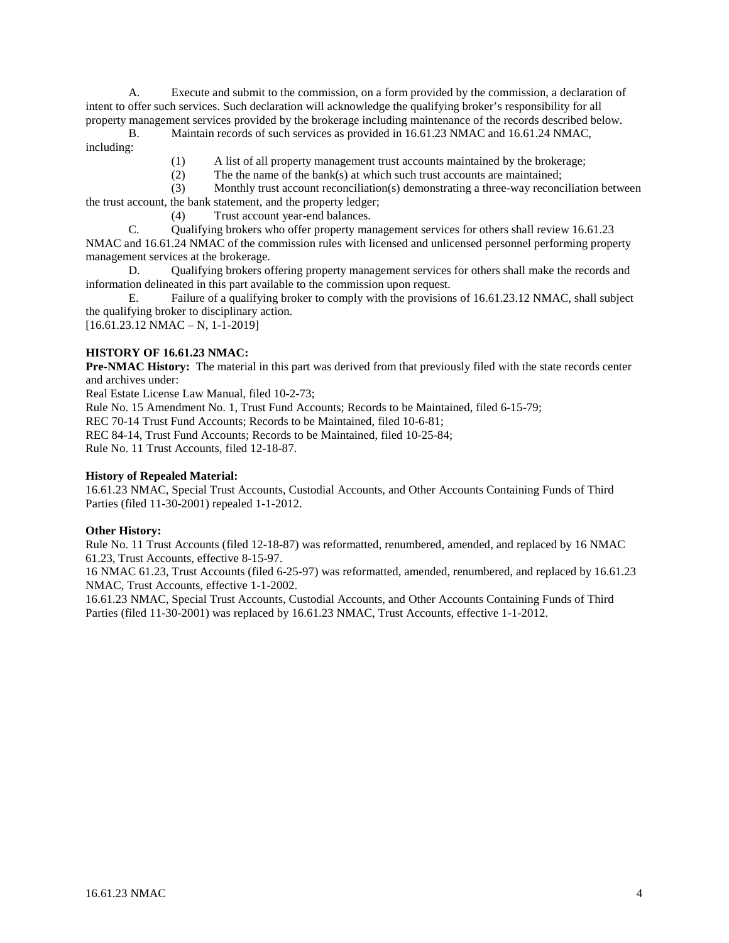A. Execute and submit to the commission, on a form provided by the commission, a declaration of intent to offer such services. Such declaration will acknowledge the qualifying broker's responsibility for all property management services provided by the brokerage including maintenance of the records described below.

B. Maintain records of such services as provided in 16.61.23 NMAC and 16.61.24 NMAC, including:

- (1) A list of all property management trust accounts maintained by the brokerage;
- (2) The the name of the bank(s) at which such trust accounts are maintained;

(3) Monthly trust account reconciliation(s) demonstrating a three-way reconciliation between the trust account, the bank statement, and the property ledger;

(4) Trust account year-end balances.

C. Qualifying brokers who offer property management services for others shall review 16.61.23 NMAC and 16.61.24 NMAC of the commission rules with licensed and unlicensed personnel performing property management services at the brokerage.

D. Qualifying brokers offering property management services for others shall make the records and information delineated in this part available to the commission upon request.

E. Failure of a qualifying broker to comply with the provisions of 16.61.23.12 NMAC, shall subject the qualifying broker to disciplinary action.

[16.61.23.12 NMAC – N, 1-1-2019]

## **HISTORY OF 16.61.23 NMAC:**

**Pre-NMAC History:** The material in this part was derived from that previously filed with the state records center and archives under:

Real Estate License Law Manual, filed 10-2-73;

Rule No. 15 Amendment No. 1, Trust Fund Accounts; Records to be Maintained, filed 6-15-79;

REC 70-14 Trust Fund Accounts; Records to be Maintained, filed 10-6-81;

REC 84-14, Trust Fund Accounts; Records to be Maintained, filed 10-25-84;

Rule No. 11 Trust Accounts, filed 12-18-87.

## **History of Repealed Material:**

16.61.23 NMAC, Special Trust Accounts, Custodial Accounts, and Other Accounts Containing Funds of Third Parties (filed 11-30-2001) repealed 1-1-2012.

## **Other History:**

Rule No. 11 Trust Accounts (filed 12-18-87) was reformatted, renumbered, amended, and replaced by 16 NMAC 61.23, Trust Accounts, effective 8-15-97.

16 NMAC 61.23, Trust Accounts (filed 6-25-97) was reformatted, amended, renumbered, and replaced by 16.61.23 NMAC, Trust Accounts, effective 1-1-2002.

16.61.23 NMAC, Special Trust Accounts, Custodial Accounts, and Other Accounts Containing Funds of Third Parties (filed 11-30-2001) was replaced by 16.61.23 NMAC, Trust Accounts, effective 1-1-2012.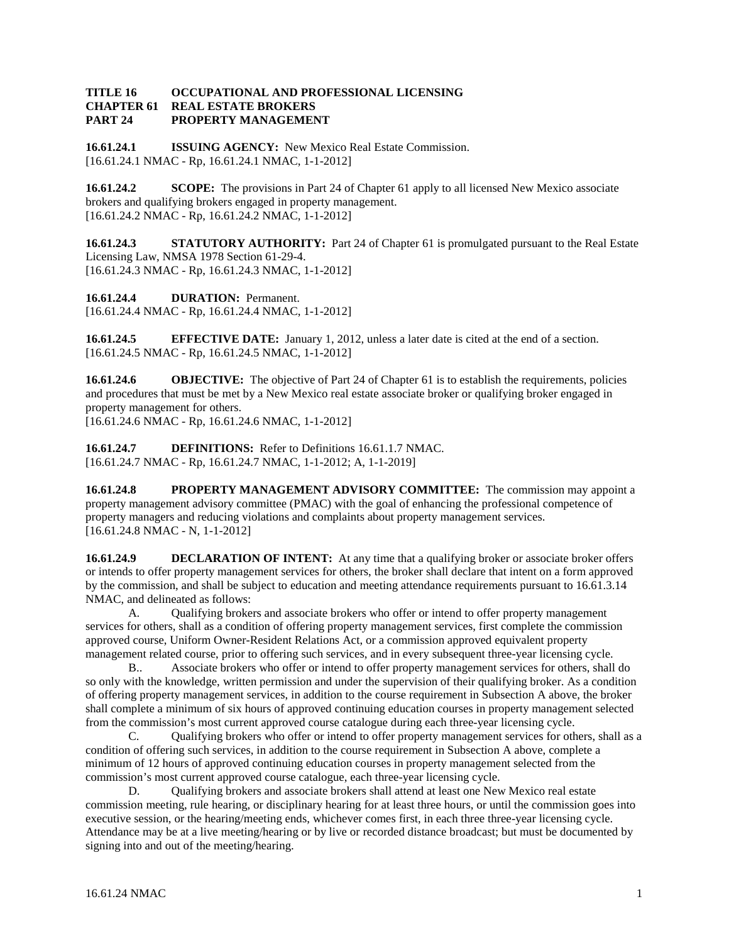#### **TITLE 16 OCCUPATIONAL AND PROFESSIONAL LICENSING REAL ESTATE BROKERS PART 24 PROPERTY MANAGEMENT**

**16.61.24.1 ISSUING AGENCY:** New Mexico Real Estate Commission. [16.61.24.1 NMAC - Rp, 16.61.24.1 NMAC, 1-1-2012]

**16.61.24.2 SCOPE:** The provisions in Part 24 of Chapter 61 apply to all licensed New Mexico associate brokers and qualifying brokers engaged in property management. [16.61.24.2 NMAC - Rp, 16.61.24.2 NMAC, 1-1-2012]

**16.61.24.3 STATUTORY AUTHORITY:** Part 24 of Chapter 61 is promulgated pursuant to the Real Estate Licensing Law, NMSA 1978 Section 61-29-4. [16.61.24.3 NMAC - Rp, 16.61.24.3 NMAC, 1-1-2012]

**16.61.24.4 DURATION:** Permanent. [16.61.24.4 NMAC - Rp, 16.61.24.4 NMAC, 1-1-2012]

**16.61.24.5 EFFECTIVE DATE:** January 1, 2012, unless a later date is cited at the end of a section. [16.61.24.5 NMAC - Rp, 16.61.24.5 NMAC, 1-1-2012]

**16.61.24.6 OBJECTIVE:** The objective of Part 24 of Chapter 61 is to establish the requirements, policies and procedures that must be met by a New Mexico real estate associate broker or qualifying broker engaged in property management for others.

[16.61.24.6 NMAC - Rp, 16.61.24.6 NMAC, 1-1-2012]

**16.61.24.7 DEFINITIONS:** Refer to Definitions 16.61.1.7 NMAC. [16.61.24.7 NMAC - Rp, 16.61.24.7 NMAC, 1-1-2012; A, 1-1-2019]

**16.61.24.8 PROPERTY MANAGEMENT ADVISORY COMMITTEE:** The commission may appoint a property management advisory committee (PMAC) with the goal of enhancing the professional competence of property managers and reducing violations and complaints about property management services. [16.61.24.8 NMAC - N, 1-1-2012]

**16.61.24.9 DECLARATION OF INTENT:** At any time that a qualifying broker or associate broker offers or intends to offer property management services for others, the broker shall declare that intent on a form approved by the commission, and shall be subject to education and meeting attendance requirements pursuant to 16.61.3.14 NMAC, and delineated as follows:

A. Qualifying brokers and associate brokers who offer or intend to offer property management services for others, shall as a condition of offering property management services, first complete the commission approved course, Uniform Owner-Resident Relations Act, or a commission approved equivalent property management related course, prior to offering such services, and in every subsequent three-year licensing cycle.

B.. Associate brokers who offer or intend to offer property management services for others, shall do so only with the knowledge, written permission and under the supervision of their qualifying broker. As a condition of offering property management services, in addition to the course requirement in Subsection A above, the broker shall complete a minimum of six hours of approved continuing education courses in property management selected from the commission's most current approved course catalogue during each three-year licensing cycle.

C. Qualifying brokers who offer or intend to offer property management services for others, shall as a condition of offering such services, in addition to the course requirement in Subsection A above, complete a minimum of 12 hours of approved continuing education courses in property management selected from the commission's most current approved course catalogue, each three-year licensing cycle.

D. Qualifying brokers and associate brokers shall attend at least one New Mexico real estate commission meeting, rule hearing, or disciplinary hearing for at least three hours, or until the commission goes into executive session, or the hearing/meeting ends, whichever comes first, in each three three-year licensing cycle. Attendance may be at a live meeting/hearing or by live or recorded distance broadcast; but must be documented by signing into and out of the meeting/hearing.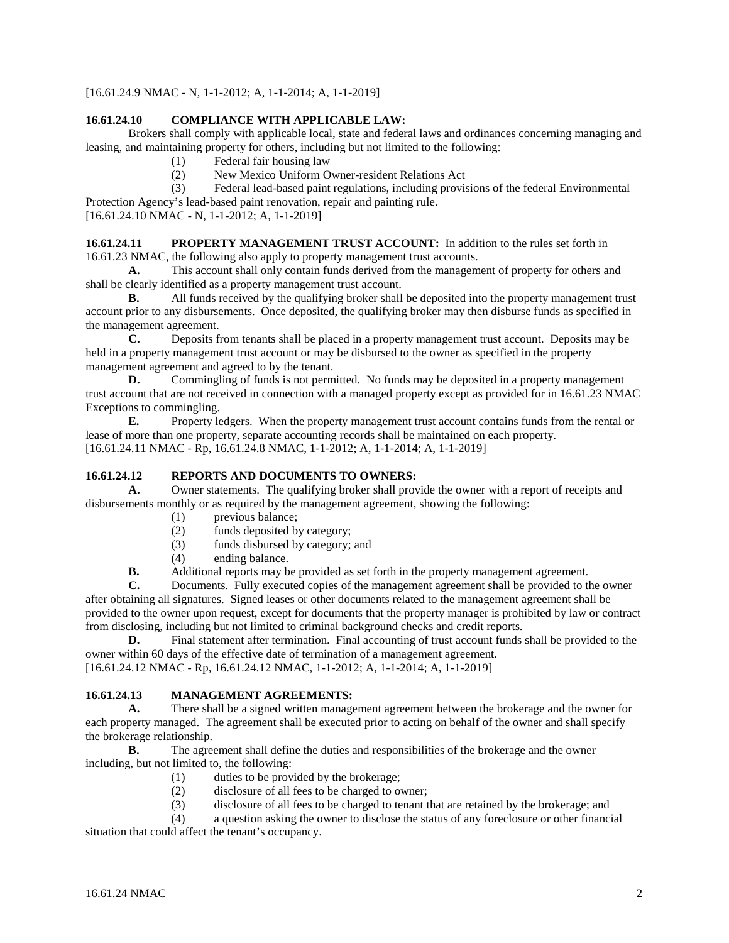[16.61.24.9 NMAC - N, 1-1-2012; A, 1-1-2014; A, 1-1-2019]

## **16.61.24.10 COMPLIANCE WITH APPLICABLE LAW:**

Brokers shall comply with applicable local, state and federal laws and ordinances concerning managing and leasing, and maintaining property for others, including but not limited to the following:

- (1) Federal fair housing law
- (2) New Mexico Uniform Owner-resident Relations Act
- (3) Federal lead-based paint regulations, including provisions of the federal Environmental

Protection Agency's lead-based paint renovation, repair and painting rule.

[16.61.24.10 NMAC - N, 1-1-2012; A, 1-1-2019]

**16.61.24.11 PROPERTY MANAGEMENT TRUST ACCOUNT:** In addition to the rules set forth in 16.61.23 NMAC, the following also apply to property management trust accounts.

**A.** This account shall only contain funds derived from the management of property for others and shall be clearly identified as a property management trust account.

**B.** All funds received by the qualifying broker shall be deposited into the property management trust account prior to any disbursements. Once deposited, the qualifying broker may then disburse funds as specified in the management agreement.

**C.** Deposits from tenants shall be placed in a property management trust account. Deposits may be held in a property management trust account or may be disbursed to the owner as specified in the property management agreement and agreed to by the tenant.

**D.** Commingling of funds is not permitted. No funds may be deposited in a property management trust account that are not received in connection with a managed property except as provided for in 16.61.23 NMAC Exceptions to commingling.

**E.** Property ledgers. When the property management trust account contains funds from the rental or lease of more than one property, separate accounting records shall be maintained on each property. [16.61.24.11 NMAC - Rp, 16.61.24.8 NMAC, 1-1-2012; A, 1-1-2014; A, 1-1-2019]

## **16.61.24.12 REPORTS AND DOCUMENTS TO OWNERS:**

**A.** Owner statements. The qualifying broker shall provide the owner with a report of receipts and disbursements monthly or as required by the management agreement, showing the following:

- (1) previous balance;
- (2) funds deposited by category;
- (3) funds disbursed by category; and (4) ending balance.
- ending balance.

**B.** Additional reports may be provided as set forth in the property management agreement.

**C.** Documents. Fully executed copies of the management agreement shall be provided to the owner after obtaining all signatures. Signed leases or other documents related to the management agreement shall be provided to the owner upon request, except for documents that the property manager is prohibited by law or contract from disclosing, including but not limited to criminal background checks and credit reports.<br> **D.** Final statement after termination. Final accounting of trust account funds

Final statement after termination. Final accounting of trust account funds shall be provided to the owner within 60 days of the effective date of termination of a management agreement.

[16.61.24.12 NMAC - Rp, 16.61.24.12 NMAC, 1-1-2012; A, 1-1-2014; A, 1-1-2019]

## **16.61.24.13 MANAGEMENT AGREEMENTS:**

**A.** There shall be a signed written management agreement between the brokerage and the owner for each property managed. The agreement shall be executed prior to acting on behalf of the owner and shall specify the brokerage relationship.

**B.** The agreement shall define the duties and responsibilities of the brokerage and the owner including, but not limited to, the following:

- (1) duties to be provided by the brokerage;
- (2) disclosure of all fees to be charged to owner;
- (3) disclosure of all fees to be charged to tenant that are retained by the brokerage; and

(4) a question asking the owner to disclose the status of any foreclosure or other financial situation that could affect the tenant's occupancy.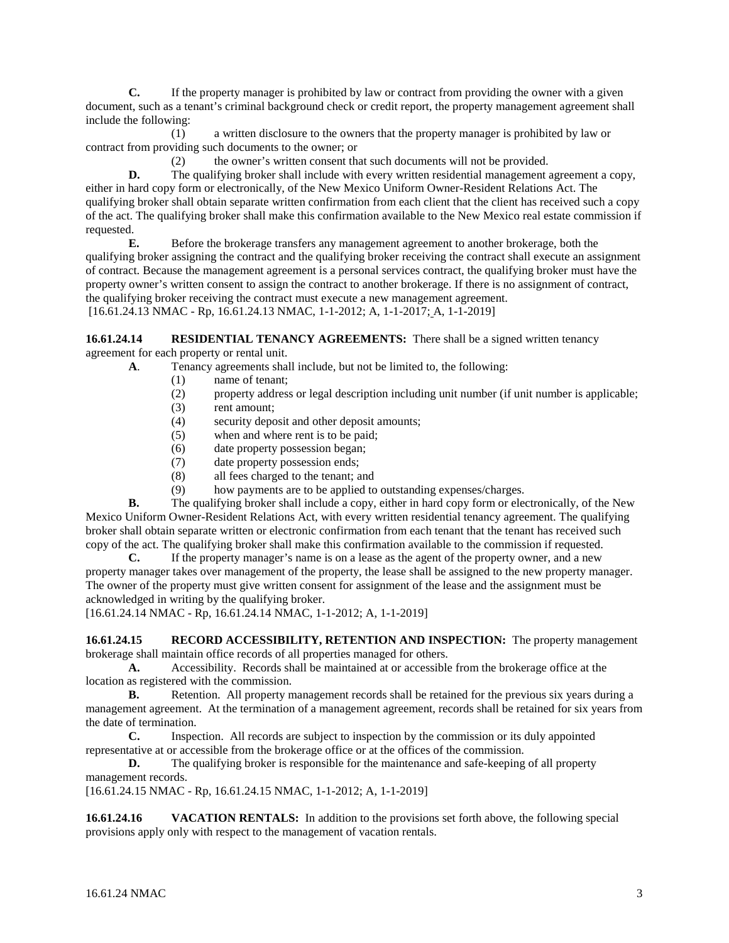**C.** If the property manager is prohibited by law or contract from providing the owner with a given document, such as a tenant's criminal background check or credit report, the property management agreement shall include the following:

(1) a written disclosure to the owners that the property manager is prohibited by law or contract from providing such documents to the owner; or

(2) the owner's written consent that such documents will not be provided.

**D.** The qualifying broker shall include with every written residential management agreement a copy, either in hard copy form or electronically, of the New Mexico Uniform Owner-Resident Relations Act. The qualifying broker shall obtain separate written confirmation from each client that the client has received such a copy of the act. The qualifying broker shall make this confirmation available to the New Mexico real estate commission if requested.

**E.** Before the brokerage transfers any management agreement to another brokerage, both the qualifying broker assigning the contract and the qualifying broker receiving the contract shall execute an assignment of contract. Because the management agreement is a personal services contract, the qualifying broker must have the property owner's written consent to assign the contract to another brokerage. If there is no assignment of contract, the qualifying broker receiving the contract must execute a new management agreement. [16.61.24.13 NMAC - Rp, 16.61.24.13 NMAC, 1-1-2012; A, 1-1-2017; A, 1-1-2019]

**16.61.24.14 RESIDENTIAL TENANCY AGREEMENTS:** There shall be a signed written tenancy agreement for each property or rental unit.

**A**. Tenancy agreements shall include, but not be limited to, the following:

- (1) name of tenant;<br>(2) property address
- property address or legal description including unit number (if unit number is applicable;
- (3) rent amount;
- (4) security deposit and other deposit amounts;
- (5) when and where rent is to be paid;
- (6) date property possession began;
- (7) date property possession ends;
- (8) all fees charged to the tenant; and
- (9) how payments are to be applied to outstanding expenses/charges.

**B.** The qualifying broker shall include a copy, either in hard copy form or electronically, of the New Mexico Uniform Owner-Resident Relations Act, with every written residential tenancy agreement. The qualifying broker shall obtain separate written or electronic confirmation from each tenant that the tenant has received such copy of the act. The qualifying broker shall make this confirmation available to the commission if requested.<br> **C.** If the property manager's name is on a lease as the agent of the property owner, and a new

**C.** If the property manager's name is on a lease as the agent of the property owner, and a new property manager takes over management of the property, the lease shall be assigned to the new property manager. The owner of the property must give written consent for assignment of the lease and the assignment must be acknowledged in writing by the qualifying broker.

[16.61.24.14 NMAC - Rp, 16.61.24.14 NMAC, 1-1-2012; A, 1-1-2019]

**16.61.24.15 RECORD ACCESSIBILITY, RETENTION AND INSPECTION:** The property management brokerage shall maintain office records of all properties managed for others.

**A.** Accessibility. Records shall be maintained at or accessible from the brokerage office at the location as registered with the commission.

**B.** Retention. All property management records shall be retained for the previous six years during a management agreement. At the termination of a management agreement, records shall be retained for six years from the date of termination.

**C.** Inspection. All records are subject to inspection by the commission or its duly appointed representative at or accessible from the brokerage office or at the offices of the commission.

**D.** The qualifying broker is responsible for the maintenance and safe-keeping of all property management records.

[16.61.24.15 NMAC - Rp, 16.61.24.15 NMAC, 1-1-2012; A, 1-1-2019]

**16.61.24.16 VACATION RENTALS:** In addition to the provisions set forth above, the following special provisions apply only with respect to the management of vacation rentals.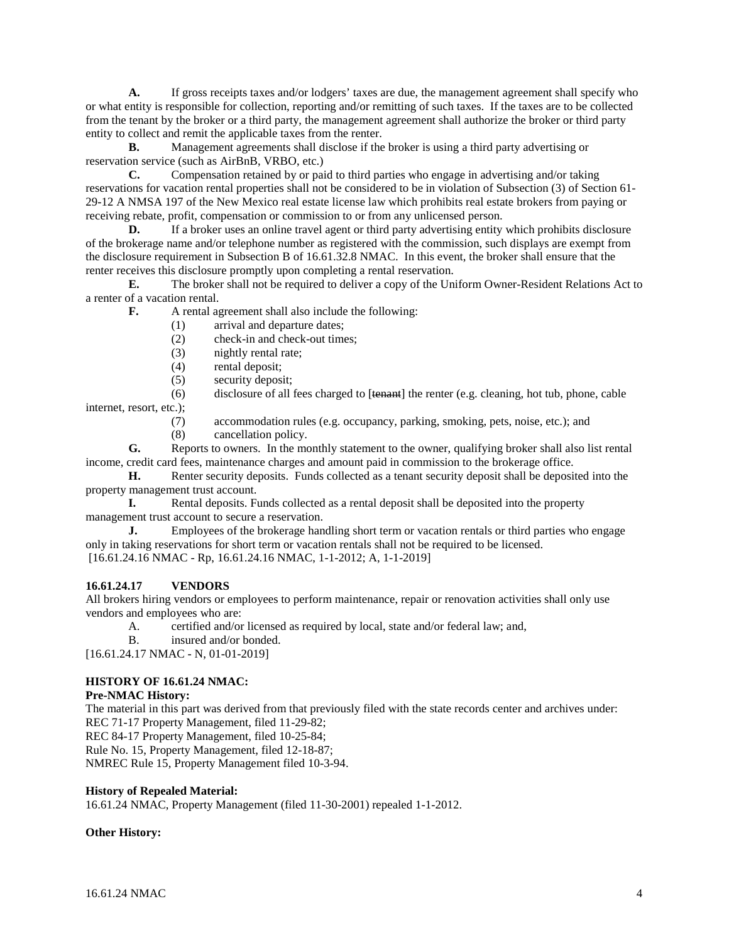**A.** If gross receipts taxes and/or lodgers' taxes are due, the management agreement shall specify who or what entity is responsible for collection, reporting and/or remitting of such taxes. If the taxes are to be collected from the tenant by the broker or a third party, the management agreement shall authorize the broker or third party entity to collect and remit the applicable taxes from the renter.

**B.** Management agreements shall disclose if the broker is using a third party advertising or reservation service (such as AirBnB, VRBO, etc.)

**C.** Compensation retained by or paid to third parties who engage in advertising and/or taking reservations for vacation rental properties shall not be considered to be in violation of Subsection (3) of Section 61- 29-12 A NMSA 197 of the New Mexico real estate license law which prohibits real estate brokers from paying or receiving rebate, profit, compensation or commission to or from any unlicensed person.

**D.** If a broker uses an online travel agent or third party advertising entity which prohibits disclosure of the brokerage name and/or telephone number as registered with the commission, such displays are exempt from the disclosure requirement in Subsection B of 16.61.32.8 NMAC. In this event, the broker shall ensure that the renter receives this disclosure promptly upon completing a rental reservation.

**E.** The broker shall not be required to deliver a copy of the Uniform Owner-Resident Relations Act to a renter of a vacation rental.

**F.** A rental agreement shall also include the following:

- (1) arrival and departure dates;
- (2) check-in and check-out times;
- (3) nightly rental rate;
- (4) rental deposit;
- (5) security deposit;

 $(6)$  disclosure of all fees charged to [tenant] the renter (e.g. cleaning, hot tub, phone, cable internet, resort, etc.);

(7) accommodation rules (e.g. occupancy, parking, smoking, pets, noise, etc.); and

(8) cancellation policy.

**G.** Reports to owners. In the monthly statement to the owner, qualifying broker shall also list rental income, credit card fees, maintenance charges and amount paid in commission to the brokerage office.

**H.** Renter security deposits. Funds collected as a tenant security deposit shall be deposited into the property management trust account.

**I.** Rental deposits. Funds collected as a rental deposit shall be deposited into the property management trust account to secure a reservation.

**J.** Employees of the brokerage handling short term or vacation rentals or third parties who engage only in taking reservations for short term or vacation rentals shall not be required to be licensed. [16.61.24.16 NMAC - Rp, 16.61.24.16 NMAC, 1-1-2012; A, 1-1-2019]

## **16.61.24.17 VENDORS**

All brokers hiring vendors or employees to perform maintenance, repair or renovation activities shall only use vendors and employees who are:

A. certified and/or licensed as required by local, state and/or federal law; and,

B. insured and/or bonded.

[16.61.24.17 NMAC - N, 01-01-2019]

## **HISTORY OF 16.61.24 NMAC:**

#### **Pre-NMAC History:**

The material in this part was derived from that previously filed with the state records center and archives under: REC 71-17 Property Management, filed 11-29-82;

REC 84-17 Property Management, filed 10-25-84;

Rule No. 15, Property Management, filed 12-18-87;

NMREC Rule 15, Property Management filed 10-3-94.

## **History of Repealed Material:**

16.61.24 NMAC, Property Management (filed 11-30-2001) repealed 1-1-2012.

#### **Other History:**